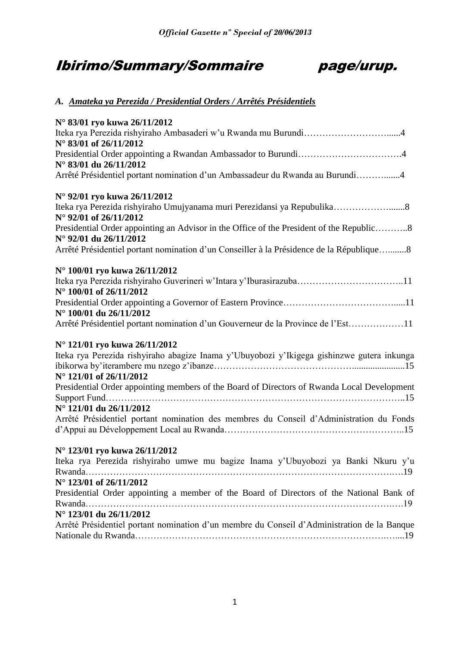# Ibirimo/Summary/Sommaire page/urup.



### *A. Amateka ya Perezida / Presidential Orders / Arrêtés Présidentiels*

| N° 83/01 ryo kuwa 26/11/2012                                                                |
|---------------------------------------------------------------------------------------------|
| Iteka rya Perezida rishyiraho Ambasaderi w'u Rwanda mu Burundi4                             |
| N° 83/01 of 26/11/2012                                                                      |
|                                                                                             |
| $N^{\circ}$ 83/01 du 26/11/2012                                                             |
| Arrêté Présidentiel portant nomination d'un Ambassadeur du Rwanda au Burundi4               |
| N° 92/01 ryo kuwa 26/11/2012                                                                |
| Iteka rya Perezida rishyiraho Umujyanama muri Perezidansi ya Repubulika8                    |
| N° 92/01 of 26/11/2012                                                                      |
| Presidential Order appointing an Advisor in the Office of the President of the Republic8    |
| N° 92/01 du 26/11/2012                                                                      |
| Arrêté Présidentiel portant nomination d'un Conseiller à la Présidence de la République8    |
| N° 100/01 ryo kuwa 26/11/2012                                                               |
|                                                                                             |
| N° 100/01 of 26/11/2012                                                                     |
|                                                                                             |
| N° 100/01 du 26/11/2012                                                                     |
| Arrêté Présidentiel portant nomination d'un Gouverneur de la Province de l'Est11            |
| N° 121/01 ryo kuwa 26/11/2012                                                               |
| Iteka rya Perezida rishyiraho abagize Inama y'Ubuyobozi y'Ikigega gishinzwe gutera inkunga  |
|                                                                                             |
| N° 121/01 of 26/11/2012                                                                     |
| Presidential Order appointing members of the Board of Directors of Rwanda Local Development |
| N° 121/01 du 26/11/2012                                                                     |
| Arrêté Présidentiel portant nomination des membres du Conseil d'Administration du Fonds     |
|                                                                                             |
| N° 123/01 ryo kuwa 26/11/2012                                                               |
| Iteka rya Perezida rishyiraho umwe mu bagize Inama y'Ubuyobozi ya Banki Nkuru y'u           |
|                                                                                             |
| N° 123/01 of 26/11/2012                                                                     |
| Presidential Order appointing a member of the Board of Directors of the National Bank of    |
|                                                                                             |
| N° 123/01 du 26/11/2012                                                                     |
| Arrêté Présidentiel portant nomination d'un membre du Conseil d'Administration de la Banque |
|                                                                                             |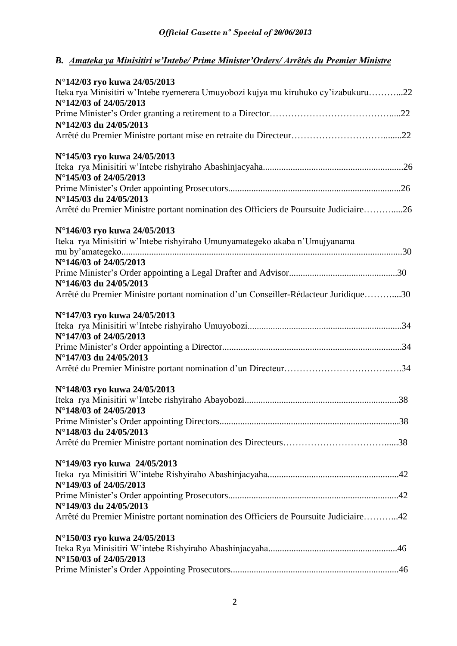### *B. Amateka ya Minisitiri w'Intebe/ Prime Minister'Orders/ Arrêtés du Premier Ministre*

| N°142/03 ryo kuwa 24/05/2013                                                          |  |
|---------------------------------------------------------------------------------------|--|
| Iteka rya Minisitiri w'Intebe ryemerera Umuyobozi kujya mu kiruhuko cy'izabukuru22    |  |
| N°142/03 of 24/05/2013                                                                |  |
|                                                                                       |  |
| N°142/03 du 24/05/2013                                                                |  |
|                                                                                       |  |
| N°145/03 ryo kuwa 24/05/2013                                                          |  |
|                                                                                       |  |
| N°145/03 of 24/05/2013                                                                |  |
|                                                                                       |  |
| N°145/03 du 24/05/2013                                                                |  |
| Arrêté du Premier Ministre portant nomination des Officiers de Poursuite Judiciaire26 |  |
| N°146/03 ryo kuwa 24/05/2013                                                          |  |
| Iteka rya Minisitiri w'Intebe rishyiraho Umunyamategeko akaba n'Umujyanama            |  |
|                                                                                       |  |
| N°146/03 of 24/05/2013                                                                |  |
|                                                                                       |  |
| N°146/03 du 24/05/2013                                                                |  |
| Arrêté du Premier Ministre portant nomination d'un Conseiller-Rédacteur Juridique30   |  |
| N°147/03 ryo kuwa 24/05/2013                                                          |  |
|                                                                                       |  |
| N°147/03 of 24/05/2013                                                                |  |
|                                                                                       |  |
| N°147/03 du 24/05/2013                                                                |  |
|                                                                                       |  |
| N°148/03 ryo kuwa 24/05/2013                                                          |  |
|                                                                                       |  |
| N°148/03 of 24/05/2013                                                                |  |
|                                                                                       |  |
| N°148/03 du 24/05/2013                                                                |  |
|                                                                                       |  |
| N°149/03 ryo kuwa 24/05/2013                                                          |  |
|                                                                                       |  |
| N°149/03 of 24/05/2013                                                                |  |
|                                                                                       |  |
| N°149/03 du 24/05/2013                                                                |  |
| Arrêté du Premier Ministre portant nomination des Officiers de Poursuite Judiciaire42 |  |
| N°150/03 ryo kuwa 24/05/2013                                                          |  |
|                                                                                       |  |
| N°150/03 of 24/05/2013                                                                |  |
|                                                                                       |  |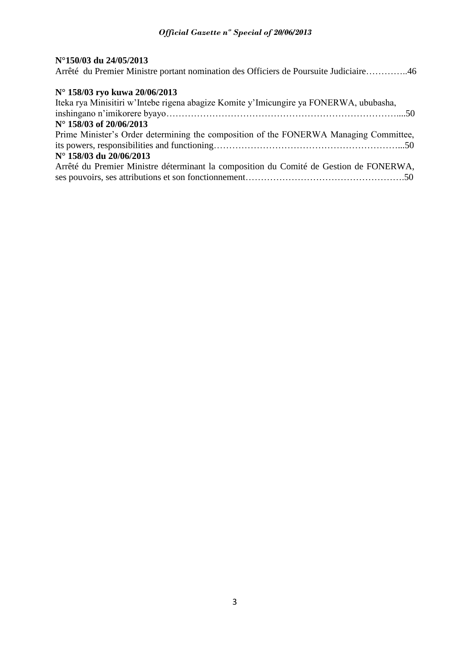### **N°150/03 du 24/05/2013**

Arrêté du Premier Ministre portant nomination des Officiers de Poursuite Judiciaire…………..46

### **N° 158/03 ryo kuwa 20/06/2013**

| Iteka rya Minisitiri w'Intebe rigena abagize Komite y'Imicungire ya FONERWA, ububasha, |
|----------------------------------------------------------------------------------------|
|                                                                                        |
| N° 158/03 of 20/06/2013                                                                |
| Prime Minister's Order determining the composition of the FONERWA Managing Committee,  |
|                                                                                        |
| N° 158/03 du 20/06/2013                                                                |
| Arrêté du Premier Ministre déterminant la composition du Comité de Gestion de FONERWA, |
|                                                                                        |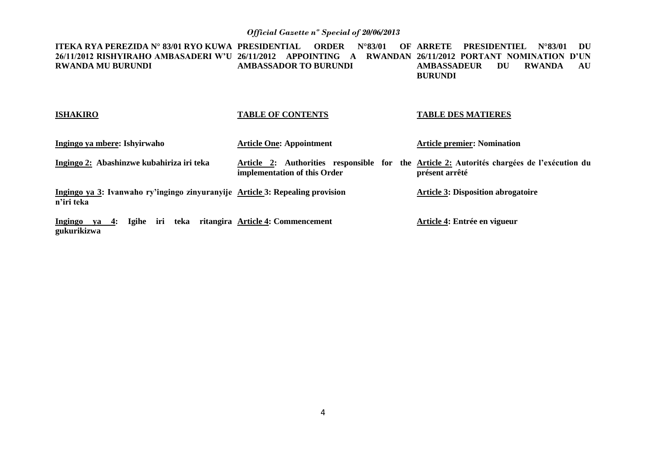**ITEKA RYA PEREZIDA N° 83/01 RYO KUWA PRESIDENTIAL ORDER N°83/01 OF ARRETE PRESIDENTIEL N°83/01 DU 26/11/2012 RISHYIRAHO AMBASADERI W'U 26/11/2012 APPOINTING A RWANDAN 26/11/2012 PORTANT NOMINATION D'UN RWANDA MU BURUNDI AMBASSADOR TO BURUNDI AMBASSADEUR DU RWANDA AU BURUNDI**

| <b>ISHAKIRO</b>                                                                             | <b>TABLE OF CONTENTS</b>               | <b>TABLE DES MATIERES</b>                                                                                    |
|---------------------------------------------------------------------------------------------|----------------------------------------|--------------------------------------------------------------------------------------------------------------|
| Ingingo ya mbere: Ishyirwaho                                                                | <b>Article One: Appointment</b>        | <b>Article premier: Nomination</b>                                                                           |
| Ingingo 2: Abashinzwe kubahiriza iri teka                                                   | implementation of this Order           | Article 2: Authorities responsible for the Article 2: Autorités chargées de l'exécution du<br>présent arrêté |
| Ingingo ya 3: Ivanwaho ry'ingingo zinyuranyije Article 3: Repealing provision<br>n'iri teka |                                        | <b>Article 3: Disposition abrogatoire</b>                                                                    |
| Ingingo ya 4: Igihe iri<br>gukurikizwa                                                      | teka ritangira Article 4: Commencement | Article 4: Entrée en vigueur                                                                                 |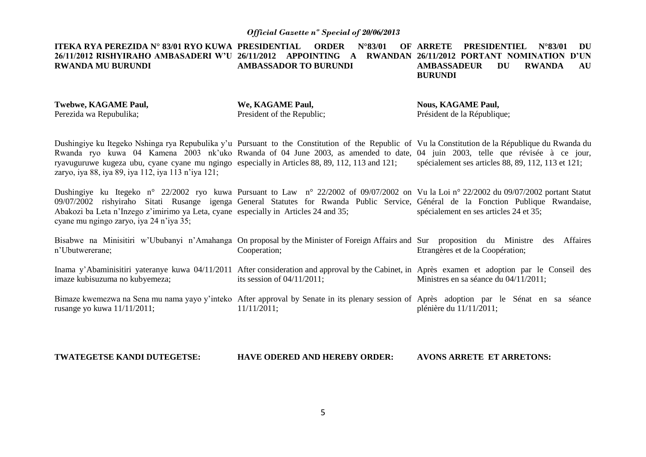**ITEKA RYA PEREZIDA N° 83/01 RYO KUWA PRESIDENTIAL ORDER N°83/01 OF 26/11/2012 RISHYIRAHO AMBASADERI W'U 26/11/2012 APPOINTING A RWANDAN 26/11/2012 PORTANT NOMINATION D'UN RWANDA MU BURUNDI AMBASSADOR TO BURUNDI ARRETE PRESIDENTIEL N°83/01 DU AMBASSADEUR DU RWANDA AU BURUNDI**

**Twebwe, KAGAME Paul,** Perezida wa Repubulika;

**We, KAGAME Paul,** President of the Republic;

**Nous, KAGAME Paul,** Président de la République;

Dushingiye ku Itegeko Nshinga rya Repubulika y'u Pursuant to the Constitution of the Republic of Vu la Constitution de la République du Rwanda du Rwanda ryo kuwa 04 Kamena 2003 nk'uko Rwanda of 04 June 2003, as amended to date, 04 juin 2003, telle que révisée à ce jour, ryavuguruwe kugeza ubu, cyane cyane mu ngingo especially in Articles 88, 89, 112, 113 and 121; zaryo, iya 88, iya 89, iya 112, iya 113 n'iya 121; spécialement ses articles 88, 89, 112, 113 et 121;

Dushingiye ku Itegeko n° 22/2002 ryo kuwa Pursuant to Law n° 22/2002 of 09/07/2002 on Vu la Loi n° 22/2002 du 09/07/2002 portant Statut 09/07/2002 rishyiraho Sitati Rusange igenga General Statutes for Rwanda Public Service, Général de la Fonction Publique Rwandaise, Abakozi ba Leta n'Inzego z'imirimo ya Leta, cyane especially in Articles 24 and 35; cyane mu ngingo zaryo, iya 24 n'iya 35; spécialement en ses articles 24 et 35;

Bisabwe na Minisitiri w'Ububanyi n'Amahanga On proposal by the Minister of Foreign Affairs and Sur proposition du Ministre des Affaires n'Ubutwererane; Cooperation; Etrangères et de la Coopération;

Inama y'Abaminisitiri yateranye kuwa 04/11/2011 After consideration and approval by the Cabinet, in Après examen et adoption par le Conseil des imaze kubisuzuma no kubyemeza; its session of 04/11/2011; Ministres en sa séance du 04/11/2011;

Bimaze kwemezwa na Sena mu nama yayo y'inteko After approval by Senate in its plenary session of Après adoption par le Sénat en sa séance rusange yo kuwa 11/11/2011; 11/11/2011; plénière du 11/11/2011;

**TWATEGETSE KANDI DUTEGETSE: HAVE ODERED AND HEREBY ORDER: AVONS ARRETE ET ARRETONS:**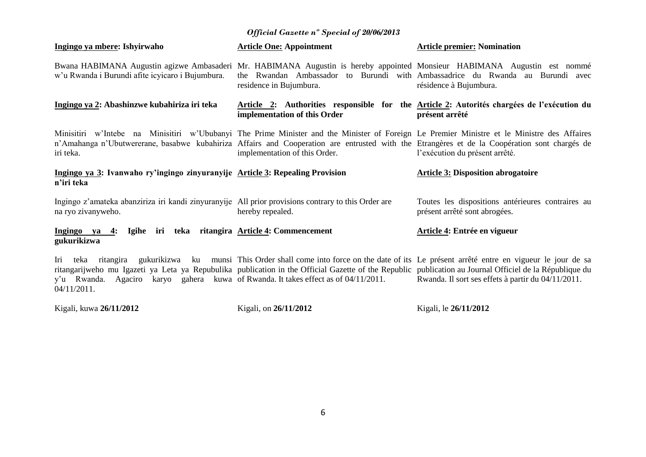|  |  | <b>Official Gazette n° Special of 20/06/2013</b> |
|--|--|--------------------------------------------------|
|  |  |                                                  |

| Ingingo ya mbere: Ishyirwaho                                                                                                                                                        | <b>Article One: Appointment</b>                                                                                                                                                                                                                                                                                              | <b>Article premier: Nomination</b>                                                                           |
|-------------------------------------------------------------------------------------------------------------------------------------------------------------------------------------|------------------------------------------------------------------------------------------------------------------------------------------------------------------------------------------------------------------------------------------------------------------------------------------------------------------------------|--------------------------------------------------------------------------------------------------------------|
| w'u Rwanda i Burundi afite icyicaro i Bujumbura.                                                                                                                                    | Bwana HABIMANA Augustin agizwe Ambasaderi Mr. HABIMANA Augustin is hereby appointed Monsieur HABIMANA Augustin est nommé<br>residence in Bujumbura.                                                                                                                                                                          | the Rwandan Ambassador to Burundi with Ambassadrice du Rwanda au Burundi avec<br>résidence à Bujumbura.      |
| Ingingo ya 2: Abashinzwe kubahiriza iri teka                                                                                                                                        | implementation of this Order                                                                                                                                                                                                                                                                                                 | Article 2: Authorities responsible for the Article 2: Autorités chargées de l'exécution du<br>présent arrêté |
| iri teka.                                                                                                                                                                           | Minisitiri w'Intebe na Minisitiri w'Ububanyi The Prime Minister and the Minister of Foreign Le Premier Ministre et le Ministre des Affaires<br>n'Amahanga n'Ubutwererane, basabwe kubahiriza Affairs and Cooperation are entrusted with the Etrangères et de la Coopération sont chargés de<br>implementation of this Order. | l'exécution du présent arrêté.                                                                               |
| Ingingo ya 3: Ivanwaho ry'ingingo zinyuranyije Article 3: Repealing Provision<br>n'iri teka                                                                                         |                                                                                                                                                                                                                                                                                                                              | <b>Article 3: Disposition abrogatoire</b>                                                                    |
| Ingingo z'amateka abanziriza iri kandi zinyuranyije All prior provisions contrary to this Order are<br>na ryo zivanyweho.                                                           | hereby repealed.                                                                                                                                                                                                                                                                                                             | Toutes les dispositions antérieures contraires au<br>présent arrêté sont abrogées.                           |
| Igihe iri teka ritangira Article 4: Commencement<br>Ingingo ya 4:<br>gukurikizwa                                                                                                    |                                                                                                                                                                                                                                                                                                                              | Article 4: Entrée en vigueur                                                                                 |
| teka<br>ritangira<br>Iri<br>ritangarijweho mu Igazeti ya Leta ya Repubulika publication in the Official Gazette of the Republic publication au Journal Officiel de la République du | gukurikizwa ku munsi This Order shall come into force on the date of its Le présent arrêté entre en vigueur le jour de sa                                                                                                                                                                                                    |                                                                                                              |

Kigali, kuwa **26/11/2012**

Kigali, on **26/11/2012**

Kigali, le **26/11/2012**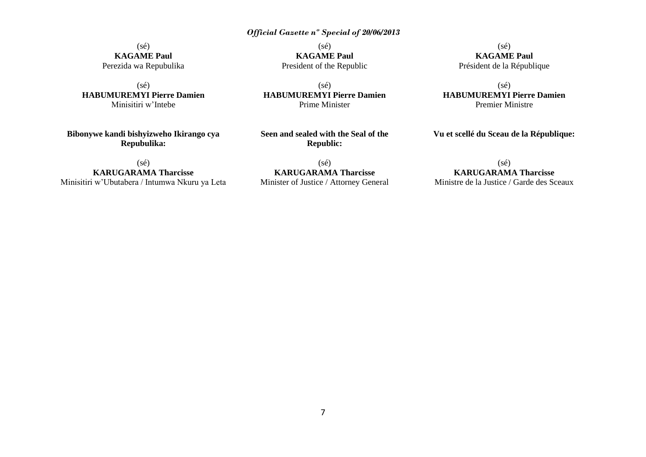$(s\acute{e})$ **KAGAME Paul** Perezida wa Repubulika

 $(s\acute{e})$ **HABUMUREMYI Pierre Damien** Minisitiri w'Intebe

**Bibonywe kandi bishyizweho Ikirango cya Repubulika:**

(sé) **KARUGARAMA Tharcisse** Minisitiri w'Ubutabera / Intumwa Nkuru ya Leta

 $(sé)$ **KAGAME Paul** President of the Republic

(sé) **HABUMUREMYI Pierre Damien** Prime Minister

**Seen and sealed with the Seal of the Republic:**

(sé) **KARUGARAMA Tharcisse** Minister of Justice / Attorney General

(sé) **KAGAME Paul** Président de la République

(sé) **HABUMUREMYI Pierre Damien** Premier Ministre

**Vu et scellé du Sceau de la République:**

### (sé) **KARUGARAMA Tharcisse**

Ministre de la Justice / Garde des Sceaux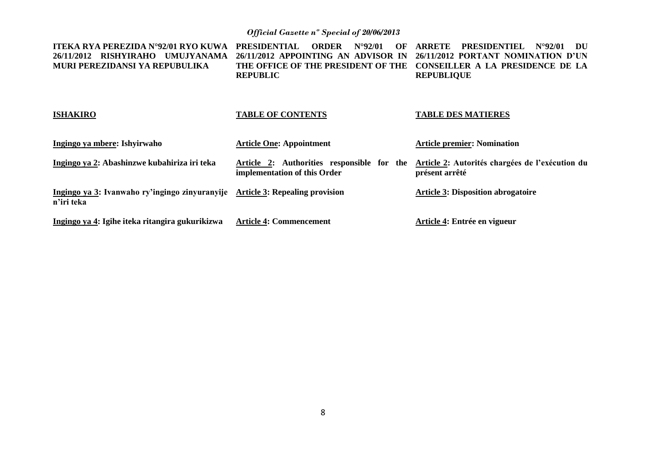| ITEKA RYA PEREZIDA N°92/01 RYO KUWA<br>26/11/2012 RISHYIRAHO<br>UMUJYANAMA<br>MURI PEREZIDANSI YA REPUBULIKA | <b>PRESIDENTIAL</b><br><b>ORDER</b><br>$N^{\circ}92/01$<br>OF<br>26/11/2012 APPOINTING AN ADVISOR IN<br>THE OFFICE OF THE PRESIDENT OF THE<br><b>REPUBLIC</b> | <b>PRESIDENTIEL</b><br><b>ARRETE</b><br>$N^{\circ}92/01$<br>DU<br>26/11/2012 PORTANT NOMINATION D'UN<br>CONSEILLER A LA PRESIDENCE DE LA<br><b>REPUBLIQUE</b> |
|--------------------------------------------------------------------------------------------------------------|---------------------------------------------------------------------------------------------------------------------------------------------------------------|---------------------------------------------------------------------------------------------------------------------------------------------------------------|
| <b>ISHAKIRO</b>                                                                                              | <b>TABLE OF CONTENTS</b>                                                                                                                                      | <b>TABLE DES MATIERES</b>                                                                                                                                     |
| Ingingo ya mbere: Ishyirwaho                                                                                 | <b>Article One: Appointment</b>                                                                                                                               | <b>Article premier: Nomination</b>                                                                                                                            |
| Ingingo ya 2: Abashinzwe kubahiriza iri teka                                                                 | Article 2: Authorities responsible for the<br>implementation of this Order                                                                                    | Article 2: Autorités chargées de l'exécution du<br>présent arrêté                                                                                             |
| Ingingo ya 3: Ivanwaho ry'ingingo zinyuranyije<br>n'iri teka                                                 | <b>Article 3: Repealing provision</b>                                                                                                                         | <b>Article 3: Disposition abrogatoire</b>                                                                                                                     |
| Ingingo ya 4: Igihe iteka ritangira gukurikizwa                                                              | <b>Article 4: Commencement</b>                                                                                                                                | Article 4: Entrée en vigueur                                                                                                                                  |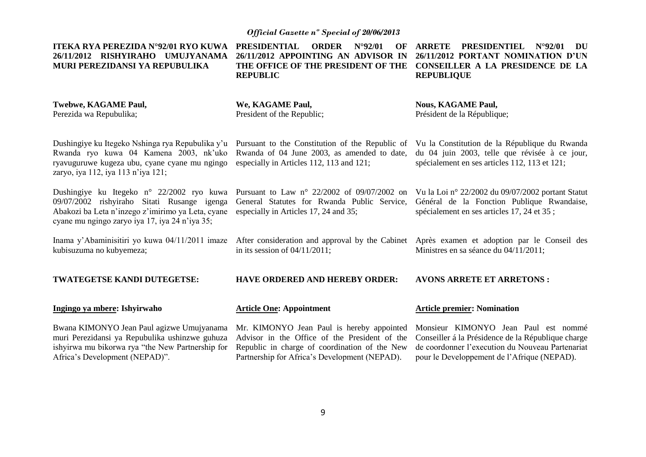| <b>ITEKA RYA PEREZIDA N°92/01 RYO KUWA</b><br>26/11/2012 RISHYIRAHO UMUJYANAMA<br>MURI PEREZIDANSI YA REPUBULIKA                                                                                | <b>PRESIDENTIAL</b><br><b>ORDER</b><br>$N^{\circ}92/01$<br>OF<br>26/11/2012 APPOINTING AN ADVISOR IN<br>THE OFFICE OF THE PRESIDENT OF THE<br><b>REPUBLIC</b>                                | <b>ARRETE</b><br><b>PRESIDENTIEL</b><br>$N^{\circ}92/01$<br>DU<br>26/11/2012 PORTANT NOMINATION D'UN<br>CONSEILLER A LA PRESIDENCE DE LA<br><b>REPUBLIQUE</b>                                 |
|-------------------------------------------------------------------------------------------------------------------------------------------------------------------------------------------------|----------------------------------------------------------------------------------------------------------------------------------------------------------------------------------------------|-----------------------------------------------------------------------------------------------------------------------------------------------------------------------------------------------|
| Twebwe, KAGAME Paul,<br>Perezida wa Repubulika;                                                                                                                                                 | We, KAGAME Paul,<br>President of the Republic;                                                                                                                                               | <b>Nous, KAGAME Paul,</b><br>Président de la République;                                                                                                                                      |
| Dushingiye ku Itegeko Nshinga rya Repubulika y'u<br>Rwanda ryo kuwa 04 Kamena 2003, nk'uko<br>ryavuguruwe kugeza ubu, cyane cyane mu ngingo<br>zaryo, iya 112, iya 113 n'iya 121;               | Pursuant to the Constitution of the Republic of<br>Rwanda of 04 June 2003, as amended to date,<br>especially in Articles 112, 113 and 121;                                                   | Vu la Constitution de la République du Rwanda<br>du 04 juin 2003, telle que révisée à ce jour,<br>spécialement en ses articles 112, 113 et 121;                                               |
| Dushingiye ku Itegeko n° 22/2002 ryo kuwa<br>09/07/2002 rishyiraho Sitati Rusange igenga<br>Abakozi ba Leta n'inzego z'imirimo ya Leta, cyane<br>cyane mu ngingo zaryo iya 17, iya 24 n'iya 35; | Pursuant to Law $n^{\circ}$ 22/2002 of 09/07/2002 on<br>General Statutes for Rwanda Public Service,<br>especially in Articles 17, 24 and 35;                                                 | Vu la Loi nº 22/2002 du 09/07/2002 portant Statut<br>Général de la Fonction Publique Rwandaise,<br>spécialement en ses articles 17, 24 et 35;                                                 |
| Inama y'Abaminisitiri yo kuwa 04/11/2011 imaze<br>kubisuzuma no kubyemeza;                                                                                                                      | in its session of $04/11/2011$ ;                                                                                                                                                             | After consideration and approval by the Cabinet Après examen et adoption par le Conseil des<br>Ministres en sa séance du 04/11/2011;                                                          |
| TWATEGETSE KANDI DUTEGETSE:                                                                                                                                                                     | <b>HAVE ORDERED AND HEREBY ORDER:</b>                                                                                                                                                        | <b>AVONS ARRETE ET ARRETONS:</b>                                                                                                                                                              |
| Ingingo ya mbere: Ishyirwaho                                                                                                                                                                    | <b>Article One: Appointment</b>                                                                                                                                                              | <b>Article premier: Nomination</b>                                                                                                                                                            |
| Bwana KIMONYO Jean Paul agizwe Umujyanama<br>muri Perezidansi ya Repubulika ushinzwe guhuza<br>ishyirwa mu bikorwa rya "the New Partnership for<br>Africa's Development (NEPAD)".               | Mr. KIMONYO Jean Paul is hereby appointed<br>Advisor in the Office of the President of the<br>Republic in charge of coordination of the New<br>Partnership for Africa's Development (NEPAD). | Monsieur KIMONYO Jean Paul est nommé<br>Conseiller á la Présidence de la République charge<br>de coordonner l'execution du Nouveau Partenariat<br>pour le Developpement de l'Afrique (NEPAD). |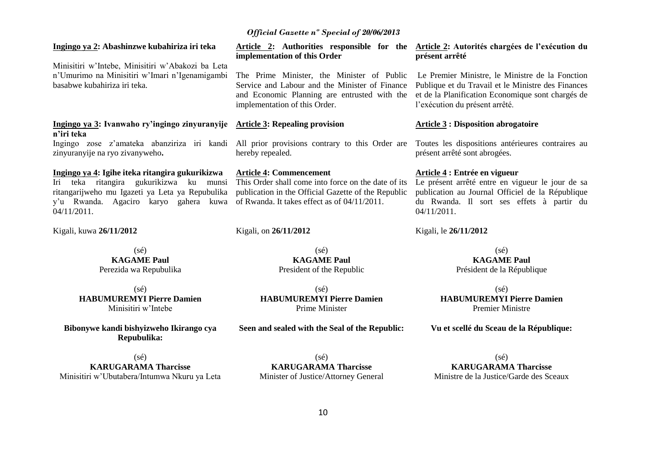### **Ingingo ya 2: Abashinzwe kubahiriza iri teka**

Minisitiri w'Intebe, Minisitiri w'Abakozi ba Leta n'Umurimo na Minisitiri w'Imari n'Igenamigambi basabwe kubahiriza iri teka.

### **Ingingo ya 3: Ivanwaho ry'ingingo zinyuranyije Article 3: Repealing provision n'iri teka**

zinyuranyije na ryo zivanyweho**.**

### **Ingingo ya 4: Igihe iteka ritangira gukurikizwa**

Iri teka ritangira gukurikizwa ku munsi ritangarijweho mu Igazeti ya Leta ya Repubulika y'u Rwanda. Agaciro karyo gahera kuwa of Rwanda. It takes effect as of 04/11/2011. 04/11/2011.

Kigali, kuwa **26/11/2012**

(sé) **KAGAME Paul** Perezida wa Repubulika

(sé) **HABUMUREMYI Pierre Damien** Minisitiri w'Intebe

**Bibonywe kandi bishyizweho Ikirango cya Repubulika:**

(sé) **KARUGARAMA Tharcisse** Minisitiri w'Ubutabera/Intumwa Nkuru ya Leta

**Article 2: Authorities responsible for the Article 2: Autorités chargées de l'exécution du implementation of this Order**

The Prime Minister, the Minister of Public implementation of this Order.

hereby repealed.

### **Article 4: Commencement**

This Order shall come into force on the date of its publication in the Official Gazette of the Republic

Kigali, on **26/11/2012**

 $(sé)$ **KAGAME Paul** President of the Republic

(sé) **HABUMUREMYI Pierre Damien** Prime Minister

### **Seen and sealed with the Seal of the Republic:**

# **présent arrêté**

Service and Labour and the Minister of Finance Publique et du Travail et le Ministre des Finances and Economic Planning are entrusted with the et de la Planification Economique sont chargés de Le Premier Ministre, le Ministre de la Fonction l'exécution du présent arrêté.

### **Article 3 : Disposition abrogatoire**

Ingingo zose z'amateka abanziriza iri kandi All prior provisions contrary to this Order are Toutes les dispositions antérieures contraires au présent arrêté sont abrogées.

### **Article 4 : Entrée en vigueur**

Le présent arrêté entre en vigueur le jour de sa publication au Journal Officiel de la République du Rwanda. Il sort ses effets à partir du 04/11/2011.

Kigali, le **26/11/2012**

(sé)

**KAGAME Paul** Président de la République

(sé) **HABUMUREMYI Pierre Damien** Premier Ministre

### **Vu et scellé du Sceau de la République:**

 $(s<sub>é</sub>)$ **KARUGARAMA Tharcisse** Minister of Justice/Attorney General

(sé) **KARUGARAMA Tharcisse** Ministre de la Justice/Garde des Sceaux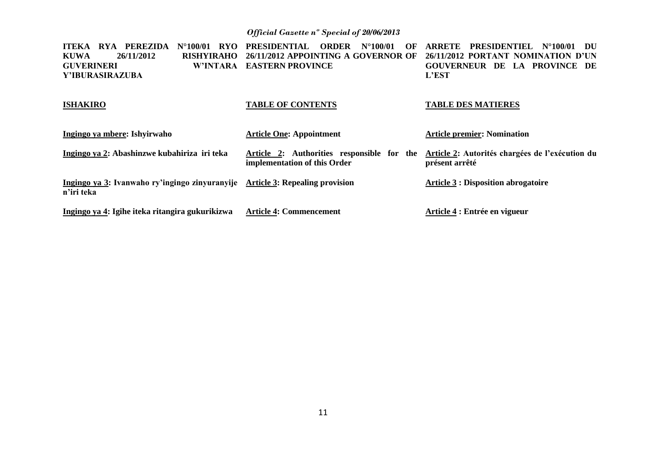| PEREZIDA<br><b>RYA</b><br><b>ITEKA</b><br>$N^{\circ}100/01$<br>RYO- | <b>PRESIDENTIAL</b><br><b>ORDER</b><br>$N^{\circ}100/01$<br>OF | <b>ARRETE</b><br><b>PRESIDENTIEL N°100/01</b><br>- DU |
|---------------------------------------------------------------------|----------------------------------------------------------------|-------------------------------------------------------|
| 26/11/2012<br><b>KUWA</b><br>RISHYIRAHO                             | 26/11/2012 APPOINTING A GOVERNOR OF                            | 26/11/2012 PORTANT NOMINATION D'UN                    |
| <b>GUVERINERI</b>                                                   | W'INTARA EASTERN PROVINCE                                      | GOUVERNEUR DE LA PROVINCE DE                          |
| Y'IBURASIRAZUBA                                                     |                                                                | <b>L'EST</b>                                          |
| <b>ISHAKIRO</b>                                                     | <b>TABLE OF CONTENTS</b>                                       | <b>TABLE DES MATIERES</b>                             |
| Ingingo ya mbere: Ishyirwaho                                        | <b>Article One: Appointment</b>                                | <b>Article premier: Nomination</b>                    |
| Ingingo ya 2: Abashinzwe kubahiriza iri teka                        | Article 2: Authorities responsible for the                     | Article 2: Autorités chargées de l'exécution du       |
|                                                                     | implementation of this Order                                   | présent arrêté                                        |
| Ingingo ya 3: Ivanwaho ry'ingingo zinyuranyije<br>n'iri teka        | <b>Article 3: Repealing provision</b>                          | <b>Article 3 : Disposition abrogatoire</b>            |
| Ingingo ya 4: Igihe iteka ritangira gukurikizwa                     | <b>Article 4: Commencement</b>                                 | Article 4 : Entrée en vigueur                         |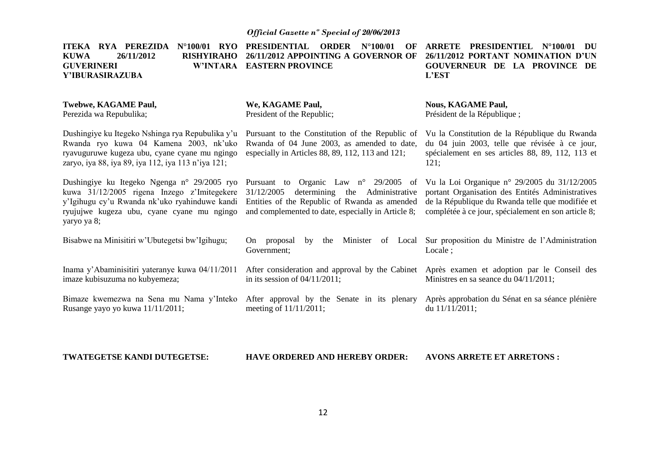ITEKA RYA PEREZIDA N°100/01 RYO PRESIDENTIAL ORDER N°100/01 OF ARRETE PRESIDENTIEL N°100/01 DU **KUWA 26/11/2012 RISHYIRAHO 26/11/2012 APPOINTING A GOVERNOR OF 26/11/2012 PORTANT NOMINATION D'UN GUVERINERI Y'IBURASIRAZUBA Twebwe, KAGAME Paul,** Perezida wa Repubulika; Dushingiye ku Itegeko Nshinga rya Repubulika y'u Rwanda ryo kuwa 04 Kamena 2003, nk'uko ryavuguruwe kugeza ubu, cyane cyane mu ngingo zaryo, iya 88, iya 89, iya 112, iya 113 n'iya 121; Dushingiye ku Itegeko Ngenga n° 29/2005 ryo Pursuant to Organic Law n° 29/2005 of Vu la Loi Organique n° 29/2005 du 31/12/2005 kuwa 31/12/2005 rigena Inzego z'Imitegekere 31/12/2005 determining the Administrative y'Igihugu cy'u Rwanda nk'uko ryahinduwe kandi Entities of the Republic of Rwanda as amended ryujujwe kugeza ubu, cyane cyane mu ngingo and complemented to date, especially in Article 8; yaryo ya 8; Bisabwe na Minisitiri w'Ubutegetsi bw'Igihugu; Inama y'Abaminisitiri yateranye kuwa 04/11/2011 imaze kubisuzuma no kubyemeza; Bimaze kwemezwa na Sena mu Nama y'Inteko After approval by the Senate in its plenary Après approbation du Sénat en sa séance plénière Rusange yayo yo kuwa 11/11/2011; **EASTERN PROVINCE We, KAGAME Paul,** President of the Republic; Pursuant to the Constitution of the Republic of Vu la Constitution de la République du Rwanda Rwanda of 04 June 2003, as amended to date, especially in Articles 88, 89, 112, 113 and 121; On proposal by the Minister of Local Sur proposition du Ministre de l'Administration Government; After consideration and approval by the Cabinet Après examen et adoption par le Conseil des in its session of 04/11/2011; meeting of 11/11/2011; **GOUVERNEUR DE LA PROVINCE DE L'EST Nous, KAGAME Paul,** Président de la République ; du 04 juin 2003, telle que révisée à ce jour, spécialement en ses articles 88, 89, 112, 113 et 121; portant Organisation des Entités Administratives de la République du Rwanda telle que modifiée et complétée à ce jour, spécialement en son article 8; Locale ; Ministres en sa seance du 04/11/2011; du 11/11/2011;

#### **TWATEGETSE KANDI DUTEGETSE: HAVE ORDERED AND HEREBY ORDER: AVONS ARRETE ET ARRETONS :**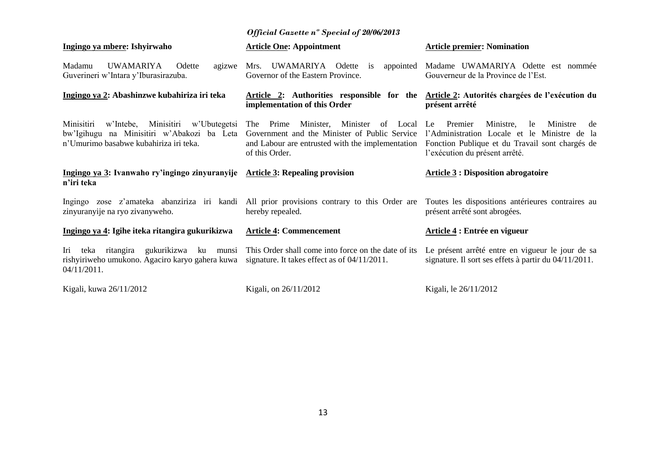| Ingingo ya mbere: Ishyirwaho                                                                                                            | <b>Article One: Appointment</b>                                                                                                                                       | <b>Article premier: Nomination</b>                                                                                                                                                      |
|-----------------------------------------------------------------------------------------------------------------------------------------|-----------------------------------------------------------------------------------------------------------------------------------------------------------------------|-----------------------------------------------------------------------------------------------------------------------------------------------------------------------------------------|
| UWAMARIYA<br>Madamu<br>Odette<br>agizwe<br>Guverineri w'Intara y'Iburasirazuba.                                                         | Mrs. UWAMARIYA Odette is<br>appointed<br>Governor of the Eastern Province.                                                                                            | Madame UWAMARIYA Odette est nommée<br>Gouverneur de la Province de l'Est.                                                                                                               |
| Ingingo ya 2: Abashinzwe kubahiriza iri teka                                                                                            | Article 2: Authorities responsible for the<br>implementation of this Order                                                                                            | Article 2: Autorités chargées de l'exécution du<br>présent arrêté                                                                                                                       |
| w'Intebe, Minisitiri w'Ubutegetsi<br>Minisitiri<br>bw'Igihugu na Minisitiri w'Abakozi ba Leta<br>n'Umurimo basabwe kubahiriza iri teka. | The Prime<br>Minister<br>Minister.<br>of Local<br>Government and the Minister of Public Service<br>and Labour are entrusted with the implementation<br>of this Order. | Ministre,<br>Le<br>Premier<br>Ministre<br>le<br>de<br>l'Administration Locale et le Ministre de la<br>Fonction Publique et du Travail sont chargés de<br>l'exécution du présent arrêté. |
| Ingingo ya 3: Ivanwaho ry'ingingo zinyuranyije Article 3: Repealing provision                                                           |                                                                                                                                                                       | <b>Article 3 : Disposition abrogatoire</b>                                                                                                                                              |
| n'iri teka                                                                                                                              |                                                                                                                                                                       |                                                                                                                                                                                         |
| Ingingo zose z'amateka abanziriza iri kandi<br>zinyuranyije na ryo zivanyweho.                                                          | All prior provisions contrary to this Order are<br>hereby repealed.                                                                                                   | Toutes les dispositions antérieures contraires au<br>présent arrêté sont abrogées.                                                                                                      |
| Ingingo ya 4: Igihe iteka ritangira gukurikizwa                                                                                         | <b>Article 4: Commencement</b>                                                                                                                                        | Article 4 : Entrée en vigueur                                                                                                                                                           |
| ritangira gukurikizwa ku munsi<br>Iri<br>teka<br>rishyiriweho umukono. Agaciro karyo gahera kuwa<br>04/11/2011.                         | This Order shall come into force on the date of its<br>signature. It takes effect as of $04/11/2011$ .                                                                | Le présent arrêté entre en vigueur le jour de sa<br>signature. Il sort ses effets à partir du 04/11/2011.                                                                               |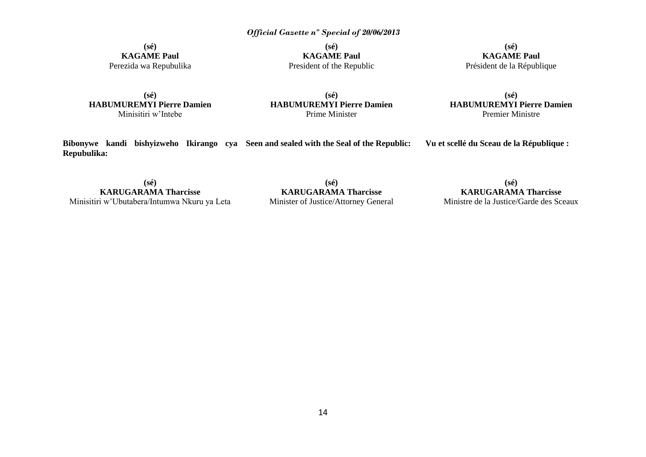**(sé) KAGAME Paul** Perezida wa Repubulika

**(sé) KAGAME Paul** President of the Republic

**(sé) KAGAME Paul** Président de la République

**(sé) HABUMUREMYI Pierre Damien** Minisitiri w'Intebe

**(sé) HABUMUREMYI Pierre Damien** Prime Minister

**(sé) HABUMUREMYI Pierre Damien** Premier Ministre

**Vu et scellé du Sceau de la République :**

**Bibonywe kandi bishyizweho Ikirango cya Seen and sealed with the Seal of the Republic: Repubulika:**

**(sé) KARUGARAMA Tharcisse** Minisitiri w'Ubutabera/Intumwa Nkuru ya Leta

**(sé) KARUGARAMA Tharcisse** Minister of Justice/Attorney General

**(sé) KARUGARAMA Tharcisse** Ministre de la Justice/Garde des Sceaux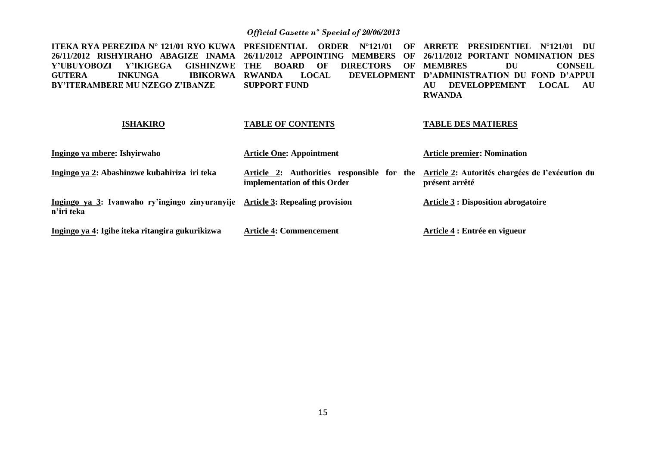| ITEKA RYA PEREZIDA N° 121/01 RYO KUWA<br>26/11/2012 RISHYIRAHO ABAGIZE INAMA<br>Y'UBUYOBOZI<br>Y'IKIGEGA<br><b>GISHINZWE</b><br><b>IBIKORWA</b><br><b>INKUNGA</b><br><b>GUTERA</b><br><b>BY'ITERAMBERE MU NZEGO Z'IBANZE</b> | <b>PRESIDENTIAL</b><br><b>ORDER</b><br>$N^{\circ}121/01$<br>OF<br><b>APPOINTING</b><br><b>MEMBERS</b><br>26/11/2012<br>OF<br><b>DIRECTORS</b><br><b>BOARD</b><br>OF<br>OF<br>THE<br><b>DEVELOPMENT</b><br><b>RWANDA</b><br><b>LOCAL</b><br><b>SUPPORT FUND</b> | PRESIDENTIEL<br>ARRETE<br>$N^{\circ}121/01$<br>DU<br>26/11/2012 PORTANT NOMINATION DES<br><b>MEMBRES</b><br>DU<br><b>CONSEIL</b><br>D'ADMINISTRATION DU<br><b>FOND D'APPUL</b><br><b>DEVELOPPEMENT</b><br><b>AU</b><br><b>LOCAL</b><br>AU<br><b>RWANDA</b> |
|------------------------------------------------------------------------------------------------------------------------------------------------------------------------------------------------------------------------------|----------------------------------------------------------------------------------------------------------------------------------------------------------------------------------------------------------------------------------------------------------------|------------------------------------------------------------------------------------------------------------------------------------------------------------------------------------------------------------------------------------------------------------|
| <b>ISHAKIRO</b>                                                                                                                                                                                                              | <b>TABLE OF CONTENTS</b>                                                                                                                                                                                                                                       | <b>TABLE DES MATIERES</b>                                                                                                                                                                                                                                  |
| Ingingo ya mbere: Ishyirwaho                                                                                                                                                                                                 | <b>Article One: Appointment</b>                                                                                                                                                                                                                                | <b>Article premier: Nomination</b>                                                                                                                                                                                                                         |
| Ingingo ya 2: Abashinzwe kubahiriza iri teka                                                                                                                                                                                 | Article 2: Authorities responsible for the<br>implementation of this Order                                                                                                                                                                                     | Article 2: Autorités chargées de l'exécution du<br>présent arrêté                                                                                                                                                                                          |
| Ingingo ya 3: Ivanwaho ry'ingingo zinyuranyije<br>n'iri teka                                                                                                                                                                 | <b>Article 3: Repealing provision</b>                                                                                                                                                                                                                          | <b>Article 3 : Disposition abrogatoire</b>                                                                                                                                                                                                                 |
| Ingingo ya 4: Igihe iteka ritangira gukurikizwa                                                                                                                                                                              | <b>Article 4: Commencement</b>                                                                                                                                                                                                                                 | Article 4 : Entrée en vigueur                                                                                                                                                                                                                              |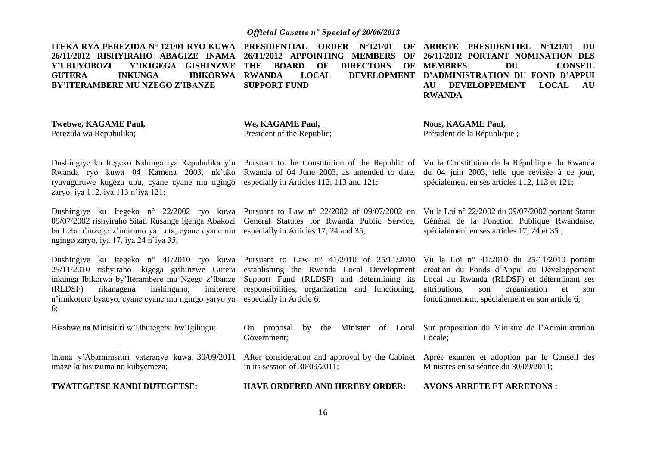**26/11/2012 RISHYIRAHO ABAGIZE INAMA 26/11/2012 APPOINTING MEMBERS OF Y'UBUYOBOZI Y'IKIGEGA GISHINZWE THE BOARD OF DIRECTORS OF GUTERA INKUNGA IBIKORWA BY'ITERAMBERE MU NZEGO Z'IBANZE** 

**ITEKA RYA PEREZIDA N° 121/01 RYO KUWA PRESIDENTIAL ORDER N°121/01 OF ARRETE PRESIDENTIEL N°121/01 DU SUPPORT FUND** 

**RWANDA LOCAL DEVELOPMENT D'ADMINISTRATION DU FOND D'APPUI 26/11/2012 PORTANT NOMINATION DES MEMBRES DU CONSEIL AU DEVELOPPEMENT LOCAL AU RWANDA**

**Twebwe, KAGAME Paul,** Perezida wa Repubulika;

**We, KAGAME Paul,** President of the Republic; **Nous, KAGAME Paul,** Président de la République ;

Dushingiye ku Itegeko Nshinga rya Repubulika y'u Pursuant to the Constitution of the Republic of Vu la Constitution de la République du Rwanda Rwanda ryo kuwa 04 Kamena 2003, nk'uko Rwanda of 04 June 2003, as amended to date, ryavuguruwe kugeza ubu, cyane cyane mu ngingo especially in Articles 112, 113 and 121; zaryo, iya 112, iya 113 n'iya 121;

ba Leta n'inzego z'imirimo ya Leta, cyane cyane mu especially in Articles 17, 24 and 35; ngingo zaryo, iya 17, iya 24 n'iya 35;

Dushingiye ku Itegeko n° 41/2010 ryo kuwa Pursuant to Law n° 41/2010 of 25/11/2010 Vu la Loi n° 41/2010 du 25/11/2010 portant 25/11/2010 rishyiraho Ikigega gishinzwe Gutera establishing the Rwanda Local Development inkunga Ibikorwa by'Iterambere mu Nzego z'Ibanze Support Fund (RLDSF) and determining its  $(RLDSF)$  rikanagena inshingano, n'imikorere byacyo, cyane cyane mu ngingo yaryo ya especially in Article 6; 6;

Dushingiye ku Itegeko n° 22/2002 ryo kuwa Pursuant to Law n° 22/2002 of 09/07/2002 on Vu la Loi n° 22/2002 du 09/07/2002 portant Statut 09/07/2002 rishyiraho Sitati Rusange igenga Abakozi General Statutes for Rwanda Public Service, Général de la Fonction Publique Rwandaise,

imiterere responsibilities, organization and functioning,

du 04 juin 2003, telle que révisée à ce jour, spécialement en ses articles 112, 113 et 121;

spécialement en ses articles 17, 24 et 35 ;

création du Fonds d'Appui au Développement Local au Rwanda (RLDSF) et déterminant ses attributions, son organisation et son fonctionnement, spécialement en son article 6;

Bisabwe na Minisitiri w'Ubutegetsi bw'Igihugu; On proposal by the Minister of Local Government; Sur proposition du Ministre de l'Administration Locale;

Inama y'Abaminisitiri yateranye kuwa 30/09/2011 After consideration and approval by the Cabinet Après examen et adoption par le Conseil des imaze kubisuzuma no kubyemeza; in its session of 30/09/2011; Ministres en sa séance du 30/09/2011;

**TWATEGETSE KANDI DUTEGETSE:**

**HAVE ORDERED AND HEREBY ORDER:**

**AVONS ARRETE ET ARRETONS :**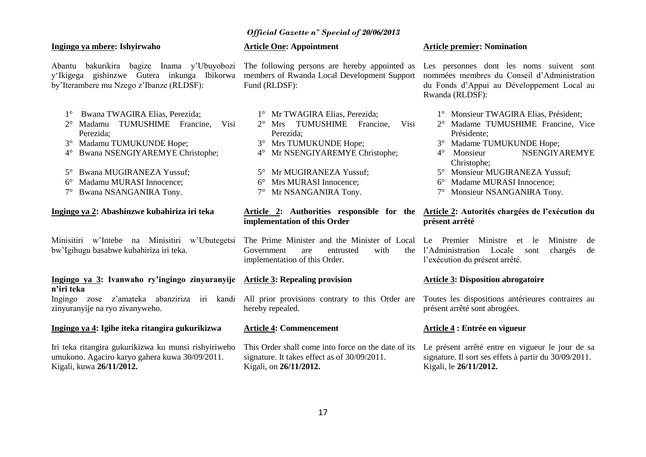### **Ingingo ya mbere: Ishyirwaho**

Abantu bakurikira bagize Inama y'Ubuyobozi The following persons are hereby appointed as y'Ikigega gishinzwe Gutera inkunga Ibikorwa by'Iterambere mu Nzego z'Ibanze (RLDSF):

- 1° Bwana TWAGIRA Elias, Perezida;
- 2° Madamu TUMUSHIME Francine, Visi Perezida;
- 3° Madamu TUMUKUNDE Hope;
- 4° Bwana NSENGIYAREMYE Christophe;
- 5° Bwana MUGIRANEZA Yussuf;
- 6° Madamu MURASI Innocence;
- 7° Bwana NSANGANIRA Tony.

### **Ingingo ya 2: Abashinzwe kubahiriza iri teka**

Minisitiri w'Intebe na Minisitiri w'Ubutegetsi The-Prime-Minister and the-Minister of Local Le Premier Ministre et le Ministre de bw'Igihugu basabwe kubahiriza iri teka.

### **Ingingo ya 3: Ivanwaho ry'ingingo zinyuranyije Article 3: Repealing provision n'iri teka**

zinyuranyije na ryo zivanyweho.

### **Ingingo ya 4: Igihe iteka ritangira gukurikizwa**

Iri teka ritangira gukurikizwa ku munsi rishyiriweho umukono. Agaciro karyo gahera kuwa 30/09/2011. Kigali, kuwa **26/11/2012.**

### **Article One: Appointment**

members of Rwanda Local Development Support Fund (RLDSF):

- 1° Mr TWAGIRA Elias, Perezida;
- 2° Mrs TUMUSHIME Francine, Visi Perezida;
- 3° Mrs TUMUKUNDE Hope;
- 4° Mr NSENGIYAREMYE Christophe;
- 5° Mr MUGIRANEZA Yussuf;
- 6° Mrs MURASI Innocence;
- 7° Mr NSANGANIRA Tony.

# **implementation of this Order**

Government are entrusted with implementation of this Order.

Ingingo zose z'amateka abanziriza iri kandi All prior provisions contrary to this Order are Toutes les dispositions antérieures contraires au hereby repealed.

### **Article 4: Commencement**

signature. It takes effect as of 30/09/2011. Kigali, on **26/11/2012.**

### **Article premier: Nomination**

Les personnes dont les noms suivent sont nommées membres du Conseil d'Administration du Fonds d'Appui au Développement Local au Rwanda (RLDSF):

- 1° Monsieur TWAGIRA Elias, Président;
- 2° Madame TUMUSHIME Francine, Vice Présidente;
- 3° Madame TUMUKUNDE Hope;
- 4° Monsieur NSENGIYAREMYE Christophe;
- 5° Monsieur MUGIRANEZA Yussuf;
- 6° Madame MURASI Innocence;
- 7° Monsieur NSANGANIRA Tony.

### **Article 2: Authorities responsible for the Article 2: Autorités chargées de l'exécution du présent arrêté**

l'Administration Locale sont chargés de l'exécution du présent arrêté.

### **Article 3: Disposition abrogatoire**

présent arrêté sont abrogées.

### **Article 4 : Entrée en vigueur**

This Order shall come into force on the date of its Le présent arrêté entre en vigueur le jour de sa signature. Il sort ses effets à partir du 30/09/2011. Kigali, le **26/11/2012.**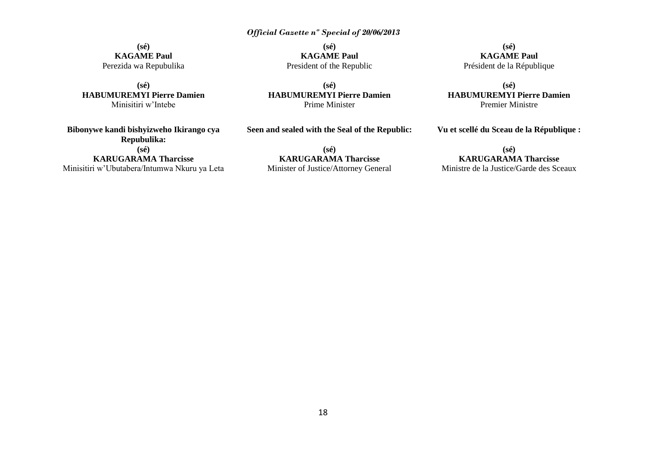**(sé) KAGAME Paul** Perezida wa Repubulika

**(sé) HABUMUREMYI Pierre Damien** Minisitiri w'Intebe

**Bibonywe kandi bishyizweho Ikirango cya Repubulika: (sé) KARUGARAMA Tharcisse** Minisitiri w'Ubutabera/Intumwa Nkuru ya Leta

**(sé) KAGAME Paul** President of the Republic

**(sé) HABUMUREMYI Pierre Damien** Prime Minister

**Seen and sealed with the Seal of the Republic:**

**(sé) KARUGARAMA Tharcisse** Minister of Justice/Attorney General

**(sé) KAGAME Paul** Président de la République

**(sé) HABUMUREMYI Pierre Damien** Premier Ministre

**Vu et scellé du Sceau de la République :**

**(sé) KARUGARAMA Tharcisse** Ministre de la Justice/Garde des Sceaux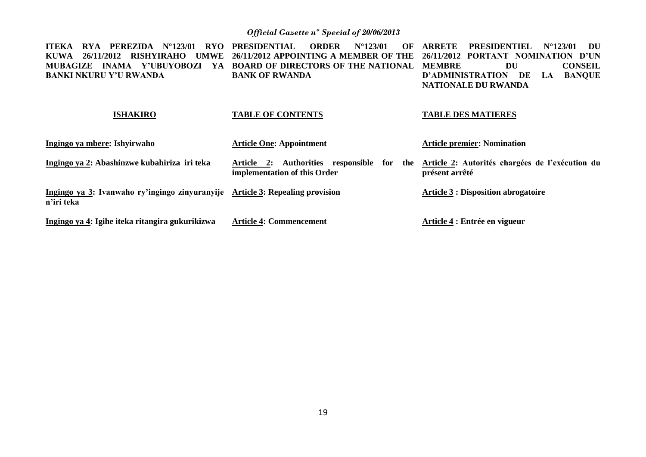| PEREZIDA<br>$N^{\circ}123/01$<br>ITEKA-<br><b>RYA</b><br>RYO. | <b>PRESIDENTIAL</b><br><b>ORDER</b><br>$N^{\circ}123/01$<br>OF                             | <b>ARRETE</b><br><b>PRESIDENTIEL</b><br>$N^{\circ}123/01$<br>DU   |
|---------------------------------------------------------------|--------------------------------------------------------------------------------------------|-------------------------------------------------------------------|
| KUWA  <br>26/11/2012<br>RISHYIRAHO<br><b>UMWE</b>             | 26/11/2012 APPOINTING A MEMBER OF THE                                                      | 26/11/2012 PORTANT NOMINATION D'UN                                |
| INAMA Y'UBUYOBOZI<br>MUBAGIZE<br>YA                           | <b>BOARD OF DIRECTORS OF THE NATIONAL</b>                                                  | <b>CONSEIL</b><br>DU<br><b>MEMBRE</b>                             |
| <b>BANKI NKURU Y'U RWANDA</b>                                 | <b>BANK OF RWANDA</b>                                                                      | <b>BANQUE</b><br>D'ADMINISTRATION DE<br>LA.                       |
|                                                               |                                                                                            | <b>NATIONALE DU RWANDA</b>                                        |
| <b>ISHAKIRO</b>                                               | <b>TABLE OF CONTENTS</b>                                                                   | <b>TABLE DES MATIERES</b>                                         |
| Ingingo ya mbere: Ishyirwaho                                  | <b>Article One: Appointment</b>                                                            | <b>Article premier: Nomination</b>                                |
| Ingingo ya 2: Abashinzwe kubahiriza iri teka                  | Authorities responsible<br>for<br><b>Article 2:</b><br>the<br>implementation of this Order | Article 2: Autorités chargées de l'exécution du<br>présent arrêté |
| Ingingo ya 3: Ivanwaho ry'ingingo zinyuranyije<br>n'iri teka  | <b>Article 3: Repealing provision</b>                                                      | <b>Article 3 : Disposition abrogatoire</b>                        |
| Ingingo ya 4: Igihe iteka ritangira gukurikizwa               | <b>Article 4: Commencement</b>                                                             | Article 4 : Entrée en vigueur                                     |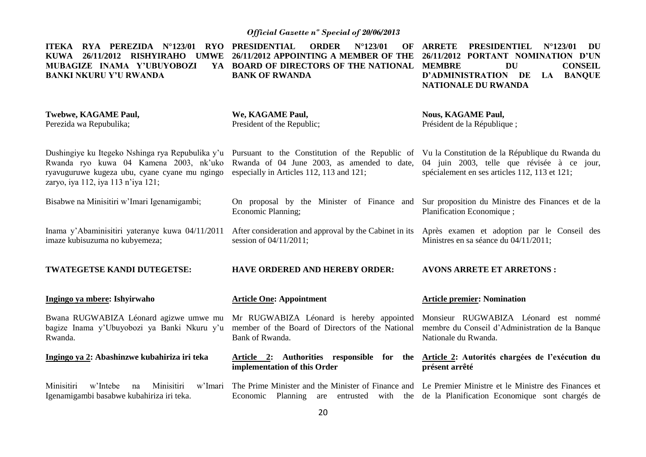| $RYA$ PEREZIDA $N^{\circ}123/01$<br>RYO<br><b>ITEKA</b><br>26/11/2012 RISHYIRAHO<br><b>KUWA</b><br><b>UMWE</b><br>MUBAGIZE INAMA Y'UBUYOBOZI<br><b>BANKI NKURU Y'U RWANDA</b> | <b>PRESIDENTIAL</b><br>$N^{\circ}$ 123/01<br><b>ORDER</b><br>OF<br>26/11/2012 APPOINTING A MEMBER OF THE<br>YA BOARD OF DIRECTORS OF THE NATIONAL MEMBRE<br><b>BANK OF RWANDA</b>                                                                                                       | <b>ARRETE</b><br><b>PRESIDENTIEL</b><br>$N^{\circ}$ 123/01<br>DU<br>26/11/2012 PORTANT NOMINATION D'UN<br><b>DU</b><br><b>CONSEIL</b><br>D'ADMINISTRATION DE<br><b>BANQUE</b><br>LA<br>NATIONALE DU RWANDA |
|-------------------------------------------------------------------------------------------------------------------------------------------------------------------------------|-----------------------------------------------------------------------------------------------------------------------------------------------------------------------------------------------------------------------------------------------------------------------------------------|------------------------------------------------------------------------------------------------------------------------------------------------------------------------------------------------------------|
| <b>Twebwe, KAGAME Paul,</b><br>Perezida wa Repubulika;                                                                                                                        | We, KAGAME Paul,<br>President of the Republic;                                                                                                                                                                                                                                          | <b>Nous, KAGAME Paul,</b><br>Président de la République;                                                                                                                                                   |
| Rwanda ryo kuwa 04 Kamena 2003, nk'uko<br>ryavuguruwe kugeza ubu, cyane cyane mu ngingo<br>zaryo, iya 112, iya 113 n'iya 121;                                                 | Dushingiye ku Itegeko Nshinga rya Repubulika y'u Pursuant to the Constitution of the Republic of Vu la Constitution de la République du Rwanda du<br>Rwanda of 04 June 2003, as amended to date, 04 juin 2003, telle que révisée à ce jour,<br>especially in Articles 112, 113 and 121; | spécialement en ses articles 112, 113 et 121;                                                                                                                                                              |
| Bisabwe na Minisitiri w'Imari Igenamigambi;                                                                                                                                   | On proposal by the Minister of Finance and<br>Economic Planning;                                                                                                                                                                                                                        | Sur proposition du Ministre des Finances et de la<br>Planification Economique;                                                                                                                             |
| Inama y'Abaminisitiri yateranye kuwa 04/11/2011<br>imaze kubisuzuma no kubyemeza;                                                                                             | After consideration and approval by the Cabinet in its<br>session of 04/11/2011;                                                                                                                                                                                                        | Après examen et adoption par le Conseil des<br>Ministres en sa séance du 04/11/2011;                                                                                                                       |
| TWATEGETSE KANDI DUTEGETSE:                                                                                                                                                   | <b>HAVE ORDERED AND HEREBY ORDER:</b>                                                                                                                                                                                                                                                   | <b>AVONS ARRETE ET ARRETONS:</b>                                                                                                                                                                           |
| Ingingo ya mbere: Ishyirwaho                                                                                                                                                  | <b>Article One: Appointment</b>                                                                                                                                                                                                                                                         | <b>Article premier: Nomination</b>                                                                                                                                                                         |
| Bwana RUGWABIZA Léonard agizwe umwe mu<br>bagize Inama y'Ubuyobozi ya Banki Nkuru y'u<br>Rwanda.                                                                              | Mr RUGWABIZA Léonard is hereby appointed<br>member of the Board of Directors of the National<br>Bank of Rwanda.                                                                                                                                                                         | Monsieur RUGWABIZA Léonard est nommé<br>membre du Conseil d'Administration de la Banque<br>Nationale du Rwanda.                                                                                            |
| Ingingo ya 2: Abashinzwe kubahiriza iri teka                                                                                                                                  | Article 2: Authorities responsible for the<br>implementation of this Order                                                                                                                                                                                                              | Article 2: Autorités chargées de l'exécution du<br>présent arrêté                                                                                                                                          |
| w'Imari<br>Minisitiri<br>w'Intebe<br>Minisitiri<br>na<br>Igenamigambi basabwe kubahiriza iri teka.                                                                            | The Prime Minister and the Minister of Finance and Le Premier Ministre et le Ministre des Finances et<br>Economic                                                                                                                                                                       | Planning are entrusted with the de la Planification Economique sont chargés de                                                                                                                             |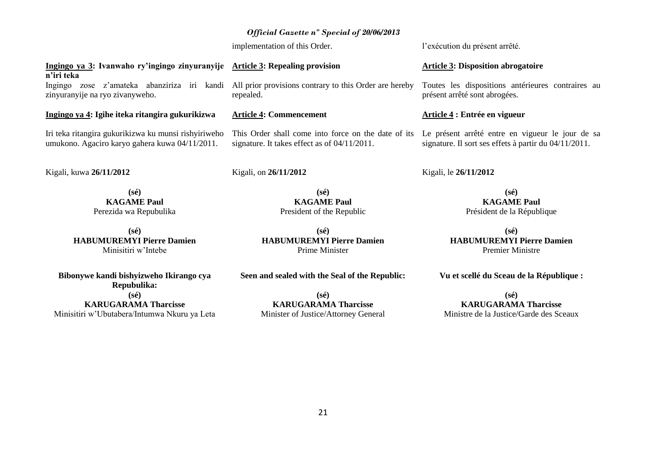$21$ 

# President of the Republic

**(sé) HABUMUREMYI Pierre Damien** Prime Minister

### **Seen and sealed with the Seal of the Republic:**

**(sé) KARUGARAMA Tharcisse** Minister of Justice/Attorney General **KAGAME Paul**

**(sé) HABUMUREMYI Pierre Damien** Premier Ministre

**Vu et scellé du Sceau de la République :**

**(sé) KARUGARAMA Tharcisse** Ministre de la Justice/Garde des Sceaux

# **Article 4 : Entrée en vigueur**

Le présent arrêté entre en vigueur le jour de sa signature. Il sort ses effets à partir du 04/11/2011.

# *Official Gazette nº Special of 20/06/2013*

implementation of this Order.

#### **Ingingo ya 3: Ivanwaho ry'ingingo zinyuranyije n'iri teka Article 3: Repealing provision**

Ingingo zose z'amateka abanziriza iri kandi zinyuranyije na ryo zivanyweho.

### **Ingingo ya 4: Igihe iteka ritangira gukurikizwa**

Iri teka ritangira gukurikizwa ku munsi rishyiriweho umukono. Agaciro karyo gahera kuwa 04/11/2011.

Kigali, kuwa **26/11/2012**

**(sé) KAGAME Paul** Perezida wa Repubulika

**(sé) HABUMUREMYI Pierre Damien** Minisitiri w'Intebe

**Bibonywe kandi bishyizweho Ikirango cya Repubulika: (sé) KARUGARAMA Tharcisse** Minisitiri w'Ubutabera/Intumwa Nkuru ya Leta **Article 4: Commencement**

All prior provisions contrary to this Order are hereby

This Order shall come into force on the date of its signature. It takes effect as of 04/11/2011.

### Kigali, on **26/11/2012**

repealed.

**(sé) KAGAME Paul**

# Président de la République

**(sé)**

Kigali, le **26/11/2012**

**Article 3: Disposition abrogatoire**

Toutes les dispositions antérieures contraires au présent arrêté sont abrogées.

l'exécution du présent arrêté.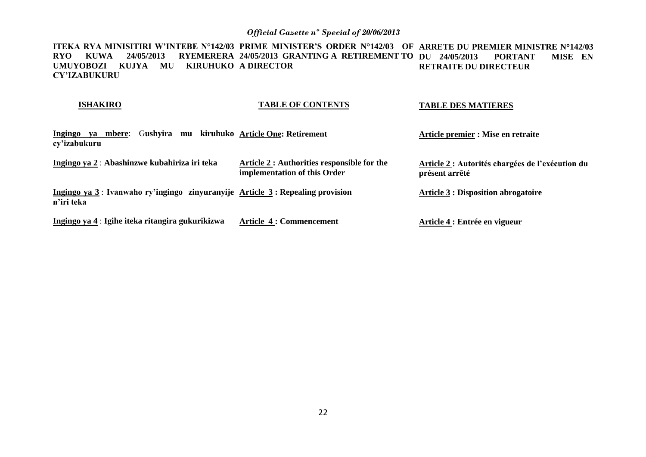**ITEKA RYA MINISITIRI W'INTEBE N°142/03 PRIME MINISTER'S ORDER N°142/03 OF ARRETE DU PREMIER MINISTRE N142/03 RYO KUWA 24/05/2013 RYEMERERA 24/05/2013 GRANTING A RETIREMENT TO DU 24/05/2013 PORTANT MISE EN UMUYOBOZI KUJYA MU KIRUHUKO A DIRECTOR CY'IZABUKURU RETRAITE DU DIRECTEUR** 

### **ISHAKIRO**

### **TABLE OF CONTENTS**

### **TABLE DES MATIERES**

| <b>Ingingo</b><br>ya mbere:<br>cy'izabukuru      | Gushvira | mu kiruhuko Article One: Retirement                                             | Article premier : Mise en retraite                                 |
|--------------------------------------------------|----------|---------------------------------------------------------------------------------|--------------------------------------------------------------------|
| Ingingo ya 2 : Abashinzwe kubahiriza iri teka    |          | Article 2 : Authorities responsible for the<br>implementation of this Order     | Article 2 : Autorités chargées de l'exécution du<br>présent arrêté |
| n'iri teka                                       |          | Ingingo ya 3 : Ivanwaho ry'ingingo zinyuranyije Article 3 : Repealing provision | <b>Article 3 : Disposition abrogatoire</b>                         |
| Ingingo ya 4 : Igihe iteka ritangira gukurikizwa |          | <b>Article 4: Commencement</b>                                                  | Article 4 : Entrée en vigueur                                      |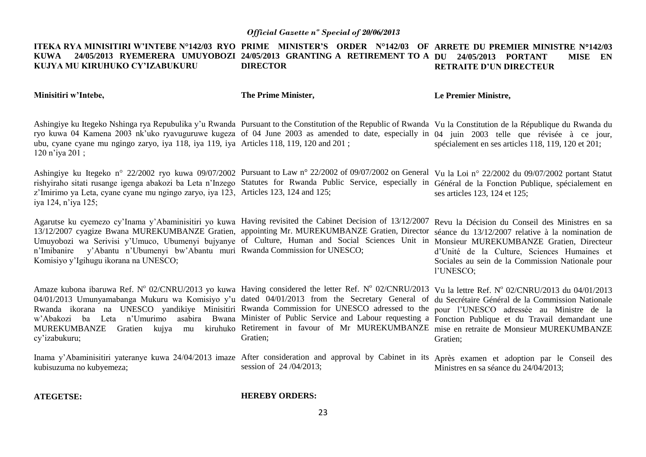#### **ITEKA RYA MINISITIRI W'INTEBE N°142/03 RYO PRIME MINISTER'S ORDER N°142/03 OF ARRETE DU PREMIER MINISTRE N142/03 KUWA 24/05/2013 RYEMERERA UMUYOBOZI 24/05/2013 GRANTING A RETIREMENT TO A DU 24/05/2013 PORTANT MISE EN KUJYA MU KIRUHUKO CY'IZABUKURU DIRECTOR RETRAITE D'UN DIRECTEUR**

**Minisitiri w'Intebe,**

**The Prime Minister,**

**Le Premier Ministre,**

Ashingiye ku Itegeko Nshinga rya Repubulika y'u Rwanda Pursuant to the Constitution of the Republic of Rwanda Vu la Constitution de la République du Rwanda du ryo kuwa 04 Kamena 2003 nk'uko ryavuguruwe kugeza of 04 June 2003 as amended to date, especially in 04 juin 2003 telle que révisée à ce jour, ubu, cyane cyane mu ngingo zaryo, iya 118, iya 119, iya Articles 118, 119, 120 and 201 ; 120 n'iya 201 ; spécialement en ses articles 118, 119, 120 et 201;

Ashingiye ku Itegeko n° 22/2002 ryo kuwa 09/07/2002 Pursuant to Law n° 22/2002 of 09/07/2002 on General Vu la Loi n° 22/2002 du 09/07/2002 portant Statut rishyiraho sitati rusange igenga abakozi ba Leta n'Inzego Statutes for Rwanda Public Service, especially in Général de la Fonction Publique, spécialement en z'Imirimo ya Leta, cyane cyane mu ngingo zaryo, iya 123, Articles 123, 124 and 125; iya 124, n'iya 125; ses articles 123, 124 et 125;

Agarutse ku cyemezo cy'Inama y'Abaminisitiri yo kuwa Having revisited the Cabinet Decision of 13/12/2007 Revu la Décision du Conseil des Ministres en sa 13/12/2007 cyagize Bwana MUREKUMBANZE Gratien, appointing Mr. MUREKUMBANZE Gratien, Director séance du 13/12/2007 relative à la nomination de Umuyobozi wa Serivisi y'Umuco, Ubumenyi bujyanye of Culture, Human and Social Sciences Unit in Monsieur MUREKUMBANZE Gratien, Directeur n'Imibanire y'Abantu n'Ubumenyi bw'Abantu muri Rwanda Commission for UNESCO; Komisiyo y'Igihugu ikorana na UNESCO;

d'Unité de la Culture, Sciences Humaines et Sociales au sein de la Commission Nationale pour l'UNESCO;

Amaze kubona ibaruwa Ref. Nº 02/CNRU/2013 yo kuwa Having considered the letter Ref. Nº 02/CNRU/2013 Vu la lettre Ref. Nº 02/CNRU/2013 du 04/01/2013 04/01/2013 Umunyamabanga Mukuru wa Komisiyo y'u dated 04/01/2013 from the Secretary General of du Secrétaire Général de la Commission Nationale Rwanda ikorana na UNESCO yandikiye Minisitiri Rwanda Commission for UNESCO adressed to the pour l'UNESCO adressée au Ministre de la w'Abakozi ba Leta n'Umurimo asabira Bwana Minister of Public Service and Labour requesting a Fonction Publique et du Travail demandant une MUREKUMBANZE Gratien kujya mu kiruhuko Retirement in favour of Mr MUREKUMBANZE mise en retraite de Monsieur MUREKUMBANZE cy'izabukuru; Gratien; Gratien;

Inama y'Abaminisitiri yateranye kuwa 24/04/2013 imaze After consideration and approval by Cabinet in its Après examen et adoption par le Conseil des kubisuzuma no kubyemeza; session of 24 /04/2013; Ministres en sa séance du 24/04/2013;

**ATEGETSE:**

**HEREBY ORDERS:**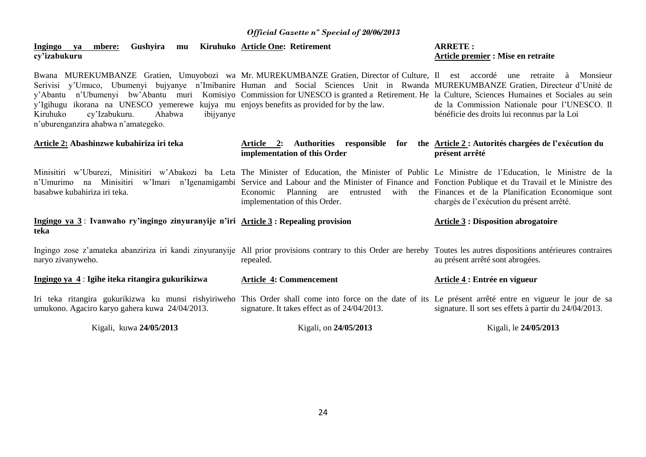### **Ingingo ya mbere: Gushyira mu Kiruhuko Article One: Retirement cy'izabukuru**

Bwana MUREKUMBANZE Gratien, Umuyobozi wa Mr. MUREKUMBANZE Gratien, Director of Culture, Il est accordé une retraite à Monsieur Serivisi y'Umuco, Ubumenyi bujyanye n'Imibanire Human and Social Sciences Unit in Rwanda MUREKUMBANZE Gratien, Directeur d'Unité de y'Abantu n'Ubumenyi bw'Abantu muri Komisiyo Commission for UNESCO is granted a Retirement. He la Culture, Sciences Humaines et Sociales au sein y'Igihugu ikorana na UNESCO yemerewe kujya mu enjoys benefits as provided for by the law. Kiruhuko cy'Izabukuru. Ahabwa ibijyanye n'uburenganzira ahabwa n'amategeko.

### **ARRETE : Article premier : Mise en retraite**

de la Commission Nationale pour l'UNESCO. Il bénéficie des droits lui reconnus par la Loi

| Article 2: Abashinzwe kubahiriza iri teka                                                                                                                                                                                                                                                                                                  | Article 2: Authorities responsible<br>for<br>implementation of this Order                                                 | the Article 2: Autorités chargées de l'exécution du<br>présent arrêté |
|--------------------------------------------------------------------------------------------------------------------------------------------------------------------------------------------------------------------------------------------------------------------------------------------------------------------------------------------|---------------------------------------------------------------------------------------------------------------------------|-----------------------------------------------------------------------|
| Minisitiri w'Uburezi, Minisitiri w'Abakozi ba Leta The Minister of Education, the Minister of Public Le Ministre de l'Education, le Ministre de la<br>n'Umurimo na Minisitiri w'Imari n'Igenamigambi Service and Labour and the Minister of Finance and Fonction Publique et du Travail et le Ministre des<br>basabwe kubahiriza iri teka. | Economic Planning are entrusted with the Finances et de la Planification Economique sont<br>implementation of this Order. | chargés de l'exécution du présent arrêté.                             |
| Ingingo ya 3: Ivanwaho ry'ingingo zinyuranyije n'iri Article 3: Repealing provision<br>teka                                                                                                                                                                                                                                                |                                                                                                                           | <b>Article 3 : Disposition abrogatoire</b>                            |
| Ingingo zose z'amateka abanziriza iri kandi zinyuranyije All prior provisions contrary to this Order are hereby Toutes les autres dispositions antérieures contraires<br>naryo zivanyweho.                                                                                                                                                 | repealed.                                                                                                                 | au présent arrêté sont abrogées.                                      |
| Ingingo ya 4 : Igihe iteka ritangira gukurikizwa                                                                                                                                                                                                                                                                                           | <b>Article 4: Commencement</b>                                                                                            | Article 4 : Entrée en vigueur                                         |
| Iri teka ritangira gukurikizwa ku munsi rishyiriweho This Order shall come into force on the date of its Le présent arrêté entre en vigueur le jour de sa<br>umukono. Agaciro karyo gahera kuwa 24/04/2013.                                                                                                                                | signature. It takes effect as of 24/04/2013.                                                                              | signature. Il sort ses effets à partir du 24/04/2013.                 |
| Kigali, kuwa 24/05/2013                                                                                                                                                                                                                                                                                                                    | Kigali, on 24/05/2013                                                                                                     | Kigali, le 24/05/2013                                                 |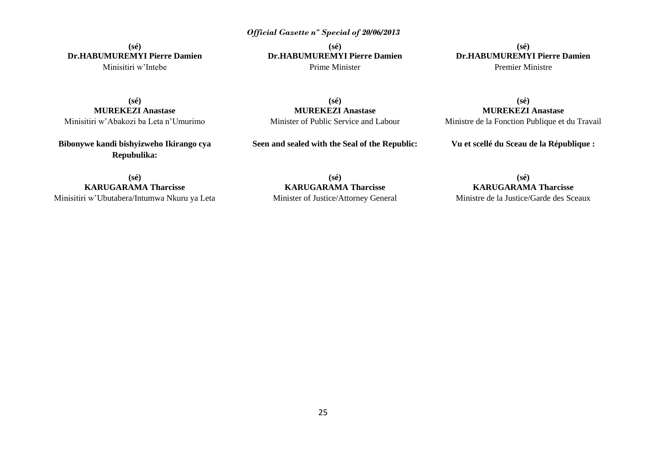**(sé) Dr.HABUMUREMYI Pierre Damien** Minisitiri w'Intebe

**(sé) Dr.HABUMUREMYI Pierre Damien** Prime Minister

**(sé) Dr.HABUMUREMYI Pierre Damien** Premier Ministre

**(sé) MUREKEZI Anastase** Minisitiri w'Abakozi ba Leta n'Umurimo

**Bibonywe kandi bishyizweho Ikirango cya Repubulika:**

**(sé) MUREKEZI Anastase** Minister of Public Service and Labour

**Seen and sealed with the Seal of the Republic:**

**(sé) MUREKEZI Anastase** Ministre de la Fonction Publique et du Travail

**Vu et scellé du Sceau de la République :**

**(sé) KARUGARAMA Tharcisse** Minisitiri w'Ubutabera/Intumwa Nkuru ya Leta

**(sé) KARUGARAMA Tharcisse** Minister of Justice/Attorney General

**(sé) KARUGARAMA Tharcisse** Ministre de la Justice/Garde des Sceaux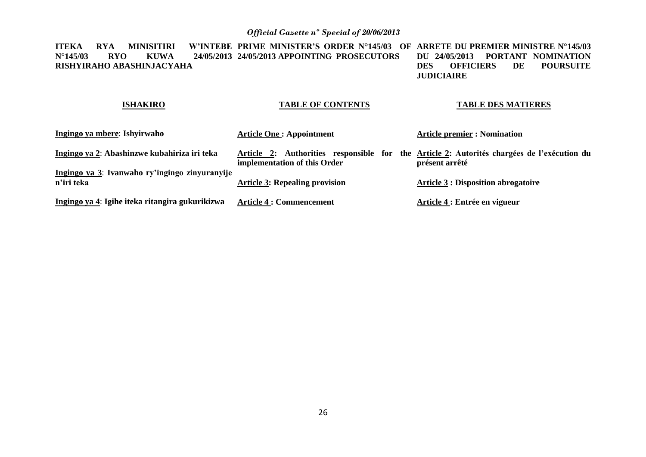**ITEKA RYA MINISITIRI W'INTEBE PRIME MINISTER'S ORDER N°145/03 OF ARRETE DU PREMIER MINISTRE N°145/03 N°145/03 RYO KUWA 24/05/2013 24/05/2013 APPOINTING PROSECUTORS RISHYIRAHO ABASHINJACYAHA DU 24/05/2013 PORTANT NOMINATION POURSUITE JUDICIAIRE** 

### **ISHAKIRO**

### **TABLE OF CONTENTS**

### **TABLE DES MATIERES**

| Ingingo ya mbere: Ishyirwaho                                 | <b>Article One: Appointment</b>       | <b>Article premier : Nomination</b>                                                                          |
|--------------------------------------------------------------|---------------------------------------|--------------------------------------------------------------------------------------------------------------|
| Ingingo ya 2: Abashinzwe kubahiriza iri teka                 | implementation of this Order          | Article 2: Authorities responsible for the Article 2: Autorités chargées de l'exécution du<br>présent arrêté |
| Ingingo ya 3: Ivanwaho ry'ingingo zinyuranyije<br>n'iri teka | <b>Article 3: Repealing provision</b> | <b>Article 3: Disposition abrogatoire</b>                                                                    |
| Ingingo ya 4: Igihe iteka ritangira gukurikizwa              | <b>Article 4 : Commencement</b>       | Article 4 : Entrée en vigueur                                                                                |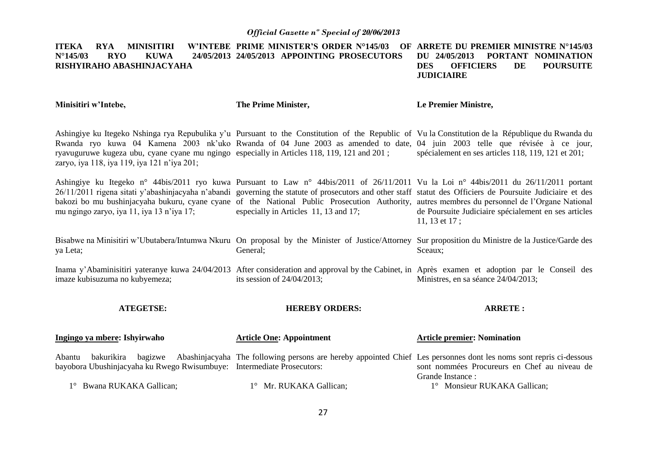#### **ITEKA RYA MINISITIRI N°145/03 RYO KUWA 24/05/2013 24/05/2013 APPOINTING PROSECUTORS RISHYIRAHO ABASHINJACYAHA W'INTEBE PRIME MINISTER'S ORDER N°145/03 ARRETE DU PREMIER MINISTRE N°145/03 DU 24/05/2013 PORTANT NOMINATION DES OFFICIERS DE POURSUITE**

**JUDICIAIRE** 

**Minisitiri w'Intebe,**

**The Prime Minister,**

**Le Premier Ministre,**

Ashingiye ku Itegeko Nshinga rya Repubulika y'u Pursuant to the Constitution of the Republic of Vu la Constitution de la République du Rwanda du Rwanda ryo kuwa 04 Kamena 2003 nk'uko Rwanda of 04 June 2003 as amended to date, 04 juin 2003 telle que révisée à ce jour, ryavuguruwe kugeza ubu, cyane cyane mu ngingo especially in Articles 118, 119, 121 and 201 ; zaryo, iya 118, iya 119, iya 121 n'iya 201; spécialement en ses articles 118, 119, 121 et 201;

Ashingiye ku Itegeko n° 44bis/2011 ryo kuwa Pursuant to Law n° 44bis/2011 of 26/11/2011 Vu la Loi n° 44bis/2011 du 26/11/2011 portant 26/11/2011 rigena sitati y'abashinjacyaha n'abandi governing the statute of prosecutors and other staff statut des Officiers de Poursuite Judiciaire et des bakozi bo mu bushinjacyaha bukuru, cyane cyane of the National Public Prosecution Authority, autres membres du personnel de l'Organe National mu ngingo zaryo, iya 11, iya 13 n'iya 17; especially in Articles 11, 13 and 17; de Poursuite Judiciaire spécialement en ses articles 11, 13 et 17 ;

Bisabwe na Minisitiri w'Ubutabera/Intumwa Nkuru On proposal by the Minister of Justice/Attorney Sur proposition du Ministre de la Justice/Garde des ya Leta; General; Sceaux;

Inama y'Abaminisitiri yateranye kuwa 24/04/2013 After consideration and approval by the Cabinet, in Après examen et adoption par le Conseil des imaze kubisuzuma no kubyemeza; its session of 24/04/2013; Ministres, en sa séance 24/04/2013;

**ATEGETSE:**

**HEREBY ORDERS:**

**ARRETE :**

| Ingingo ya mbere: Ishyirwaho                                                                   | <b>Article One: Appointment</b> | <b>Article premier: Nomination</b>                                                                                                                                                              |
|------------------------------------------------------------------------------------------------|---------------------------------|-------------------------------------------------------------------------------------------------------------------------------------------------------------------------------------------------|
| Abantu<br>bakurikira<br>bayobora Ubushinjacyaha ku Rwego Rwisumbuye: Intermediate Prosecutors: |                                 | bagizwe Abashinjacyaha The following persons are hereby appointed Chief Les personnes dont les noms sont repris ci-dessous<br>sont nommées Procureurs en Chef au niveau de<br>Grande Instance : |
| 1° Bwana RUKAKA Gallican;                                                                      | 1° Mr. RUKAKA Gallican;         | 1° Monsieur RUKAKA Gallican;                                                                                                                                                                    |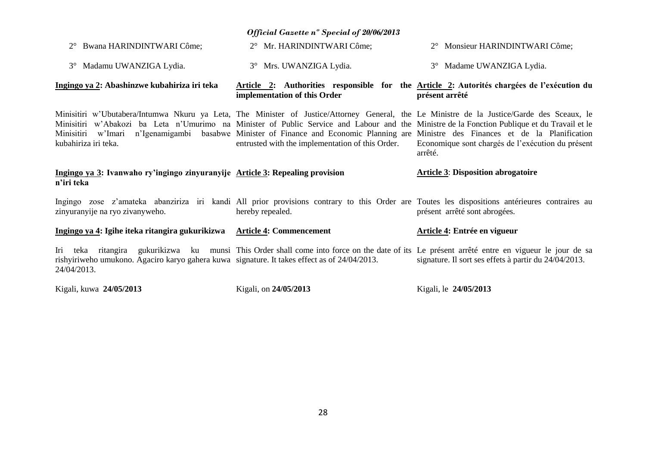| 2° Bwana HARINDINTWARI Côme;                                                                                | 2° Mr. HARINDINTWARI Côme;                                                                                                                                                                                                                                                                                                                                                                                                                                                  | 2° Monsieur HARINDINTWARI Côme;                                                                              |
|-------------------------------------------------------------------------------------------------------------|-----------------------------------------------------------------------------------------------------------------------------------------------------------------------------------------------------------------------------------------------------------------------------------------------------------------------------------------------------------------------------------------------------------------------------------------------------------------------------|--------------------------------------------------------------------------------------------------------------|
| 3° Madamu UWANZIGA Lydia.                                                                                   | 3° Mrs. UWANZIGA Lydia.                                                                                                                                                                                                                                                                                                                                                                                                                                                     | 3° Madame UWANZIGA Lydia.                                                                                    |
| Ingingo ya 2: Abashinzwe kubahiriza iri teka                                                                | implementation of this Order                                                                                                                                                                                                                                                                                                                                                                                                                                                | Article 2: Authorities responsible for the Article 2: Autorités chargées de l'exécution du<br>présent arrêté |
| Minisitiri<br>kubahiriza iri teka.                                                                          | Minisitiri w'Ubutabera/Intumwa Nkuru ya Leta, The Minister of Justice/Attorney General, the Le Ministre de la Justice/Garde des Sceaux, le<br>Minisitiri w'Abakozi ba Leta n'Umurimo na Minister of Public Service and Labour and the Ministre de la Fonction Publique et du Travail et le<br>w'Imari n'Igenamigambi basabwe Minister of Finance and Economic Planning are Ministre des Finances et de la Planification<br>entrusted with the implementation of this Order. | Economique sont chargés de l'exécution du présent<br>arrêté.                                                 |
| Ingingo ya 3: Ivanwaho ry'ingingo zinyuranyije Article 3: Repealing provision<br>n'iri teka                 |                                                                                                                                                                                                                                                                                                                                                                                                                                                                             | <b>Article 3: Disposition abrogatoire</b>                                                                    |
| zinyuranyije na ryo zivanyweho.                                                                             | Ingingo zose z'amateka abanziriza iri kandi All prior provisions contrary to this Order are Toutes les dispositions antérieures contraires au<br>hereby repealed.                                                                                                                                                                                                                                                                                                           | présent arrêté sont abrogées.                                                                                |
| Ingingo ya 4: Igihe iteka ritangira gukurikizwa Article 4: Commencement                                     |                                                                                                                                                                                                                                                                                                                                                                                                                                                                             | Article 4: Entrée en vigueur                                                                                 |
| rishyiriweho umukono. Agaciro karyo gahera kuwa signature. It takes effect as of 24/04/2013.<br>24/04/2013. | Iri teka ritangira gukurikizwa ku munsi This Order shall come into force on the date of its Le présent arrêté entre en vigueur le jour de sa                                                                                                                                                                                                                                                                                                                                | signature. Il sort ses effets à partir du 24/04/2013.                                                        |
|                                                                                                             |                                                                                                                                                                                                                                                                                                                                                                                                                                                                             |                                                                                                              |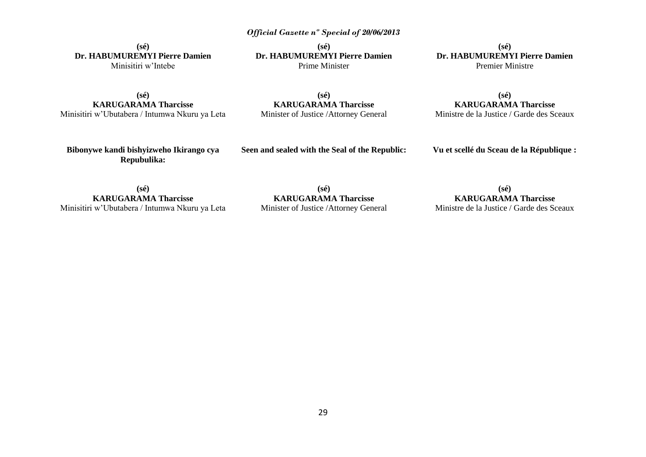**(sé) Dr. HABUMUREMYI Pierre Damien** Minisitiri w'Intebe

**(sé) KARUGARAMA Tharcisse** Minisitiri w'Ubutabera / Intumwa Nkuru ya Leta

**(sé) Dr. HABUMUREMYI Pierre Damien** Prime Minister

**(sé) Dr. HABUMUREMYI Pierre Damien** Premier Ministre

**(sé) KARUGARAMA Tharcisse** Minister of Justice /Attorney General

**(sé) KARUGARAMA Tharcisse** Ministre de la Justice / Garde des Sceaux

**Bibonywe kandi bishyizweho Ikirango cya Repubulika:**

**Seen and sealed with the Seal of the Republic:**

**Vu et scellé du Sceau de la République :**

**(sé) KARUGARAMA Tharcisse** Minisitiri w'Ubutabera / Intumwa Nkuru ya Leta

**(sé) KARUGARAMA Tharcisse** Minister of Justice /Attorney General

**(sé) KARUGARAMA Tharcisse** Ministre de la Justice / Garde des Sceaux

29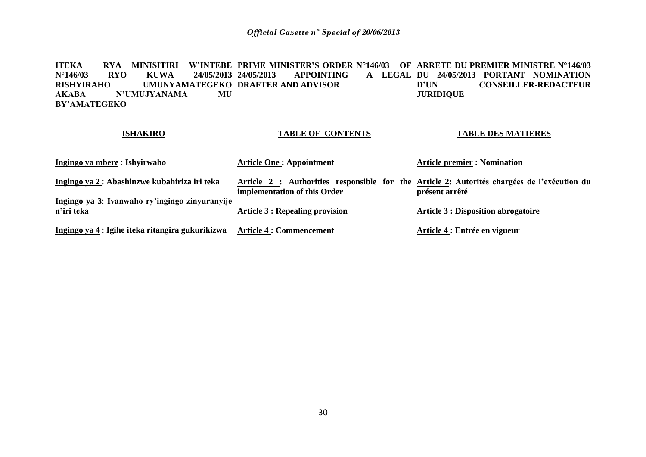**ITEKA RYA MINISITIRI W'INTEBE PRIME MINISTER'S ORDER N°146/03 OF ARRETE DU PREMIER MINISTRE N°146/03 N°146/03 RYO KUWA 24/05/2013 RISHYIRAHO UMUNYAMATEGEKO DRAFTER AND ADVISOR AKABA N'UMUJYANAMA MU BY'AMATEGEKO APPOINTING DU 24/05/2013 PORTANT NOMINATION D'UN CONSEILLER-REDACTEUR JURIDIQUE** 

### **ISHAKIRO**

### **TABLE OF CONTENTS**

### **TABLE DES MATIERES**

| Ingingo ya mbere : Ishyirwaho                                | <b>Article One: Appointment</b>                                                                                             | <b>Article premier : Nomination</b>        |
|--------------------------------------------------------------|-----------------------------------------------------------------------------------------------------------------------------|--------------------------------------------|
| Ingingo ya 2: Abashinzwe kubahiriza iri teka                 | Article 2 : Authorities responsible for the Article 2: Autorités chargées de l'exécution du<br>implementation of this Order | présent arrêté                             |
| Ingingo ya 3: Ivanwaho ry'ingingo zinyuranyije<br>n'iri teka | <b>Article 3 : Repealing provision</b>                                                                                      | <b>Article 3 : Disposition abrogatoire</b> |
| Ingingo ya 4 : Igihe iteka ritangira gukurikizwa             | <b>Article 4 : Commencement</b>                                                                                             | Article 4 : Entrée en vigueur              |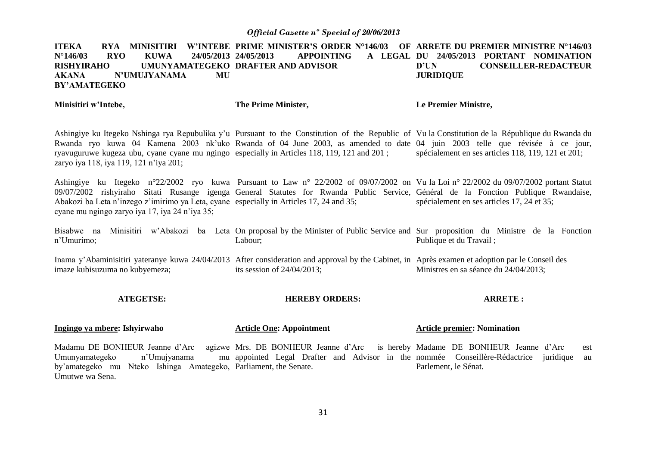**ITEKA – RYA MINISITIRI W'INTEBE PRIME MINISTER'S ORDER N°146/03 OF ARRETE DU PREMIER MINISTRE N°146/03 N°146/03 RYO KUWA 24/05/2013 24/05/2013<br>RISHYIRAHO UMUNYAMATEGEKO DRAFTER RISHYIRAHO UMUNYAMATEGEKO DRAFTER AND ADVISOR AKANA N'UMUJYANAMA MU BY'AMATEGEKO APPOINTING DU 24/05/2013 PORTANT NOMINATION D'UN CONSEILLER-REDACTEUR JURIDIQUE** 

**Minisitiri w'Intebe, The Prime Minister, Le Premier Ministre,**

Umutwe wa Sena.

Ashingiye ku Itegeko Nshinga rya Repubulika y'u Pursuant to the Constitution of the Republic of Vu la Constitution de la République du Rwanda du Rwanda ryo kuwa 04 Kamena 2003 nk'uko Rwanda of 04 June 2003, as amended to date 04 juin 2003 telle que révisée à ce jour, ryavuguruwe kugeza ubu, cyane cyane mu ngingo especially in Articles 118, 119, 121 and 201 ; zaryo iya 118, iya 119, 121 n'iya 201; spécialement en ses articles 118, 119, 121 et 201;

Ashingiye ku Itegeko n°22/2002 ryo kuwa Pursuant to Law n° 22/2002 of 09/07/2002 on Vu la Loi n° 22/2002 du 09/07/2002 portant Statut 09/07/2002 rishyiraho Sitati Rusange igenga General Statutes for Rwanda Public Service, Général de la Fonction Publique Rwandaise, Abakozi ba Leta n'inzego z'imirimo ya Leta, cyane especially in Articles 17, 24 and 35; cyane mu ngingo zaryo iya 17, iya 24 n'iya 35; spécialement en ses articles 17, 24 et 35;

Bisabwe na Minisitiri w'Abakozi ba Leta On-proposal-by-the-Minister-of-Public-Service-and-Sur-proposition du Ministre de la Fonction n'Umurimo; Labour; Publique et du Travail ;

Inama y'Abaminisitiri yateranye kuwa 24/04/2013 After consideration and approval by the Cabinet, in Après examen et adoption par le Conseil des imaze kubisuzuma no kubyemeza; its session of 24/04/2013; Ministres en sa séance du 24/04/2013;

#### **ATEGETSE: HEREBY ORDERS: ARRETE :**

| Ingingo ya mbere: Ishyirwaho                                     | <b>Article One: Appointment</b>                                                                             | <b>Article premier: Nomination</b> |
|------------------------------------------------------------------|-------------------------------------------------------------------------------------------------------------|------------------------------------|
|                                                                  | Madamu DE BONHEUR Jeanne d'Arc agizwe Mrs. DE BONHEUR Jeanne d'Arc is hereby Madame DE BONHEUR Jeanne d'Arc | est                                |
| Umunyamategeko<br>n'Umujyanama                                   | mu appointed Legal Drafter and Advisor in the nommée Conseillère-Rédactrice juridique au                    |                                    |
| by'amategeko mu Nteko Ishinga Amategeko, Parliament, the Senate. |                                                                                                             | Parlement, le Sénat.               |

31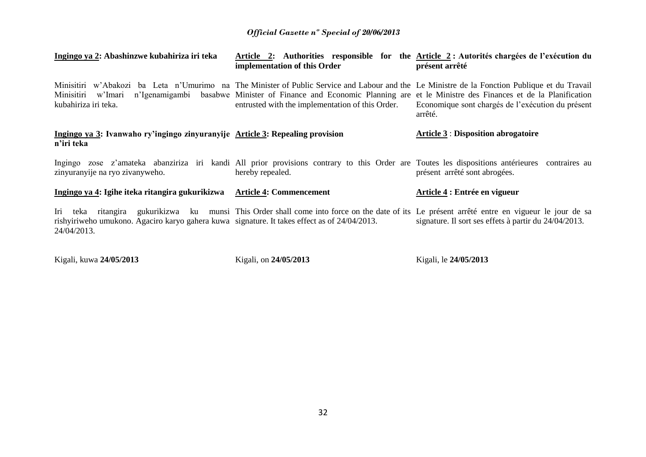| Ingingo ya 2: Abashinzwe kubahiriza iri teka                                                                                                                                                | Article 2: Authorities responsible for the Article 2: Autorités chargées de l'exécution du<br>implementation of this Order                                                  | présent arrêté                                               |
|---------------------------------------------------------------------------------------------------------------------------------------------------------------------------------------------|-----------------------------------------------------------------------------------------------------------------------------------------------------------------------------|--------------------------------------------------------------|
| Minisitiri w'Abakozi ba Leta n'Umurimo na The Minister of Public Service and Labour and the Le Ministre de la Fonction Publique et du Travail<br>Minisitiri w'Imari<br>kubahiriza iri teka. | n'Igenamigambi basabwe Minister of Finance and Economic Planning are et le Ministre des Finances et de la Planification<br>entrusted with the implementation of this Order. | Economique sont chargés de l'exécution du présent<br>arrêté. |
| Ingingo ya 3: Ivanwaho ry'ingingo zinyuranyije Article 3: Repealing provision<br>n'iri teka                                                                                                 |                                                                                                                                                                             | <b>Article 3 : Disposition abrogatoire</b>                   |
| zinyuranyije na ryo zivanyweho.                                                                                                                                                             | Ingingo zose z'amateka abanziriza iri kandi All prior provisions contrary to this Order are Toutes les dispositions antérieures contraires au<br>hereby repealed.           | présent arrêté sont abrogées.                                |
| Ingingo ya 4: Igihe iteka ritangira gukurikizwa                                                                                                                                             | <b>Article 4: Commencement</b>                                                                                                                                              | Article 4 : Entrée en vigueur                                |
| rishyiriweho umukono. Agaciro karyo gahera kuwa signature. It takes effect as of 24/04/2013.<br>24/04/2013.                                                                                 | Iri teka ritangira gukurikizwa ku munsi This Order shall come into force on the date of its Le présent arrêté entre en vigueur le jour de sa                                | signature. Il sort ses effets à partir du 24/04/2013.        |

Kigali, kuwa **24/05/2013** Kigali, on **24/05/2013** Kigali, le **24/05/2013**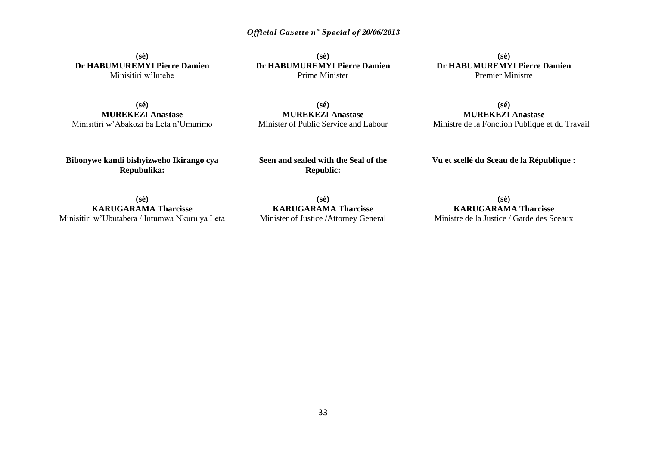**(sé) Dr HABUMUREMYI Pierre Damien** Minisitiri w'Intebe

**(sé) MUREKEZI Anastase** Minisitiri w'Abakozi ba Leta n'Umurimo

**(sé) Dr HABUMUREMYI Pierre Damien** Prime Minister

**(sé) Dr HABUMUREMYI Pierre Damien** Premier Ministre

**(sé) MUREKEZI Anastase** Minister of Public Service and Labour

**(sé) MUREKEZI Anastase** Ministre de la Fonction Publique et du Travail

**Bibonywe kandi bishyizweho Ikirango cya Repubulika:**

**Seen and sealed with the Seal of the Republic:**

**Vu et scellé du Sceau de la République :**

**(sé) KARUGARAMA Tharcisse** Minisitiri w'Ubutabera / Intumwa Nkuru ya Leta

**(sé) KARUGARAMA Tharcisse** Minister of Justice /Attorney General

**(sé) KARUGARAMA Tharcisse** Ministre de la Justice / Garde des Sceaux

33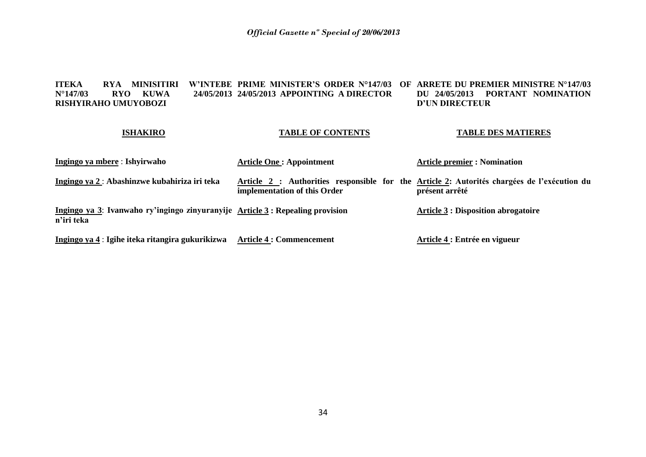#### **ITEKA – RYA MINISITIRI W'INTEBE PRIME MINISTER'S ORDER N°147/03 OF ARRETE DU PREMIER MINISTRE N°147/03 N°147/03 RYO KUWA RISHYIRAHO UMUYOBOZI 24/05/2013 APPOINTING A DIRECTOR DU 24/05/2013 PORTANT NOMINATION D'UN DIRECTEUR**

### **ISHAKIRO**

### **TABLE OF CONTENTS**

### **TABLE DES MATIERES**

| Ingingo ya mbere : Ishyirwaho                                                               | <b>Article One: Appointment</b>                                                                                             | <b>Article premier : Nomination</b>        |
|---------------------------------------------------------------------------------------------|-----------------------------------------------------------------------------------------------------------------------------|--------------------------------------------|
| Ingingo ya 2 : Abashinzwe kubahiriza iri teka                                               | Article 2 : Authorities responsible for the Article 2: Autorités chargées de l'exécution du<br>implementation of this Order | présent arrêté                             |
| Ingingo ya 3: Ivanwaho ry'ingingo zinyuranyije Article 3: Repealing provision<br>n'iri teka |                                                                                                                             | <b>Article 3 : Disposition abrogatoire</b> |
| Ingingo ya 4 : Igihe iteka ritangira gukurikizwa                                            | <b>Article 4 : Commencement</b>                                                                                             | Article 4 : Entrée en vigueur              |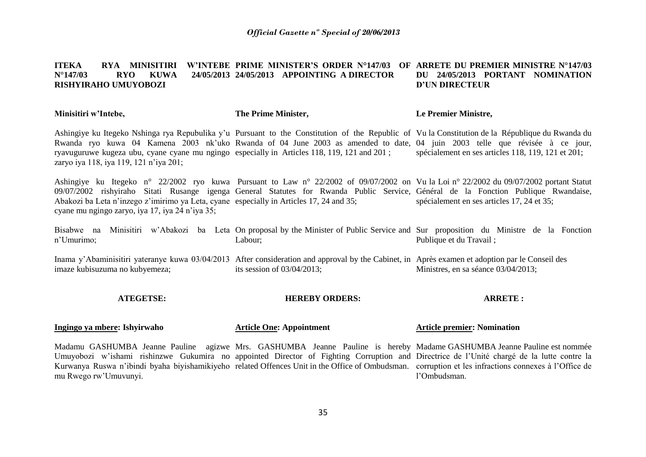#### **ITEKA RYA MINISITIRI W'INTEBE PRIME MINISTER'S ORDER N°147/03 OF ARRETE DU PREMIER MINISTRE N°147/03 N°147/03 RYO KUWA 24/05/2013 24/05/2013 APPOINTING A DIRECTOR RISHYIRAHO UMUYOBOZI DU 24/05/2013 PORTANT NOMINATION D'UN DIRECTEUR**

| Minisitiri w'Intebe,                                                                                                                       | The Prime Minister,                                                                                                                                                                                                                                                            | Le Premier Ministre,                               |
|--------------------------------------------------------------------------------------------------------------------------------------------|--------------------------------------------------------------------------------------------------------------------------------------------------------------------------------------------------------------------------------------------------------------------------------|----------------------------------------------------|
| ryavuguruwe kugeza ubu, cyane cyane mu ngingo especially in Articles 118, 119, 121 and 201;<br>zaryo iya 118, iya 119, 121 n'iya 201;      | Ashingiye ku Itegeko Nshinga rya Repubulika y'u Pursuant to the Constitution of the Republic of Vu la Constitution de la République du Rwanda du<br>Rwanda ryo kuwa 04 Kamena 2003 nk'uko Rwanda of 04 June 2003 as amended to date, 04 juin 2003 telle que révisée à ce jour, | spécialement en ses articles 118, 119, 121 et 201; |
| Abakozi ba Leta n'inzego z'imirimo ya Leta, cyane especially in Articles 17, 24 and 35;<br>cyane mu ngingo zaryo, iya 17, iya 24 n'iya 35; | Ashingiye ku Itegeko n° 22/2002 ryo kuwa Pursuant to Law n° 22/2002 of 09/07/2002 on Vu la Loi n° 22/2002 du 09/07/2002 portant Statut<br>09/07/2002 rishyiraho Sitati Rusange igenga General Statutes for Rwanda Public Service, Général de la Fonction Publique Rwandaise,   | spécialement en ses articles 17, 24 et 35;         |
| n'Umurimo;                                                                                                                                 | Bisabwe na Minisitiri w'Abakozi ba Leta On proposal by the Minister of Public Service and Sur proposition du Ministre de la Fonction<br>Labour:                                                                                                                                | Publique et du Travail;                            |

Inama y'Abaminisitiri yateranye kuwa 03/04/2013 After consideration and approval by the Cabinet, in Après examen et adoption par le Conseil des imaze kubisuzuma no kubyemeza; its session of 03/04/2013; Ministres, en sa séance 03/04/2013;

#### **ATEGETSE: HEREBY ORDERS: ARRETE :**

| Ingingo ya mbere: Ishyirwaho | <b>Article One: Appointment</b> | <b>Article premier: Nomination</b> |
|------------------------------|---------------------------------|------------------------------------|
|------------------------------|---------------------------------|------------------------------------|

Madamu GASHUMBA Jeanne Pauline agizwe Mrs. GASHUMBA Jeanne Pauline is hereby Madame GASHUMBA Jeanne Pauline est nommée Umuyobozi w'ishami rishinzwe Gukumira no appointed Director of Fighting Corruption and Directrice de l'Unité chargé de la lutte contre la Kurwanya Ruswa n'ibindi byaha biyishamikiyeho related Offences Unit in the Office of Ombudsman. corruption et les infractions connexes à l'Office de mu Rwego rw'Umuvunyi. l'Ombudsman.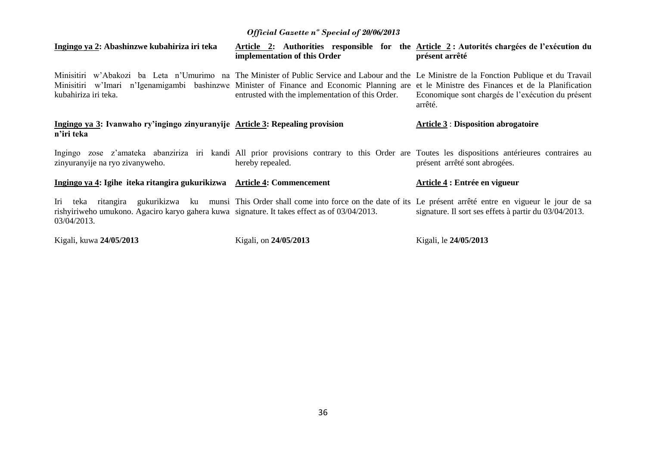| Ingingo ya 2: Abashinzwe kubahiriza iri teka                                                                | implementation of this Order                                                                                                                                                                                                                                                                                                                      | Article 2: Authorities responsible for the Article 2: Autorités chargées de l'exécution du<br>présent arrêté |
|-------------------------------------------------------------------------------------------------------------|---------------------------------------------------------------------------------------------------------------------------------------------------------------------------------------------------------------------------------------------------------------------------------------------------------------------------------------------------|--------------------------------------------------------------------------------------------------------------|
| kubahiriza iri teka.                                                                                        | Minisitiri w'Abakozi ba Leta n'Umurimo na The Minister of Public Service and Labour and the Le Ministre de la Fonction Publique et du Travail<br>Minisitiri w'Imari n'Igenamigambi bashinzwe Minister of Finance and Economic Planning are et le Ministre des Finances et de la Planification<br>entrusted with the implementation of this Order. | Economique sont chargés de l'exécution du présent<br>arrêté.                                                 |
| Ingingo ya 3: Ivanwaho ry'ingingo zinyuranyije Article 3: Repealing provision<br>n'iri teka                 |                                                                                                                                                                                                                                                                                                                                                   | <b>Article 3 : Disposition abrogatoire</b>                                                                   |
| zinyuranyije na ryo zivanyweho.                                                                             | Ingingo zose z'amateka abanziriza iri kandi All prior provisions contrary to this Order are Toutes les dispositions antérieures contraires au<br>hereby repealed.                                                                                                                                                                                 | présent arrêté sont abrogées.                                                                                |
| Ingingo ya 4: Igihe iteka ritangira gukurikizwa Article 4: Commencement                                     |                                                                                                                                                                                                                                                                                                                                                   | Article 4 : Entrée en vigueur                                                                                |
| rishyiriweho umukono. Agaciro karyo gahera kuwa signature. It takes effect as of 03/04/2013.<br>03/04/2013. | Iri teka ritangira gukurikizwa ku munsi This Order shall come into force on the date of its Le présent arrêté entre en vigueur le jour de sa                                                                                                                                                                                                      | signature. Il sort ses effets à partir du 03/04/2013.                                                        |
| Kigali, kuwa 24/05/2013                                                                                     | Kigali, on 24/05/2013                                                                                                                                                                                                                                                                                                                             | Kigali, le 24/05/2013                                                                                        |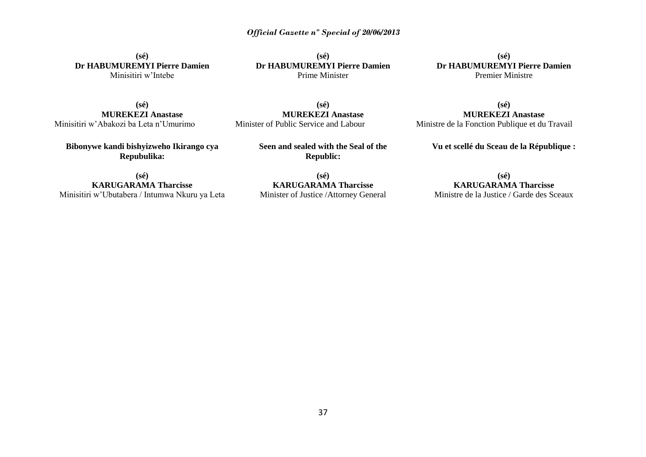**(sé) Dr HABUMUREMYI Pierre Damien** Minisitiri w'Intebe

**(sé) Dr HABUMUREMYI Pierre Damien** Prime Minister

**(sé) Dr HABUMUREMYI Pierre Damien** Premier Ministre

**(sé)**

**(sé) MUREKEZI Anastase** Minisitiri w'Abakozi ba Leta n'Umurimo

**Bibonywe kandi bishyizweho Ikirango cya Repubulika:**

**(sé) MUREKEZI Anastase** Minister of Public Service and Labour

> **Seen and sealed with the Seal of the Republic:**

**(sé) KARUGARAMA Tharcisse** Minisitiri w'Ubutabera / Intumwa Nkuru ya Leta

**(sé) KARUGARAMA Tharcisse** Minister of Justice /Attorney General

**MUREKEZI Anastase** Ministre de la Fonction Publique et du Travail

**Vu et scellé du Sceau de la République :**

**(sé) KARUGARAMA Tharcisse**

Ministre de la Justice / Garde des Sceaux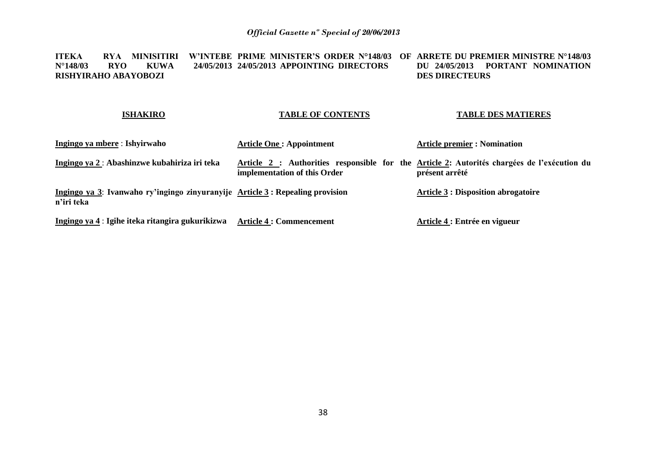**ITEKA RYA MINISITIRI W'INTEBE PRIME MINISTER'S ORDER N°148/03 OF ARRETE DU PREMIER MINISTRE N°148/03 N°148/03 RYO KUWA 24/05/2013 24/05/2013 APPOINTING DIRECTORS RISHYIRAHO ABAYOBOZI DU 24/05/2013 PORTANT NOMINATION DES DIRECTEURS** 

### **ISHAKIRO**

### **TABLE OF CONTENTS**

### **TABLE DES MATIERES**

| Ingingo ya mbere : Ishyirwaho                                                               | <b>Article One: Appointment</b>                                                                                             | <b>Article premier : Nomination</b>        |
|---------------------------------------------------------------------------------------------|-----------------------------------------------------------------------------------------------------------------------------|--------------------------------------------|
| Ingingo ya 2 : Abashinzwe kubahiriza iri teka                                               | Article 2 : Authorities responsible for the Article 2: Autorités chargées de l'exécution du<br>implementation of this Order | présent arrêté                             |
| Ingingo ya 3: Ivanwaho ry'ingingo zinyuranyije Article 3: Repealing provision<br>n'iri teka |                                                                                                                             | <b>Article 3 : Disposition abrogatoire</b> |
| Ingingo ya 4 : Igihe iteka ritangira gukurikizwa                                            | <b>Article 4 : Commencement</b>                                                                                             | Article 4 : Entrée en vigueur              |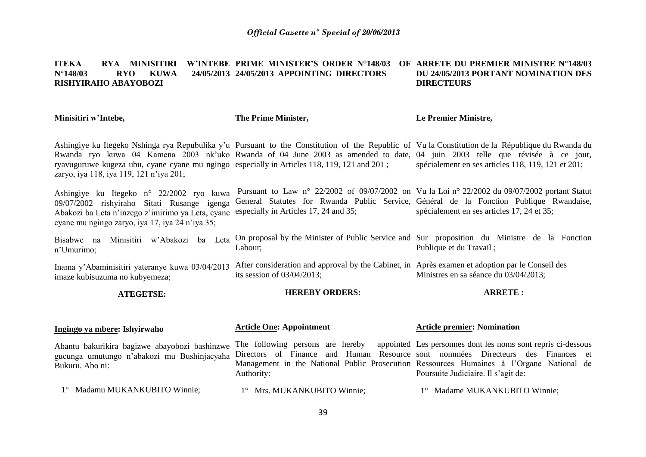#### **ITEKA RYA MINISITIRI W'INTEBE PRIME MINISTER'S ORDER N°148/03 OF ARRETE DU PREMIER MINISTRE N°148/03 N°148/03 RYO KUWA 24/05/2013 24/05/2013 APPOINTING DIRECTORS RISHYIRAHO ABAYOBOZI DU 24/05/2013 PORTANT NOMINATION DES DIRECTEURS**

**Minisitiri w'Intebe,** Ashingiye ku Itegeko Nshinga rya Repubulika y'u Pursuant to the Constitution of the Republic of Vu la Constitution de la République du Rwanda du Rwanda ryo kuwa 04 Kamena 2003 nk'uko Rwanda of 04 June 2003 as amended to date, 04 juin 2003 telle que révisée à ce jour, ryavuguruwe kugeza ubu, cyane cyane mu ngingo especially in Articles 118, 119, 121 and 201 ; zaryo, iya 118, iya 119, 121 n'iya 201; Ashingiye ku Itegeko n° 22/2002 ryo kuwa 09/07/2002 rishyiraho Sitati Rusange igenga Abakozi ba Leta n'inzego z'imirimo ya Leta, cyane especially in Articles 17, 24 and 35; cyane mu ngingo zaryo, iya 17, iya 24 n'iya 35; Bisabwe na Minisitiri w'Abakozi ba Leta n'Umurimo; Inama y'Abaminisitiri yateranye kuwa 03/04/2013 After consideration and approval by the Cabinet, in Après examen et adoption par le Conseil des imaze kubisuzuma no kubyemeza; **ATEGETSE: Ingingo ya mbere: Ishyirwaho**  Abantu bakurikira bagizwe abayobozi bashinzwe gucunga umutungo n'abakozi mu Bushinjacyaha Bukuru. Abo ni: **The Prime Minister,** Pursuant to Law n° 22/2002 of 09/07/2002 on Vu la Loi n° 22/2002 du 09/07/2002 portant Statut General Statutes for Rwanda Public Service, Général de la Fonction Publique Rwandaise, On proposal by the Minister of Public Service and Sur proposition du Ministre de la Fonction Labour; its session of 03/04/2013; **HEREBY ORDERS: Article One: Appointment** The following persons are hereby Directors of Finance and Human Resource sont nommées Directeurs des Finances et Management in the National Public Prosecution Ressources Humaines à l'Organe National de Authority: **Le Premier Ministre,** spécialement en ses articles 118, 119, 121 et 201; spécialement en ses articles 17, 24 et 35; Publique et du Travail ; Ministres en sa séance du 03/04/2013; **ARRETE : Article premier: Nomination**  Les personnes dont les noms sont repris ci-dessous Poursuite Judiciaire. Il s'agit de:

1° Madamu MUKANKUBITO Winnie;

1° Mrs. MUKANKUBITO Winnie;

1° Madame MUKANKUBITO Winnie;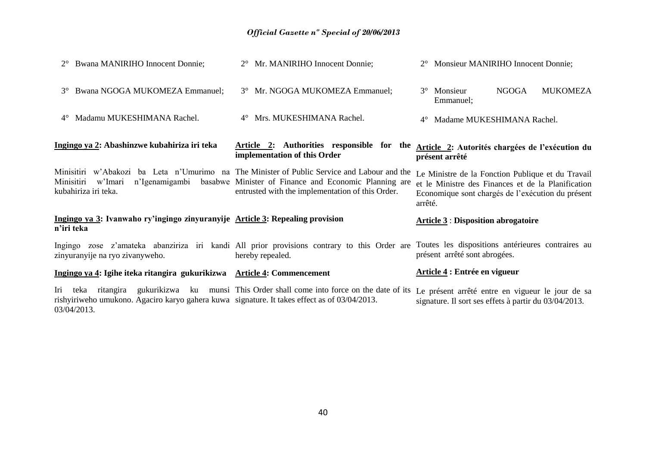| 2° Bwana MANIRIHO Innocent Donnie;                                                                                    | 2° Mr. MANIRIHO Innocent Donnie;                                                                                                                                                                         | 2° Monsieur MANIRIHO Innocent Donnie;                                                                                                                                   |
|-----------------------------------------------------------------------------------------------------------------------|----------------------------------------------------------------------------------------------------------------------------------------------------------------------------------------------------------|-------------------------------------------------------------------------------------------------------------------------------------------------------------------------|
| 3° Bwana NGOGA MUKOMEZA Emmanuel;                                                                                     | 3° Mr. NGOGA MUKOMEZA Emmanuel;                                                                                                                                                                          | <b>NGOGA</b><br><b>MUKOMEZA</b><br>3° Monsieur<br>Emmanuel;                                                                                                             |
| Madamu MUKESHIMANA Rachel.<br>$4^\circ$                                                                               | 4° Mrs. MUKESHIMANA Rachel.                                                                                                                                                                              | Madame MUKESHIMANA Rachel.<br>$4^{\circ}$                                                                                                                               |
| Ingingo ya 2: Abashinzwe kubahiriza iri teka                                                                          | Article 2: Authorities responsible for the<br>implementation of this Order                                                                                                                               | Article 2: Autorités chargées de l'exécution du<br>présent arrêté                                                                                                       |
| n'Igenamigambi<br>Minisitiri<br>w'Imari<br>kubahiriza iri teka.                                                       | Minisitiri w'Abakozi ba Leta n'Umurimo na The Minister of Public Service and Labour and the<br>basabwe Minister of Finance and Economic Planning are<br>entrusted with the implementation of this Order. | Le Ministre de la Fonction Publique et du Travail<br>et le Ministre des Finances et de la Planification<br>Economique sont chargés de l'exécution du présent<br>arrêté. |
| Ingingo ya 3: Ivanwaho ry'ingingo zinyuranyije Article 3: Repealing provision<br>n'iri teka                           |                                                                                                                                                                                                          | <b>Article 3 : Disposition abrogatoire</b>                                                                                                                              |
| zinyuranyije na ryo zivanyweho.                                                                                       | Ingingo zose z'amateka abanziriza iri kandi All prior provisions contrary to this Order are Toutes les dispositions antérieures contraires au<br>hereby repealed.                                        | présent arrêté sont abrogées.                                                                                                                                           |
| Ingingo ya 4: Igihe iteka ritangira gukurikizwa Article 4: Commencement                                               |                                                                                                                                                                                                          | Article 4 : Entrée en vigueur                                                                                                                                           |
| Iri<br>teka ritangira<br>rishyiriweho umukono. Agaciro karyo gahera kuwa signature. It takes effect as of 03/04/2013. | gukurikizwa ku munsi This Order shall come into force on the date of its                                                                                                                                 | Le présent arrêté entre en vigueur le jour de sa<br>signature. Il sort ses effets à partir du 03/04/2013.                                                               |

40

03/04/2013.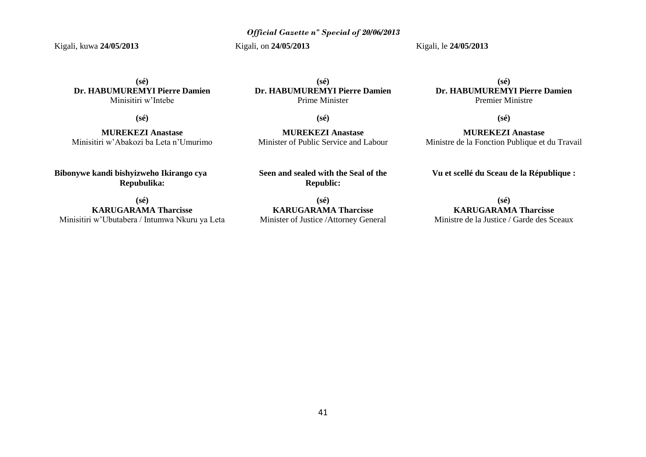Kigali, kuwa **24/05/2013**

Kigali, on **24/05/2013**

Kigali, le **24/05/2013**

**(sé) Dr. HABUMUREMYI Pierre Damien** Minisitiri w'Intebe

**(sé)**

**MUREKEZI Anastase** Minisitiri w'Abakozi ba Leta n'Umurimo

**Bibonywe kandi bishyizweho Ikirango cya Repubulika:**

**(sé) KARUGARAMA Tharcisse** Minisitiri w'Ubutabera / Intumwa Nkuru ya Leta

**(sé) Dr. HABUMUREMYI Pierre Damien** Prime Minister

**(sé)**

**MUREKEZI Anastase** Minister of Public Service and Labour

**Seen and sealed with the Seal of the Republic:**

**(sé) KARUGARAMA Tharcisse** Minister of Justice /Attorney General

**(sé) Dr. HABUMUREMYI Pierre Damien** Premier Ministre

**(sé)**

**MUREKEZI Anastase** Ministre de la Fonction Publique et du Travail

**Vu et scellé du Sceau de la République :**

**(sé) KARUGARAMA Tharcisse** Ministre de la Justice / Garde des Sceaux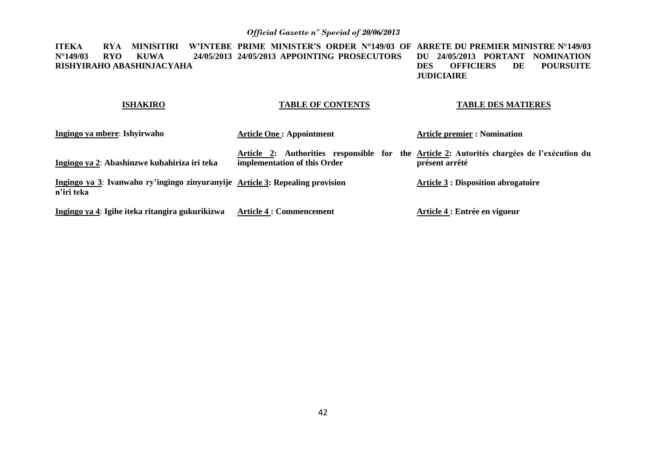**ITEKA RYA MINISITIRI W'INTEBE PRIME MINISTER'S ORDER N°149/03 OF ARRETE DU PREMIER MINISTRE N°149/03 N°149/03 RYO KUWA 24/05/2013 24/05/2013 APPOINTING PROSECUTORS RISHYIRAHO ABASHINJACYAHA DU 24/05/2013 PORTANT NOMINATION POURSUITE JUDICIAIRE** 

## **TABLE OF CONTENTS**

**ISHAKIRO**

### **TABLE DES MATIERES**

| Ingingo ya mbere: Ishyirwaho                                                                | <b>Article One: Appointment</b>                                                                                            | <b>Article premier : Nomination</b>        |
|---------------------------------------------------------------------------------------------|----------------------------------------------------------------------------------------------------------------------------|--------------------------------------------|
| Ingingo ya 2: Abashinzwe kubahiriza iri teka                                                | Article 2: Authorities responsible for the Article 2: Autorités chargées de l'exécution du<br>implementation of this Order | présent arrêté                             |
| Ingingo ya 3: Ivanwaho ry'ingingo zinyuranyije Article 3: Repealing provision<br>n'iri teka |                                                                                                                            | <b>Article 3 : Disposition abrogatoire</b> |
| Ingingo ya 4: Igihe iteka ritangira gukurikizwa                                             | <b>Article 4 : Commencement</b>                                                                                            | Article 4 : Entrée en vigueur              |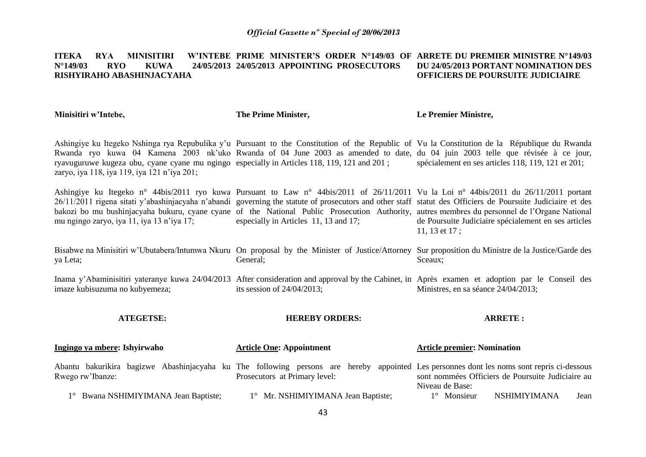#### **ITEKA RYA MINISITIRI**<br>N°149/03 RYO KIWA **N°149/03 RYO KUWA 24/05/2013 24/05/2013 APPOINTING PROSECUTORS RISHYIRAHO ABASHINJACYAHA PRIME MINISTER'S ORDER N°149/03 OF ARRETE DU PREMIER MINISTRE N°149/03 DU 24/05/2013 PORTANT NOMINATION DES OFFICIERS DE POURSUITE JUDICIAIRE**

**Minisitiri w'Intebe,**

**The Prime Minister,**

**Le Premier Ministre,**

Ashingiye ku Itegeko Nshinga rya Repubulika y'u Pursuant to the Constitution of the Republic of Vu la Constitution de la République du Rwanda Rwanda ryo kuwa 04 Kamena 2003 nk'uko Rwanda of 04 June 2003 as amended to date, du 04 juin 2003 telle que révisée à ce jour, ryavuguruwe kugeza ubu, cyane cyane mu ngingo especially in Articles 118, 119, 121 and 201 ; zaryo, iya 118, iya 119, iya 121 n'iya 201; spécialement en ses articles 118, 119, 121 et 201;

Ashingiye ku Itegeko n° 44bis/2011 ryo kuwa Pursuant to Law n° 44bis/2011 of 26/11/2011 Vu la Loi n° 44bis/2011 du 26/11/2011 portant 26/11/2011 rigena sitati y'abashinjacyaha n'abandi governing the statute of prosecutors and other staff statut des Officiers de Poursuite Judiciaire et des bakozi bo mu bushinjacyaha bukuru, cyane cyane of the National Public Prosecution Authority, autres membres du personnel de l'Organe National mu ngingo zaryo, iya 11, iya 13 n'iya 17; especially in Articles 11, 13 and 17; de Poursuite Judiciaire spécialement en ses articles 11, 13 et 17 ;

Bisabwe na Minisitiri w'Ubutabera/Intumwa Nkuru On proposal by the Minister of Justice/Attorney Sur proposition du Ministre de la Justice/Garde des ya Leta; General; Sceaux;

Inama y'Abaminisitiri yateranye kuwa 24/04/2013 After consideration and approval by the Cabinet, in Après examen et adoption par le Conseil des imaze kubisuzuma no kubyemeza; its session of 24/04/2013; Ministres, en sa séance 24/04/2013;

**ATEGETSE: Ingingo ya mbere: Ishyirwaho**  Abantu bakurikira bagizwe Abashinjacyaha ku The following persons are hereby appointed Les personnes dont les noms sont repris ci-dessous **HEREBY ORDERS: Article One: Appointment Article premier: Nomination** 

Prosecutors at Primary level:

Rwego rw'Ibanze: 1° Bwana NSHIMIYIMANA Jean Baptiste; 1° Mr. NSHIMIYIMANA Jean Baptiste; Niveau de Base: 1° Monsieur NSHIMIYIMANA Jean

**ARRETE :**

sont nommées Officiers de Poursuite Judiciaire au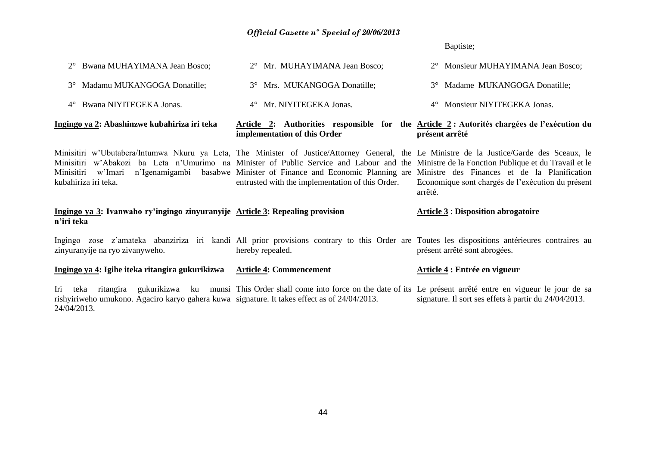Baptiste;

| 2° Bwana MUHAYIMANA Jean Bosco;                                                                     | 2° Mr. MUHAYIMANA Jean Bosco;                                                                                                                                                                                                                                                                                                                                                                                                                                                          | 2° Monsieur MUHAYIMANA Jean Bosco;                                                                           |
|-----------------------------------------------------------------------------------------------------|----------------------------------------------------------------------------------------------------------------------------------------------------------------------------------------------------------------------------------------------------------------------------------------------------------------------------------------------------------------------------------------------------------------------------------------------------------------------------------------|--------------------------------------------------------------------------------------------------------------|
| Madamu MUKANGOGA Donatille;<br>$3^\circ$                                                            | 3° Mrs. MUKANGOGA Donatille;                                                                                                                                                                                                                                                                                                                                                                                                                                                           | 3° Madame MUKANGOGA Donatille;                                                                               |
| 4° Bwana NIYITEGEKA Jonas.                                                                          | 4° Mr. NIYITEGEKA Jonas.                                                                                                                                                                                                                                                                                                                                                                                                                                                               | 4° Monsieur NIYITEGEKA Jonas.                                                                                |
| Ingingo ya 2: Abashinzwe kubahiriza iri teka                                                        | implementation of this Order                                                                                                                                                                                                                                                                                                                                                                                                                                                           | Article 2: Authorities responsible for the Article 2: Autorités chargées de l'exécution du<br>présent arrêté |
| kubahiriza iri teka.                                                                                | Minisitiri w'Ubutabera/Intumwa Nkuru ya Leta, The Minister of Justice/Attorney General, the Le Ministre de la Justice/Garde des Sceaux, le<br>Minisitiri w'Abakozi ba Leta n'Umurimo na Minister of Public Service and Labour and the Ministre de la Fonction Publique et du Travail et le<br>Minisitiri w'Imari n'Igenamigambi basabwe Minister of Finance and Economic Planning are Ministre des Finances et de la Planification<br>entrusted with the implementation of this Order. | Economique sont chargés de l'exécution du présent<br>arrêté.                                                 |
| Ingingo ya 3: Ivanwaho ry'ingingo zinyuranyije Article 3: Repealing provision<br>n'iri teka         |                                                                                                                                                                                                                                                                                                                                                                                                                                                                                        | <b>Article 3 : Disposition abrogatoire</b>                                                                   |
| zinyuranyije na ryo zivanyweho.                                                                     | Ingingo zose z'amateka abanziriza iri kandi All prior provisions contrary to this Order are Toutes les dispositions antérieures contraires au<br>hereby repealed.                                                                                                                                                                                                                                                                                                                      | présent arrêté sont abrogées.                                                                                |
| Ingingo ya 4: Igihe iteka ritangira gukurikizwa                                                     | <b>Article 4: Commencement</b>                                                                                                                                                                                                                                                                                                                                                                                                                                                         | Article 4 : Entrée en vigueur                                                                                |
| Iri<br>rishyiriweho umukono. Agaciro karyo gahera kuwa signature. It takes effect as of 24/04/2013. | teka ritangira gukurikizwa ku munsi This Order shall come into force on the date of its Le présent arrêté entre en vigueur le jour de sa                                                                                                                                                                                                                                                                                                                                               | signature. Il sort ses effets à partir du 24/04/2013.                                                        |

24/04/2013.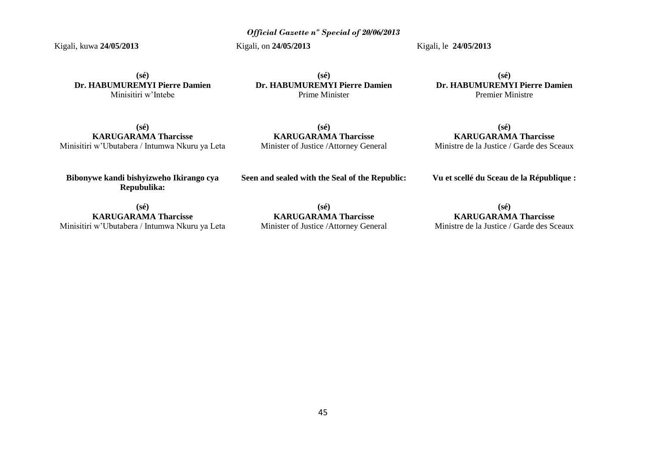Kigali, kuwa **24/05/2013**

Kigali, on **24/05/2013**

Kigali, le **24/05/2013**

**(sé) Dr. HABUMUREMYI Pierre Damien** Minisitiri w'Intebe

**(sé) Dr. HABUMUREMYI Pierre Damien** Prime Minister

**(sé) Dr. HABUMUREMYI Pierre Damien** Premier Ministre

**(sé) KARUGARAMA Tharcisse** Minisitiri w'Ubutabera / Intumwa Nkuru ya Leta

**(sé) KARUGARAMA Tharcisse** Minister of Justice /Attorney General

**(sé) KARUGARAMA Tharcisse** Ministre de la Justice / Garde des Sceaux

**Bibonywe kandi bishyizweho Ikirango cya Repubulika:**

**Seen and sealed with the Seal of the Republic:**

**Vu et scellé du Sceau de la République :**

**(sé) KARUGARAMA Tharcisse** Minisitiri w'Ubutabera / Intumwa Nkuru ya Leta

**(sé) KARUGARAMA Tharcisse** Minister of Justice /Attorney General

**(sé) KARUGARAMA Tharcisse** Ministre de la Justice / Garde des Sceaux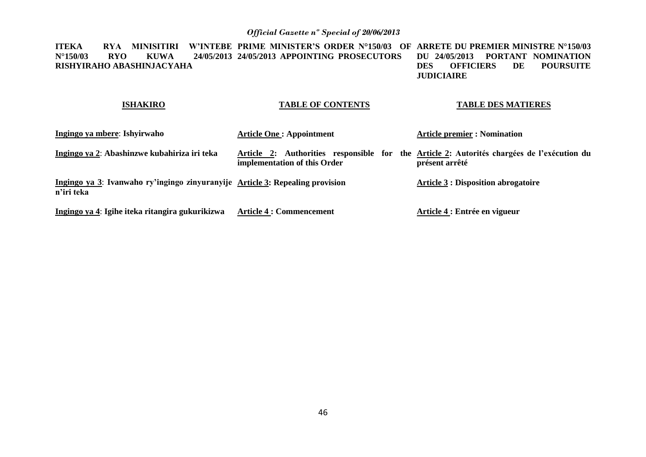**ITEKA RYA MINISITIRI W'INTEBE PRIME MINISTER'S ORDER N°150/03 OF ARRETE DU PREMIER MINISTRE N°150/03 N°150/03 RYO KUWA 24/05/2013 24/05/2013 APPOINTING PROSECUTORS RISHYIRAHO ABASHINJACYAHA DU 24/05/2013 PORTANT NOMINATION POURSUITE JUDICIAIRE** 

#### **ISHAKIRO TABLE OF CONTENTS**

### **TABLE DES MATIERES**

| Ingingo ya mbere: Ishyirwaho                                                                | <b>Article One: Appointment</b> | <b>Article premier : Nomination</b>                                                                          |
|---------------------------------------------------------------------------------------------|---------------------------------|--------------------------------------------------------------------------------------------------------------|
| Ingingo ya 2: Abashinzwe kubahiriza iri teka                                                | implementation of this Order    | Article 2: Authorities responsible for the Article 2: Autorités chargées de l'exécution du<br>présent arrêté |
| Ingingo ya 3: Ivanwaho ry'ingingo zinyuranyije Article 3: Repealing provision<br>n'iri teka |                                 | <b>Article 3 : Disposition abrogatoire</b>                                                                   |
| Ingingo ya 4: Igihe iteka ritangira gukurikizwa                                             | <b>Article 4 : Commencement</b> | Article 4 : Entrée en vigueur                                                                                |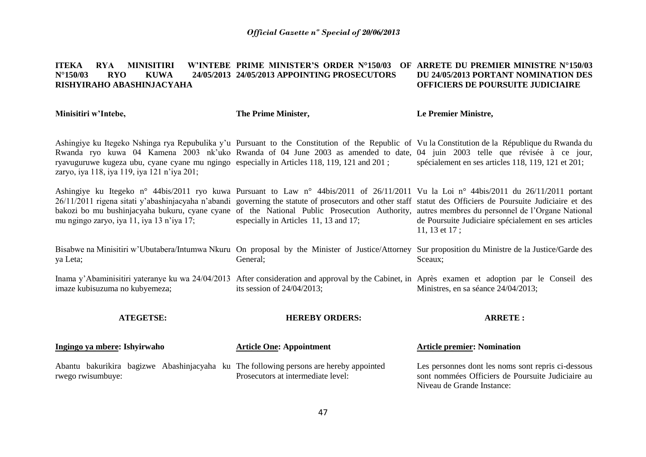#### **ITEKA RYA MINISITIRI N°150/03 RYO KUWA 24/05/2013 24/05/2013 APPOINTING PROSECUTORS RISHYIRAHO ABASHINJACYAHA PRIME MINISTER'S ORDER N°150/03 OF ARRETE DU PREMIER MINISTRE N°150/03 DU 24/05/2013 PORTANT NOMINATION DES OFFICIERS DE POURSUITE JUDICIAIRE**

**Minisitiri w'Intebe,**

rwego rwisumbuye:

**The Prime Minister,**

### **Le Premier Ministre,**

Ashingiye ku Itegeko Nshinga rya Repubulika y'u Pursuant to the Constitution of the Republic of Vu la Constitution de la République du Rwanda du Rwanda ryo kuwa 04 Kamena 2003 nk'uko Rwanda of 04 June 2003 as amended to date, 04 juin 2003 telle que révisée à ce jour, ryavuguruwe kugeza ubu, cyane cyane mu ngingo especially in Articles 118, 119, 121 and 201 ; zaryo, iya 118, iya 119, iya 121 n'iya 201; spécialement en ses articles 118, 119, 121 et 201;

Ashingiye ku Itegeko n° 44bis/2011 ryo kuwa Pursuant to Law n° 44bis/2011 of 26/11/2011 Vu la Loi n° 44bis/2011 du 26/11/2011 portant 26/11/2011 rigena sitati y'abashinjacyaha n'abandi governing the statute of prosecutors and other staff statut des Officiers de Poursuite Judiciaire et des bakozi bo mu bushinjacyaha bukuru, cyane cyane of the National Public Prosecution Authority, autres membres du personnel de l'Organe National mu ngingo zaryo, iya 11, iya 13 n'iya 17; especially in Articles 11, 13 and 17; de Poursuite Judiciaire spécialement en ses articles 11, 13 et 17 ;

Bisabwe na Minisitiri w'Ubutabera/Intumwa Nkuru On proposal by the Minister of Justice/Attorney Sur proposition du Ministre de la Justice/Garde des ya Leta; General; Sceaux;

Inama y'Abaminisitiri yateranye ku wa 24/04/2013 After consideration and approval by the Cabinet, in Après examen et adoption par le Conseil des imaze kubisuzuma no kubyemeza; its session of 24/04/2013; Ministres, en sa séance 24/04/2013;

**ATEGETSE: Ingingo ya mbere: Ishyirwaho**  Abantu bakurikira bagizwe Abashinjacyaha ku The following persons are hereby appointed **HEREBY ORDERS: Article One: Appointment ARRETE : Article premier: Nomination** 

Prosecutors at intermediate level:

Les personnes dont les noms sont repris ci-dessous sont nommées Officiers de Poursuite Judiciaire au Niveau de Grande Instance: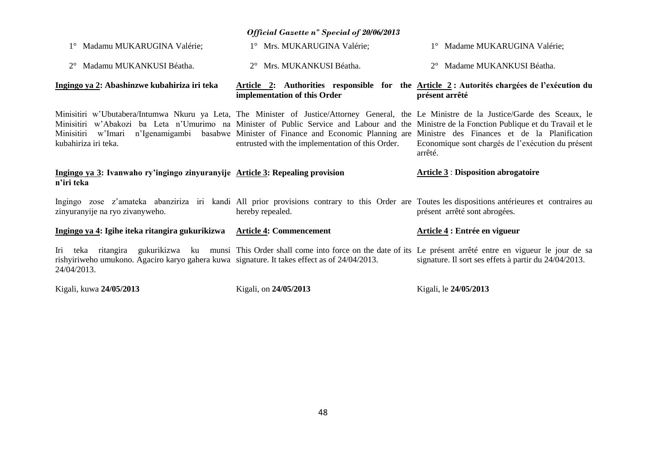| 1° Madamu MUKARUGINA Valérie;                                                                               | 1° Mrs. MUKARUGINA Valérie;                                                                                                                                                                                                                                                                                                                                                                                                                                                            | 1° Madame MUKARUGINA Valérie;                                                                                                                                                     |
|-------------------------------------------------------------------------------------------------------------|----------------------------------------------------------------------------------------------------------------------------------------------------------------------------------------------------------------------------------------------------------------------------------------------------------------------------------------------------------------------------------------------------------------------------------------------------------------------------------------|-----------------------------------------------------------------------------------------------------------------------------------------------------------------------------------|
| 2° Madamu MUKANKUSI Béatha.                                                                                 | 2° Mrs. MUKANKUSI Béatha.                                                                                                                                                                                                                                                                                                                                                                                                                                                              | 2° Madame MUKANKUSI Béatha.                                                                                                                                                       |
| Ingingo ya 2: Abashinzwe kubahiriza iri teka                                                                | implementation of this Order                                                                                                                                                                                                                                                                                                                                                                                                                                                           | Article 2: Authorities responsible for the Article 2: Autorités chargées de l'exécution du<br>présent arrêté                                                                      |
| kubahiriza iri teka.                                                                                        | Minisitiri w'Ubutabera/Intumwa Nkuru ya Leta, The Minister of Justice/Attorney General, the Le Ministre de la Justice/Garde des Sceaux, le<br>Minisitiri w'Abakozi ba Leta n'Umurimo na Minister of Public Service and Labour and the Ministre de la Fonction Publique et du Travail et le<br>Minisitiri w'Imari n'Igenamigambi basabwe Minister of Finance and Economic Planning are Ministre des Finances et de la Planification<br>entrusted with the implementation of this Order. | Economique sont chargés de l'exécution du présent<br>arrêté.                                                                                                                      |
| Ingingo ya 3: Ivanwaho ry'ingingo zinyuranyije Article 3: Repealing provision                               |                                                                                                                                                                                                                                                                                                                                                                                                                                                                                        | <b>Article 3: Disposition abrogatoire</b>                                                                                                                                         |
| n'iri teka                                                                                                  |                                                                                                                                                                                                                                                                                                                                                                                                                                                                                        |                                                                                                                                                                                   |
| zinyuranyije na ryo zivanyweho.                                                                             | hereby repealed.                                                                                                                                                                                                                                                                                                                                                                                                                                                                       | Ingingo zose z'amateka abanziriza iri kandi All prior provisions contrary to this Order are Toutes les dispositions antérieures et contraires au<br>présent arrêté sont abrogées. |
| Ingingo ya 4: Igihe iteka ritangira gukurikizwa Article 4: Commencement                                     |                                                                                                                                                                                                                                                                                                                                                                                                                                                                                        | Article 4 : Entrée en vigueur                                                                                                                                                     |
| rishyiriweho umukono. Agaciro karyo gahera kuwa signature. It takes effect as of 24/04/2013.<br>24/04/2013. | Iri teka ritangira gukurikizwa ku munsi This Order shall come into force on the date of its Le présent arrêté entre en vigueur le jour de sa                                                                                                                                                                                                                                                                                                                                           | signature. Il sort ses effets à partir du 24/04/2013.                                                                                                                             |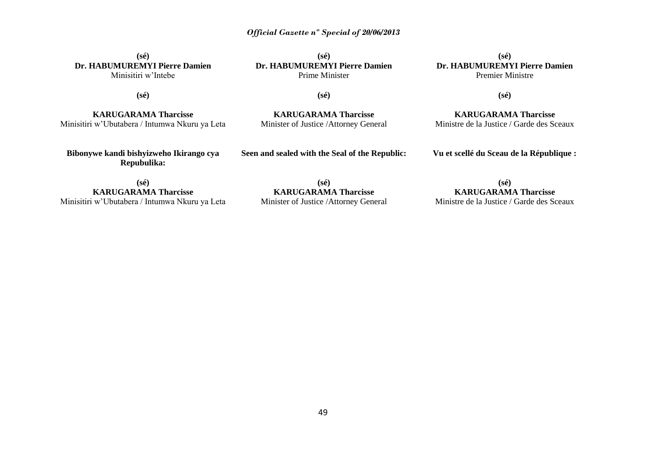### **(sé) Dr. HABUMUREMYI Pierre Damien** Minisitiri w'Intebe

**(sé) Dr. HABUMUREMYI Pierre Damien** Prime Minister

**(sé) Dr. HABUMUREMYI Pierre Damien** Premier Ministre

**(sé)**

**(sé)**

**KARUGARAMA Tharcisse** Minisitiri w'Ubutabera / Intumwa Nkuru ya Leta

**KARUGARAMA Tharcisse** Minister of Justice /Attorney General

**KARUGARAMA Tharcisse** Ministre de la Justice / Garde des Sceaux

**(sé)**

**Bibonywe kandi bishyizweho Ikirango cya Repubulika:**

**Seen and sealed with the Seal of the Republic:**

**Vu et scellé du Sceau de la République :**

**(sé) KARUGARAMA Tharcisse** Minisitiri w'Ubutabera / Intumwa Nkuru ya Leta

**(sé) KARUGARAMA Tharcisse** Minister of Justice /Attorney General

**(sé) KARUGARAMA Tharcisse** Ministre de la Justice / Garde des Sceaux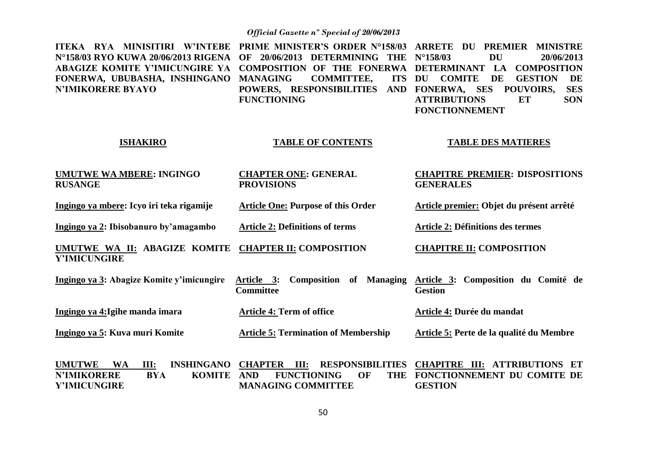| ITEKA RYA MINISITIRI W'INTEBE<br>N°158/03 RYO KUWA 20/06/2013 RIGENA<br><b>ABAGIZE KOMITE Y'IMICUNGIRE YA</b><br>FONERWA, UBUBASHA, INSHINGANO<br><b>N'IMIKORERE BYAYO</b> | PRIME MINISTER'S ORDER N°158/03 ARRETE DU<br>OF 20/06/2013 DETERMINING THE N°158/03<br>COMPOSITION OF THE FONERWA DETERMINANT LA<br><b>COMMITTEE,</b><br>ITS DU<br><b>MANAGING</b><br>POWERS, RESPONSIBILITIES<br><b>FUNCTIONING</b> | PREMIER MINISTRE<br><b>DU</b><br>20/06/2013<br><b>COMPOSITION</b><br><b>COMITE</b><br>DE<br><b>GESTION</b><br>DE<br>AND FONERWA, SES POUVOIRS,<br><b>SES</b><br><b>ATTRIBUTIONS</b><br><b>SON</b><br>ET<br><b>FONCTIONNEMENT</b> |
|----------------------------------------------------------------------------------------------------------------------------------------------------------------------------|--------------------------------------------------------------------------------------------------------------------------------------------------------------------------------------------------------------------------------------|----------------------------------------------------------------------------------------------------------------------------------------------------------------------------------------------------------------------------------|
| <b>ISHAKIRO</b>                                                                                                                                                            | <b>TABLE OF CONTENTS</b>                                                                                                                                                                                                             | <b>TABLE DES MATIERES</b>                                                                                                                                                                                                        |
| <b>UMUTWE WA MBERE: INGINGO</b><br><b>RUSANGE</b>                                                                                                                          | <b>CHAPTER ONE: GENERAL</b><br><b>PROVISIONS</b>                                                                                                                                                                                     | <b>CHAPITRE PREMIER: DISPOSITIONS</b><br><b>GENERALES</b>                                                                                                                                                                        |
| Ingingo ya mbere: Icyo iri teka rigamije                                                                                                                                   | <b>Article One: Purpose of this Order</b>                                                                                                                                                                                            | Article premier: Objet du présent arrêté                                                                                                                                                                                         |
| Ingingo ya 2: Ibisobanuro by'amagambo                                                                                                                                      | <b>Article 2: Definitions of terms</b>                                                                                                                                                                                               | Article 2: Définitions des termes                                                                                                                                                                                                |
| <b>UMUTWE WA II: ABAGIZE KOMITE</b><br>Y'IMICUNGIRE                                                                                                                        | <b>CHAPTER II: COMPOSITION</b>                                                                                                                                                                                                       | <b>CHAPITRE II: COMPOSITION</b>                                                                                                                                                                                                  |
| Ingingo ya 3: Abagize Komite y'imicungire                                                                                                                                  | <b>Composition of Managing</b><br>Article 3:<br><b>Committee</b>                                                                                                                                                                     | Article 3: Composition du Comité de<br><b>Gestion</b>                                                                                                                                                                            |
| Ingingo ya 4: Igihe manda imara                                                                                                                                            | <b>Article 4: Term of office</b>                                                                                                                                                                                                     | Article 4: Durée du mandat                                                                                                                                                                                                       |
| Ingingo ya 5: Kuva muri Komite                                                                                                                                             | <b>Article 5: Termination of Membership</b>                                                                                                                                                                                          | Article 5: Perte de la qualité du Membre                                                                                                                                                                                         |
| <b>UMUTWE</b><br><b>WA</b><br>III:<br><b>INSHINGANO</b><br><b>N'IMIKORERE</b><br><b>KOMITE</b><br><b>BYA</b><br>Y'IMICUNGIRE                                               | <b>CHAPTER III:</b><br><b>RESPONSIBILITIES</b><br><b>AND</b><br><b>FUNCTIONING</b><br>OF<br><b>THE</b><br><b>MANAGING COMMITTEE</b>                                                                                                  | <b>CHAPITRE III: ATTRIBUTIONS ET</b><br>FONCTIONNEMENT DU COMITE DE<br><b>GESTION</b>                                                                                                                                            |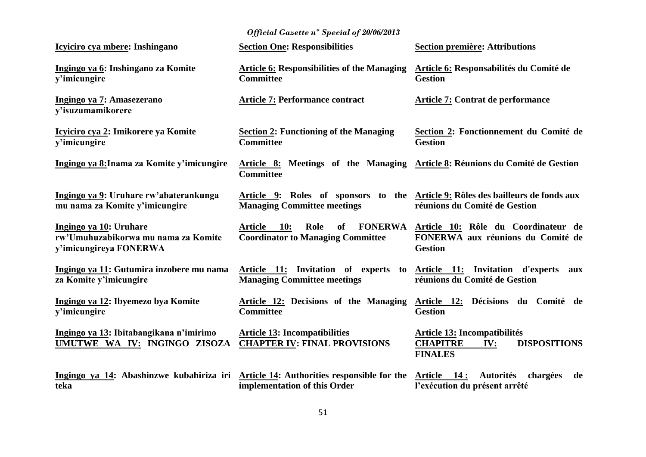| Icyiciro cya mbere: Inshingano                                                          | <b>Section One: Responsibilities</b>                                                                                  | <b>Section première: Attributions</b>                                                                  |
|-----------------------------------------------------------------------------------------|-----------------------------------------------------------------------------------------------------------------------|--------------------------------------------------------------------------------------------------------|
| Ingingo ya 6: Inshingano za Komite<br>y'imicungire                                      | <b>Article 6: Responsibilities of the Managing</b><br><b>Committee</b>                                                | <b>Article 6: Responsabilités du Comité de</b><br><b>Gestion</b>                                       |
| Ingingo ya 7: Amasezerano<br>y'isuzumamikorere                                          | <b>Article 7: Performance contract</b>                                                                                | <b>Article 7: Contrat de performance</b>                                                               |
| Icyiciro cya 2: Imikorere ya Komite<br>y'imicungire                                     | <b>Section 2: Functioning of the Managing</b><br><b>Committee</b>                                                     | Section 2: Fonctionnement du Comité de<br><b>Gestion</b>                                               |
| Ingingo ya 8: Inama za Komite y'imicungire                                              | Article 8: Meetings of the Managing Article 8: Réunions du Comité de Gestion<br><b>Committee</b>                      |                                                                                                        |
| Ingingo ya 9: Uruhare rw'abaterankunga<br>mu nama za Komite y'imicungire                | Article 9: Roles of sponsors to the Article 9: Rôles des bailleurs de fonds aux<br><b>Managing Committee meetings</b> | réunions du Comité de Gestion                                                                          |
| Ingingo ya 10: Uruhare<br>rw'Umuhuzabikorwa mu nama za Komite<br>y'imicungireya FONERWA | 10:<br>Role<br>of<br><b>FONERWA</b><br><b>Article</b><br><b>Coordinator to Managing Committee</b>                     | Article 10: Rôle du Coordinateur de<br>FONERWA aux réunions du Comité de<br><b>Gestion</b>             |
| Ingingo ya 11: Gutumira inzobere mu nama<br>za Komite y'imicungire                      | Article 11: Invitation of experts to<br><b>Managing Committee meetings</b>                                            | <b>Article 11:</b> Invitation d'experts<br>aux<br>réunions du Comité de Gestion                        |
| Ingingo ya 12: Ibyemezo bya Komite<br>y'imicungire                                      | <b>Article 12: Decisions of the Managing</b><br><b>Committee</b>                                                      | Article 12: Décisions du Comité de<br><b>Gestion</b>                                                   |
| Ingingo ya 13: Ibitabangikana n'imirimo<br>UMUTWE WA IV: INGINGO ZISOZA                 | <b>Article 13: Incompatibilities</b><br><b>CHAPTER IV: FINAL PROVISIONS</b>                                           | <b>Article 13: Incompatibilités</b><br><b>CHAPITRE</b><br><b>DISPOSITIONS</b><br>IV:<br><b>FINALES</b> |
| Ingingo ya 14: Abashinzwe kubahiriza iri<br>teka                                        | <b>Article 14:</b> Authorities responsible for the<br>implementation of this Order                                    | Article 14:<br><b>Autorités</b><br>chargées<br>de<br>l'exécution du présent arrêté                     |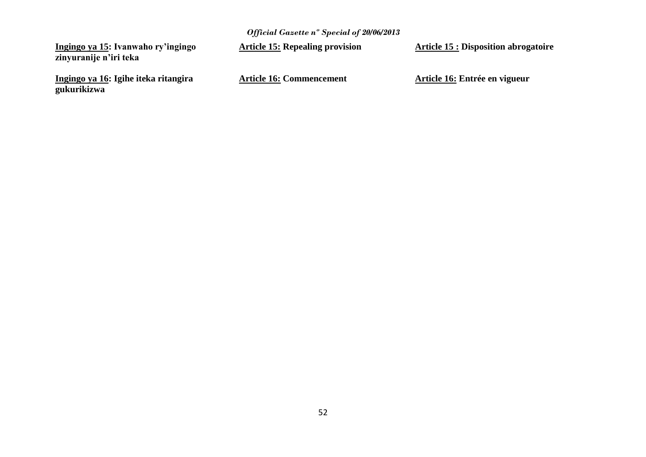**Ingingo ya 15: Ivanwaho ry'ingingo zinyuranije n'iri teka**

**Ingingo ya 16: Igihe iteka ritangira gukurikizwa**

**Article 15: Repealing provision**

**Article 16: Commencement**

**Article 15 : Disposition abrogatoire**

**Article 16: Entrée en vigueur**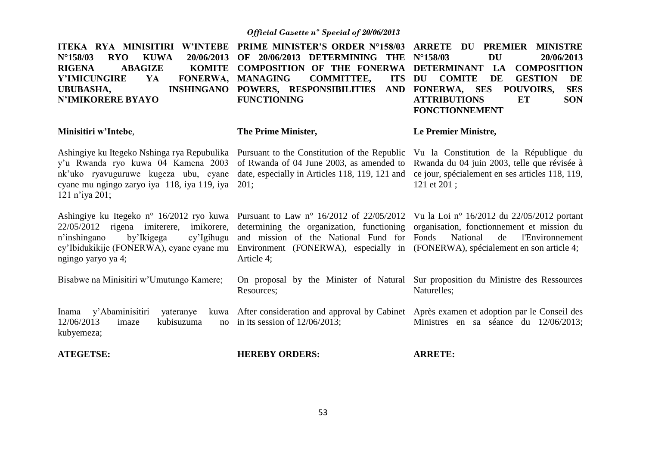| <b>ITEKA RYA MINISITIRI</b><br><b>W'INTEBE</b><br>$N^{\circ}$ 158/03<br><b>KUWA</b><br><b>RYO</b><br>20/06/2013<br><b>ABAGIZE</b><br><b>KOMITE</b><br><b>RIGENA</b><br><b>Y'IMICUNGIRE</b><br><b>FONERWA,</b><br>YA<br><b>UBUBASHA,</b><br><b>INSHINGANO</b><br><b>N'IMIKORERE BYAYO</b> | PRIME MINISTER'S ORDER N°158/03 ARRETE DU<br>20/06/2013 DETERMINING THE<br>OF<br><b>COMPOSITION OF THE FONERWA</b><br><b>COMMITTEE,</b><br><b>MANAGING</b><br><b>ITS</b><br>POWERS, RESPONSIBILITIES AND<br><b>FUNCTIONING</b>        | <b>PREMIER</b><br><b>MINISTRE</b><br><b>DU</b><br>$N^{\circ}$ 158/03<br>20/06/2013<br><b>DETERMINANT</b><br>LA<br><b>COMPOSITION</b><br>DU<br><b>COMITE</b><br>DE<br><b>GESTION</b><br>DE<br>FONERWA, SES POUVOIRS,<br><b>SES</b><br><b>ATTRIBUTIONS</b><br><b>ET</b><br><b>SON</b><br><b>FONCTIONNEMENT</b> |
|------------------------------------------------------------------------------------------------------------------------------------------------------------------------------------------------------------------------------------------------------------------------------------------|---------------------------------------------------------------------------------------------------------------------------------------------------------------------------------------------------------------------------------------|--------------------------------------------------------------------------------------------------------------------------------------------------------------------------------------------------------------------------------------------------------------------------------------------------------------|
| Minisitiri w'Intebe,                                                                                                                                                                                                                                                                     | The Prime Minister,                                                                                                                                                                                                                   | Le Premier Ministre,                                                                                                                                                                                                                                                                                         |
| y'u Rwanda ryo kuwa 04 Kamena 2003<br>nk'uko ryavuguruwe kugeza ubu, cyane<br>cyane mu ngingo zaryo iya 118, iya 119, iya<br>121 n'iya 201;                                                                                                                                              | Ashingiye ku Itegeko Nshinga rya Repubulika Pursuant to the Constitution of the Republic Vu la Constitution de la République du<br>of Rwanda of 04 June 2003, as amended to<br>date, especially in Articles 118, 119, 121 and<br>201: | Rwanda du 04 juin 2003, telle que révisée à<br>ce jour, spécialement en ses articles 118, 119,<br>121 et 201;                                                                                                                                                                                                |
| Ashingiye ku Itegeko n° 16/2012 ryo kuwa<br>22/05/2012 rigena imiterere, imikorere,<br>n'inshingano<br>by'Ikigega<br>cy'Igihugu<br>cy'Ibidukikije (FONERWA), cyane cyane mu<br>ngingo yaryo ya 4;                                                                                        | and mission of the National Fund for Fonds<br>Environment (FONERWA), especially in (FONERWA), spécialement en son article 4;<br>Article 4;                                                                                            | Pursuant to Law n° 16/2012 of 22/05/2012 Vu la Loi n° 16/2012 du 22/05/2012 portant<br>determining the organization, functioning organisation, fonctionnement et mission du<br>National<br>de<br>l'Environnement                                                                                             |
| Bisabwe na Minisitiri w'Umutungo Kamere;                                                                                                                                                                                                                                                 | Resources;                                                                                                                                                                                                                            | On proposal by the Minister of Natural Sur proposition du Ministre des Ressources<br>Naturelles;                                                                                                                                                                                                             |
| y'Abaminisitiri<br>yateranye<br>Inama<br>kuwa<br>12/06/2013<br>kubisuzuma<br>imaze<br>no<br>kubyemeza;                                                                                                                                                                                   | in its session of $12/06/2013$ ;                                                                                                                                                                                                      | After consideration and approval by Cabinet Après examen et adoption par le Conseil des<br>Ministres en sa séance du 12/06/2013;                                                                                                                                                                             |

**ATEGETSE:**

**HEREBY ORDERS:**

**ARRETE:**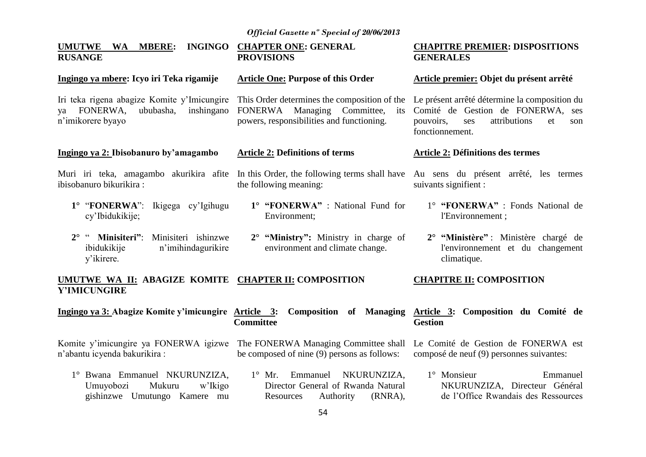#### **UMUTWE WA MBERE: INGINGO CHAPTER ONE: GENERAL RUSANGE Ingingo ya mbere: Icyo iri Teka rigamije** Iri teka rigena abagize Komite y'Imicungire ya FONERWA, ububasha, inshingano n'imikorere byayo **Ingingo ya 2: Ibisobanuro by'amagambo** Muri iri teka, amagambo akurikira afite In this Order, the following terms shall have ibisobanuro bikurikira : **1°** "**FONERWA**": Ikigega cy'Igihugu cy'Ibidukikije; **2°** " **Minisiteri"**: Minisiteri ishinzwe ibidukikije n'imihindagurikire y'ikirere. **PROVISIONS Article One: Purpose of this Order** This Order determines the composition of the FONERWA Managing Committee, its powers, responsibilities and functioning. **Article 2: Definitions of terms** the following meaning: **1° "FONERWA"** : National Fund for Environment; **2° "Ministry":** Ministry in charge of environment and climate change. **CHAPITRE PREMIER: DISPOSITIONS GENERALES Article premier: Objet du présent arrêté** Le présent arrêté détermine la composition du Comité de Gestion de FONERWA, ses pouvoirs, ses attributions et son fonctionnement. **Article 2: Définitions des termes** Au sens du présent arrêté, les termes suivants signifient : 1° **"FONERWA"** : Fonds National de l'Environnement ; **2° "Ministère"** : Ministère chargé de l'environnement et du changement climatique.

#### **UMUTWE WA II: ABAGIZE KOMITE CHAPTER II: COMPOSITION Y'IMICUNGIRE CHAPITRE II: COMPOSITION**

**Ingingo ya 3: Abagize Komite y'imicungire Article 3: Composition of Managing Article 3: Composition du Comité de Committee Gestion**

n'abantu icyenda bakurikira :

Komite y'imicungire ya FONERWA igizwe The FONERWA Managing Committee shall be composed of nine (9) persons as follows: Le Comité de Gestion de FONERWA est composé de neuf (9) personnes suivantes:

1° Bwana Emmanuel NKURUNZIZA, Umuyobozi Mukuru w'Ikigo gishinzwe Umutungo Kamere mu 1° Mr. Emmanuel NKURUNZIZA, Director General of Rwanda Natural Resources Authority (RNRA), 1° Monsieur Emmanuel NKURUNZIZA, Directeur Général de l'Office Rwandais des Ressources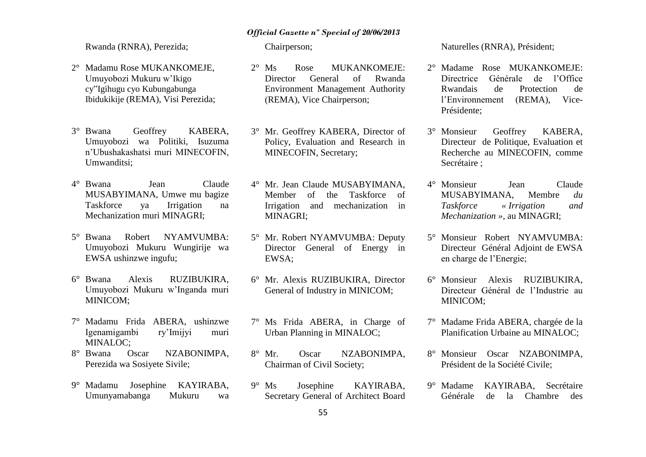Rwanda (RNRA), Perezida;

- 2° Madamu Rose MUKANKOMEJE, Umuyobozi Mukuru w'Ikigo cy"Igihugu cyo Kubungabunga Ibidukikije (REMA), Visi Perezida;
- 3° Bwana Geoffrey KABERA, Umuyobozi wa Politiki, Isuzuma n'Ubushakashatsi muri MINECOFIN, Umwanditsi;
- 4° Bwana Jean Claude MUSABYIMANA, Umwe mu bagize Taskforce ya Irrigation na Mechanization muri MINAGRI;
- 5° Bwana Robert NYAMVUMBA: Umuyobozi Mukuru Wungirije wa EWSA ushinzwe ingufu;
- 6° Bwana Alexis RUZIBUKIRA, Umuyobozi Mukuru w'Inganda muri MINICOM;
- 7° Madamu Frida ABERA, ushinzwe Igenamigambi ry'Imijyi muri MINALOC;
- 8° Bwana Oscar NZABONIMPA, Perezida wa Sosiyete Sivile;
- 9° Madamu Josephine KAYIRABA, Umunyamabanga Mukuru wa

Chairperson;

- 2° Ms Rose MUKANKOMEJE: Director General of Rwanda Environment Management Authority (REMA), Vice Chairperson;
- 3° Mr. Geoffrey KABERA, Director of Policy, Evaluation and Research in MINECOFIN, Secretary;
- 4° Mr. Jean Claude MUSABYIMANA, Member of the Taskforce of Irrigation and mechanization in MINAGRI;
- 5° Mr. Robert NYAMVUMBA: Deputy Director General of Energy in EWSA;
- 6° Mr. Alexis RUZIBUKIRA, Director General of Industry in MINICOM;
- 7° Ms Frida ABERA, in Charge of Urban Planning in MINALOC;
- 8° Mr. Oscar NZABONIMPA, Chairman of Civil Society;
- 9° Ms Josephine KAYIRABA, Secretary General of Architect Board

Naturelles (RNRA), Président;

- 2° Madame Rose MUKANKOMEJE: Directrice Générale de l'Office Rwandais de Protection de l'Environnement (REMA), Vice-Présidente;
- 3° Monsieur Geoffrey KABERA, Directeur de Politique, Evaluation et Recherche au MINECOFIN, comme Secrétaire ;
- 4° Monsieur Jean Claude MUSABYIMANA, Membre *du Taskforce « Irrigation and Mechanization »,* au MINAGRI;
- 5° Monsieur Robert NYAMVUMBA: Directeur Général Adjoint de EWSA en charge de l'Energie;
- 6° Monsieur Alexis RUZIBUKIRA, Directeur Général de l'Industrie au MINICOM;
- 7° Madame Frida ABERA, chargée de la Planification Urbaine au MINALOC;
- 8° Monsieur Oscar NZABONIMPA, Président de la Société Civile;
- 9° Madame KAYIRABA, Secrétaire Générale de la Chambre des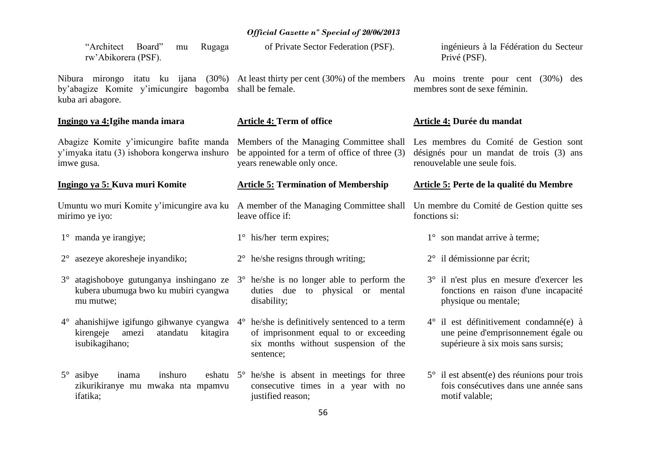| "Architect<br>Board"<br>Rugaga<br>mu<br>rw'Abikorera (PSF).                                            | of Private Sector Federation (PSF).                                                                                                                                                        | ingénieurs à la Fédération du Secteur<br>Privé (PSF).                                                                        |
|--------------------------------------------------------------------------------------------------------|--------------------------------------------------------------------------------------------------------------------------------------------------------------------------------------------|------------------------------------------------------------------------------------------------------------------------------|
| by'abagize Komite y'imicungire bagomba<br>kuba ari abagore.                                            | Nibura mirongo itatu ku ijana (30%) At least thirty per cent (30%) of the members Au moins trente pour cent (30%) des<br>shall be female.                                                  | membres sont de sexe féminin.                                                                                                |
| Ingingo ya 4: Igihe manda imara                                                                        | <b>Article 4: Term of office</b>                                                                                                                                                           | <b>Article 4: Durée du mandat</b>                                                                                            |
| Abagize Komite y'imicungire bafite manda<br>y'imyaka itatu (3) ishobora kongerwa inshuro<br>imwe gusa. | Members of the Managing Committee shall<br>be appointed for a term of office of three $(3)$<br>years renewable only once.                                                                  | Les membres du Comité de Gestion sont<br>désignés pour un mandat de trois (3) ans<br>renouvelable une seule fois.            |
| Ingingo ya 5: Kuva muri Komite                                                                         | <b>Article 5: Termination of Membership</b>                                                                                                                                                | <b>Article 5: Perte de la qualité du Membre</b>                                                                              |
| Umuntu wo muri Komite y'imicungire ava ku<br>mirimo ye iyo:                                            | A member of the Managing Committee shall<br>leave office if:                                                                                                                               | Un membre du Comité de Gestion quitte ses<br>fonctions si:                                                                   |
| $1^{\circ}$ manda ye irangiye;                                                                         | $1^\circ$ his/her term expires;                                                                                                                                                            | $1^\circ$ son mandat arrive à terme;                                                                                         |
| $2^{\circ}$ asezeye akoresheje inyandiko;                                                              | $2^{\circ}$ he/she resigns through writing;                                                                                                                                                | $2^{\circ}$ il démissionne par écrit;                                                                                        |
|                                                                                                        |                                                                                                                                                                                            |                                                                                                                              |
| $3^\circ$<br>kubera ubumuga bwo ku mubiri cyangwa<br>mu mutwe;                                         | atagishoboye gutunganya inshingano ze $3^{\circ}$ he/she is no longer able to perform the<br>duties due to physical or mental<br>disability;                                               | 3° il n'est plus en mesure d'exercer les<br>fonctions en raison d'une incapacité<br>physique ou mentale;                     |
| $4^{\circ}$<br>kirengeje<br>amezi<br>atandatu<br>kitagira<br>isubikagihano;                            | ahanishijwe igifungo gihwanye cyangwa $4^{\circ}$ he/she is definitively sentenced to a term<br>of imprisonment equal to or exceeding<br>six months without suspension of the<br>sentence; | $4^{\circ}$ il est définitivement condamné(e) à<br>une peine d'emprisonnement égale ou<br>supérieure à six mois sans sursis; |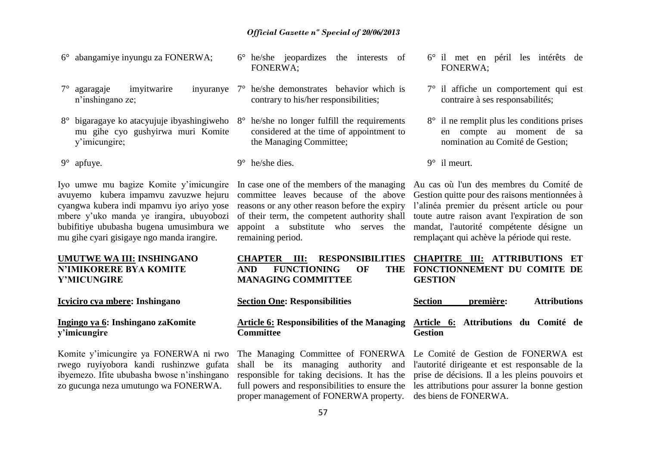- 6° abangamiye inyungu za FONERWA;
- $7^\circ$  agaragaje imyitwarire n'inshingano ze;
- 8° bigaragaye ko atacyujuje ibyashingiweho 8° he/she no longer fulfill the requirements mu gihe cyo gushyirwa muri Komite y'imicungire;

9° apfuye.

Iyo umwe mu bagize Komite y'imicungire avuyemo kubera impamvu zavuzwe hejuru cyangwa kubera indi mpamvu iyo ariyo yose mbere y'uko manda ye irangira, ubuyobozi bubifitiye ububasha bugena umusimbura we mu gihe cyari gisigaye ngo manda irangire.

### **UMUTWE WA III: INSHINGANO N'IMIKORERE BYA KOMITE Y'MICUNGIRE**

**Icyiciro cya mbere: Inshingano**

### **Ingingo ya 6: Inshingano zaKomite y'imicungire**

Komite y'imicungire ya FONERWA ni rwo rwego ruyiyobora kandi rushinzwe gufata ibyemezo. Ifite ububasha bwose n'inshingano zo gucunga neza umutungo wa FONERWA.

- 6° he/she jeopardizes the interests of FONERWA;
- 7° he/she demonstrates behavior which is contrary to his/her responsibilities;
	- considered at the time of appointment to the Managing Committee;
	- 9° he/she dies.

In case one of the members of the managing committee leaves because of the above reasons or any other reason before the expiry of their term, the competent authority shall appoint a substitute who serves the remaining period.

|                                        | CHAPTER III: RESPONSIBILITIES CHAPITRE III: ATTRIBUTIONS ET                      |
|----------------------------------------|----------------------------------------------------------------------------------|
| <b>FUNCTIONING</b><br><b>AND</b><br>OF | THE FONCTIONNEMENT DU COMITE DE                                                  |
| <b>MANAGING COMMITTEE</b>              | <b>GESTION</b>                                                                   |
| <b>Section One: Responsibilities</b>   | première:<br><b>Attributions</b><br>Section                                      |
|                                        | Article 6: Responsibilities of the Managing Article 6: Attributions du Comité de |
| <b>Committee</b>                       | Gestion                                                                          |

# responsible for taking decisions. It has the full powers and responsibilities to ensure the proper management of FONERWA property. des biens de FONERWA.

- 6° il met en péril les intérêts de FONERWA;
- 7° il affiche un comportement qui est contraire à ses responsabilités;
- 8° il ne remplit plus les conditions prises en compte au moment de sa nomination au Comité de Gestion;

9° il meurt.

Au cas où l'un des membres du Comité de Gestion quitte pour des raisons mentionnées à l'alinéa premier du présent article ou pour toute autre raison avant l'expiration de son mandat, l'autorité compétente désigne un remplaçant qui achève la période qui reste.

# **FONCTIONNEMENT DU COMITE DE**

**Article 6: Attributions du Comité de Gestion**

The Managing Committee of FONERWA Le Comité de Gestion de FONERWA est shall be its managing authority and l'autorité dirigeante et est responsable de la prise de décisions. Il a les pleins pouvoirs et les attributions pour assurer la bonne gestion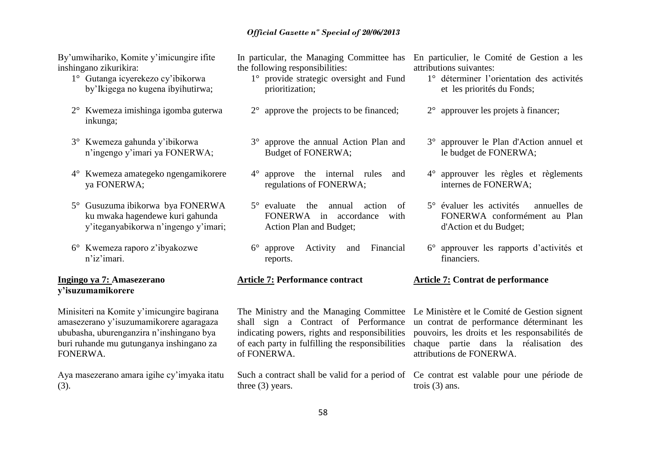By'umwihariko, Komite y'imicungire ifite inshingano zikurikira:

- 1° Gutanga icyerekezo cy'ibikorwa by'Ikigega no kugena ibyihutirwa;
- 2° Kwemeza imishinga igomba guterwa inkunga;
- 3° Kwemeza gahunda y'ibikorwa n'ingengo y'imari ya FONERWA;
- 4° Kwemeza amategeko ngengamikorere ya FONERWA;
- 5° Gusuzuma ibikorwa bya FONERWA ku mwaka hagendewe kuri gahunda y'iteganyabikorwa n'ingengo y'imari;
- 6° Kwemeza raporo z'ibyakozwe n'iz'imari.

### **Ingingo ya 7: Amasezerano y'isuzumamikorere**

Minisiteri na Komite y'imicungire bagirana amasezerano y'isuzumamikorere agaragaza ububasha, uburenganzira n'inshingano bya buri ruhande mu gutunganya inshingano za FONERWA.

Aya masezerano amara igihe cy'imyaka itatu (3).

In particular, the Managing Committee has the following responsibilities:

- 1° provide strategic oversight and Fund prioritization;
- 2° approve the projects to be financed;
- 3° approve the annual Action Plan and Budget of FONERWA;
- 4° approve the internal rules and regulations of FONERWA;
- 5° evaluate the annual action of FONERWA in accordance with Action Plan and Budget;
- 6° approve Activity and Financial reports.

### **Article 7: Performance contract**

shall sign a Contract of Performance indicating powers, rights and responsibilities of each party in fulfilling the responsibilities of FONERWA.

three (3) years.

En particulier, le Comité de Gestion a les attributions suivantes:

- 1° déterminer l'orientation des activités et les priorités du Fonds;
- 2° approuver les projets à financer;
- 3° approuver le Plan d'Action annuel et le budget de FONERWA;
- 4° approuver les règles et règlements internes de FONERWA;
- 5° évaluer les activités annuelles de FONERWA conformément au Plan d'Action et du Budget;
- 6° approuver les rapports d'activités et financiers.

### **Article 7: Contrat de performance**

The Ministry and the Managing Committee Le Ministère et le Comité de Gestion signent un contrat de performance déterminant les pouvoirs, les droits et les responsabilités de chaque partie dans la réalisation des attributions de FONERWA.

Such a contract shall be valid for a period of Ce contrat est valable pour une période de trois (3) ans.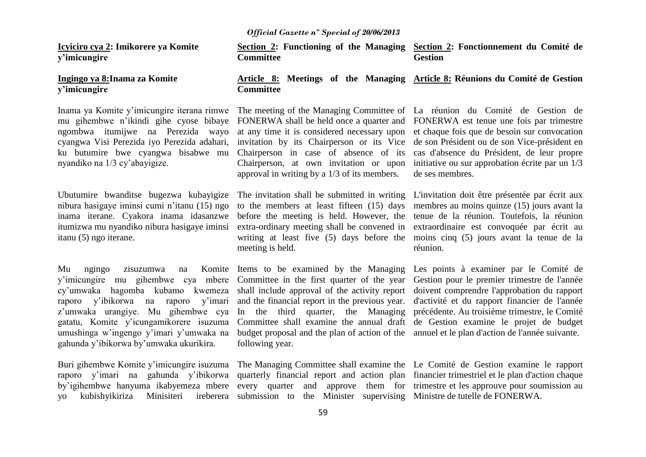**Icyiciro cya 2: Imikorere ya Komite y'imicungire**

### **Ingingo ya 8:Inama za Komite y'imicungire**

mu gihembwe n'ikindi gihe cyose bibaye FONERWA shall be held once a quarter and FONERWA est tenue une fois par trimestre ngombwa itumijwe na Perezida wayo cyangwa Visi Perezida iyo Perezida adahari, ku butumire bwe cyangwa bisabwe mu Chairperson in case of absence of its cas d'absence du Président, de leur propre nyandiko na 1/3 cy'abayigize.

inama iterane. Cyakora inama idasanzwe before the meeting is held. However, the itumizwa mu nyandiko nibura hasigaye iminsi extra-ordinary meeting shall be convened in itanu (5) ngo iterane.

Mu ngingo zisuzumwa na Komite Items to be examined by the Managing Les points à examiner par le Comité de umushinga w'ingengo y'imari y'umwaka na budget proposal and the plan of action of the annuel et le plan d'action de l'année suivante. gahunda y'ibikorwa by'umwaka ukurikira.

Buri gihembwe Komite y'imicungire isuzuma The Managing Committee shall examine the Le Comité de Gestion examine le rapport raporo y'imari na gahunda y'ibikorwa quarterly financial report and action plan financier trimestriel et le plan d'action chaque by'igihembwe hanyuma ikabyemeza mbere every quarter and approve them for trimestre et les approuve pour soumission au yo kubishyikiriza Minisiteri ireberera submission to the Minister supervising Ministre de tutelle de FONERWA.

**Section 2: Functioning of the Managing Committee Section 2: Fonctionnement du Comité de Gestion**

### **Article 8: Meetings of the Managing Article 8: Réunions du Comité de Gestion Committee**

Inama ya Komite y'imicungire iterana rimwe The meeting of the Managing Committee of La réunion du Comité de Gestion de at any time it is considered necessary upon et chaque fois que de besoin sur convocation invitation by its Chairperson or its Vice de son Président ou de son Vice-président en Chairperson, at own invitation or upon approval in writing by a 1/3 of its members.

meeting is held.

following year.

initiative ou sur approbation écrite par un 1/3 de ses membres.

Ubutumire bwanditse bugezwa kubayigize The invitation shall be submitted in writing L'invitation doit être présentée par écrit aux nibura hasigaye iminsi cumi n'itanu (15) ngo to the members at least fifteen (15) days membres au moins quinze (15) jours avant la writing at least five (5) days before the moins cinq (5) jours avant la tenue de la tenue de la réunion. Toutefois, la réunion extraordinaire est convoquée par écrit au réunion.

y'imicungire mu gihembwe cya mbere Committee in the first quarter of the year Gestion pour le premier trimestre de l'année cy'umwaka hagomba kubamo kwemeza shall include approval of the activity report doivent comprendre l'approbation du rapport raporo y'ibikorwa na raporo y'imari and the financial report in the previous year. d'activité et du rapport financier de l'année z'umwaka urangiye. Mu gihembwe cya In the third quarter, the Managing précédente. Au troisième trimestre, le Comité gatatu, Komite y'icungamikorere isuzuma Committee shall examine the annual draft de Gestion examine le projet de budget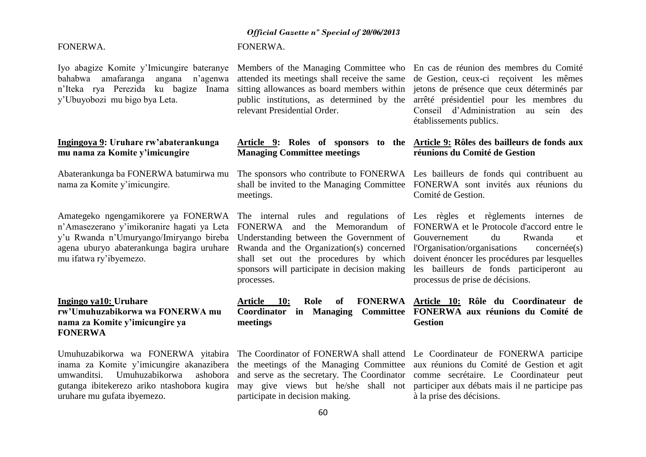### FONERWA.

bahabwa amafaranga angana n'agenwa n'Iteka rya Perezida ku bagize Inama y'Ubuyobozi mu bigo bya Leta.

### **Ingingoya 9: Uruhare rw'abaterankunga mu nama za Komite y'imicungire**

nama za Komite y'imicungire.

Amategeko ngengamikorere ya FONERWA The internal rules and regulations of Les règles et règlements internes de mu ifatwa ry'ibyemezo.

### **Ingingo ya10: Uruhare rw'Umuhuzabikorwa wa FONERWA mu nama za Komite y'imicungire ya FONERWA**

Umuhuzabikorwa wa FONERWA yitabira The Coordinator of FONERWA shall attend Le Coordinateur de FONERWA participe umwanditsi. Umuhuzabikorwa uruhare mu gufata ibyemezo.

### *Official Gazette nº Special of 20/06/2013*

### FONERWA.

relevant Presidential Order.

### **Article 9: Roles of sponsors to the Article 9: Rôles des bailleurs de fonds aux Managing Committee meetings**

Abaterankunga ba FONERWA batumirwa mu The sponsors who contribute to FONERWA Les bailleurs de fonds qui contribuent au shall be invited to the Managing Committee FONERWA sont invités aux réunions du meetings.

processes.

**Article 10: Role of FONERWA Article 10: Rôle du Coordinateur de Coordinator in Managing Committee FONERWA aux réunions du Comité de meetings Gestion** 

participate in decision making.

Iyo abagize Komite y'Imicungire bateranye Members of the Managing Committee who En cas de réunion des membres du Comité attended its meetings shall receive the same de Gestion, ceux-ci reçoivent les mêmes sitting allowances as board members within jetons de présence que ceux déterminés par public institutions, as determined by the arrêté présidentiel pour les membres du Conseil d'Administration au sein des établissements publics.

# **réunions du Comité de Gestion**

Comité de Gestion.

n'Amasezerano y'imikoranire hagati ya Leta FONERWA and the Memorandum of FONERWA et le Protocole d'accord entre le y'u Rwanda n'Umuryango/Imiryango bireba Understanding between the Government of Gouvernement du Rwanda et agena uburyo abaterankunga bagira uruhare Rwanda and the Organization(s) concerned l'Organisation/organisations concernée(s) shall set out the procedures by which doivent énoncer les procédures par lesquelles sponsors will participate in decision making les bailleurs de fonds participeront au processus de prise de décisions.

inama za Komite y'imicungire akanazibera the meetings of the Managing Committee aux réunions du Comité de Gestion et agit gutanga ibitekerezo ariko ntashobora kugira may give views but he/she shall not participer aux débats mais il ne participe pas and serve as the secretary. The Coordinator comme secrétaire. Le Coordinateur peut à la prise des décisions.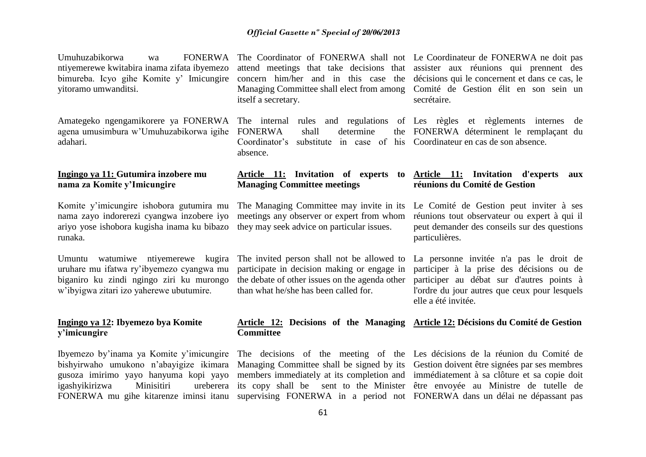| <b>FONERWA</b><br>Umuhuzabikorwa<br>wa<br>ntiyemerewe kwitabira inama zifata ibyemezo<br>bimureba. Icyo gihe Komite y' Imicungire<br>yitoramo umwanditsi.                                                           | attend meetings that take decisions that<br>concern him/her and in this case the<br>Managing Committee shall elect from among<br>itself a secretary.                                 | The Coordinator of FONERWA shall not Le Coordinateur de FONERWA ne doit pas<br>assister aux réunions qui prennent des<br>décisions qui le concernent et dans ce cas, le<br>Comité de Gestion élit en son sein un<br>secrétaire.                                 |
|---------------------------------------------------------------------------------------------------------------------------------------------------------------------------------------------------------------------|--------------------------------------------------------------------------------------------------------------------------------------------------------------------------------------|-----------------------------------------------------------------------------------------------------------------------------------------------------------------------------------------------------------------------------------------------------------------|
| Amategeko ngengamikorere ya FONERWA<br>agena umusimbura w'Umuhuzabikorwa igihe<br>adahari.                                                                                                                          | The internal rules and regulations of Les règles et règlements internes<br><b>FONERWA</b><br>shall<br>determine<br>the<br>Coordinator's<br>substitute in case of his<br>absence.     | de<br>FONERWA déterminent le remplaçant du<br>Coordinateur en cas de son absence.                                                                                                                                                                               |
| Ingingo ya 11: Gutumira inzobere mu<br>nama za Komite y'Imicungire                                                                                                                                                  | Article 11: Invitation of experts<br>to<br><b>Managing Committee meetings</b>                                                                                                        | <b>Article 11:</b> Invitation d'experts<br>aux<br>réunions du Comité de Gestion                                                                                                                                                                                 |
| Komite y'imicungire ishobora gutumira mu<br>nama zayo indorerezi cyangwa inzobere iyo<br>ariyo yose ishobora kugisha inama ku bibazo<br>runaka.                                                                     | The Managing Committee may invite in its<br>meetings any observer or expert from whom<br>they may seek advice on particular issues.                                                  | Le Comité de Gestion peut inviter à ses<br>réunions tout observateur ou expert à qui il<br>peut demander des conseils sur des questions<br>particulières.                                                                                                       |
| Umuntu watumiwe ntiyemerewe kugira<br>uruhare mu ifatwa ry'ibyemezo cyangwa mu<br>biganiro ku zindi ngingo ziri ku murongo<br>w'ibyigwa zitari izo yaherewe ubutumire.                                              | The invited person shall not be allowed to<br>participate in decision making or engage in<br>the debate of other issues on the agenda other<br>than what he/she has been called for. | La personne invitée n'a pas le droit de<br>participer à la prise des décisions ou de<br>participer au débat sur d'autres points à<br>l'ordre du jour autres que ceux pour lesquels<br>elle a été invitée.                                                       |
| Ingingo ya 12: Ibyemezo bya Komite<br>y'imicungire                                                                                                                                                                  | <b>Committee</b>                                                                                                                                                                     | Article 12: Decisions of the Managing Article 12: Décisions du Comité de Gestion                                                                                                                                                                                |
| Ibyemezo by'inama ya Komite y'imicungire<br>bishyirwaho umukono n'abayigize ikimara<br>gusoza imirimo yayo hanyuma kopi yayo<br>Minisitiri<br>ureberera<br>igashyikirizwa<br>FONERWA mu gihe kitarenze iminsi itanu | Managing Committee shall be signed by its<br>members immediately at its completion and<br>its copy shall be sent to the Minister<br>supervising FONERWA in a period not              | The decisions of the meeting of the Les décisions de la réunion du Comité de<br>Gestion doivent être signées par ses membres<br>immédiatement à sa clôture et sa copie doit<br>être envoyée au Ministre de tutelle de<br>FONERWA dans un délai ne dépassant pas |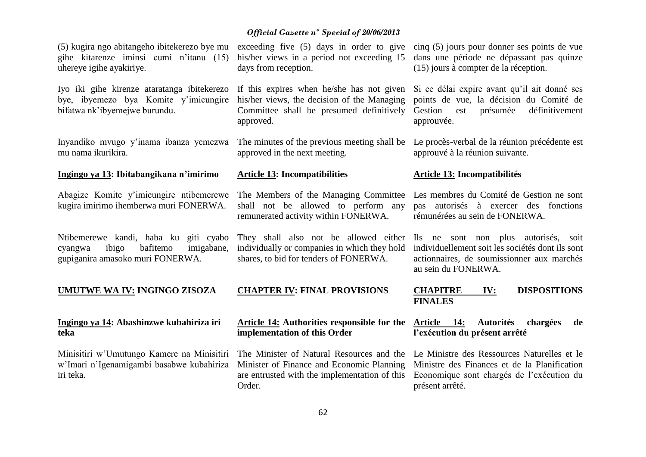| Minisitiri w'Umutungo Kamere na Minisitiri<br>w'Imari n'Igenamigambi basabwe kubahiriza<br>iri teka.                                                         | The Minister of Natural Resources and the<br>Minister of Finance and Economic Planning<br>are entrusted with the implementation of this<br>Order. | Le Ministre des Ressources Naturelles et le<br>Ministre des Finances et de la Planification<br>Economique sont chargés de l'exécution du<br>présent arrêté.                                         |
|--------------------------------------------------------------------------------------------------------------------------------------------------------------|---------------------------------------------------------------------------------------------------------------------------------------------------|-----------------------------------------------------------------------------------------------------------------------------------------------------------------------------------------------------|
| Ingingo ya 14: Abashinzwe kubahiriza iri<br>teka                                                                                                             | <b>Article 14:</b> Authorities responsible for the<br>implementation of this Order                                                                | <b>Autorités</b><br>Article 14:<br>chargées<br>de<br>l'exécution du présent arrêté                                                                                                                  |
| <b>UMUTWE WA IV: INGINGO ZISOZA</b>                                                                                                                          | <b>CHAPTER IV: FINAL PROVISIONS</b>                                                                                                               | <b>CHAPITRE</b><br><b>DISPOSITIONS</b><br>IV:<br><b>FINALES</b>                                                                                                                                     |
| Ntibemerewe kandi, haba ku giti cyabo<br>bafitemo<br>imigabane,<br>cyangwa<br>ibigo<br>gupiganira amasoko muri FONERWA.                                      | individually or companies in which they hold<br>shares, to bid for tenders of FONERWA.                                                            | They shall also not be allowed either Ils ne sont non plus autorisés, soit<br>individuellement soit les sociétés dont ils sont<br>actionnaires, de soumissionner aux marchés<br>au sein du FONERWA. |
| Abagize Komite y'imicungire ntibemerewe<br>kugira imirimo ihemberwa muri FONERWA.                                                                            | The Members of the Managing Committee<br>shall not be allowed to perform any<br>remunerated activity within FONERWA.                              | Les membres du Comité de Gestion ne sont<br>autorisés à exercer des fonctions<br>pas<br>rémunérées au sein de FONERWA.                                                                              |
| Ingingo ya 13: Ibitabangikana n'imirimo                                                                                                                      | <b>Article 13: Incompatibilities</b>                                                                                                              | <b>Article 13: Incompatibilités</b>                                                                                                                                                                 |
| Inyandiko mvugo y'inama ibanza yemezwa<br>mu nama ikurikira.                                                                                                 | The minutes of the previous meeting shall be<br>approved in the next meeting.                                                                     | Le procès-verbal de la réunion précédente est<br>approuvé à la réunion suivante.                                                                                                                    |
| Iyo iki gihe kirenze ataratanga ibitekerezo<br>bye, ibyemezo bya Komite y'imicungire<br>bifatwa nk'ibyemejwe burundu.                                        | If this expires when he/she has not given<br>his/her views, the decision of the Managing<br>Committee shall be presumed definitively<br>approved. | Si ce délai expire avant qu'il ait donné ses<br>points de vue, la décision du Comité de<br>définitivement<br>est<br>présumée<br>Gestion<br>approuvée.                                               |
| (5) kugira ngo abitangeho ibitekerezo bye mu exceeding five (5) days in order to give<br>gihe kitarenze iminsi cumi n'itanu (15)<br>uhereye igihe ayakiriye. | his/her views in a period not exceeding 15<br>days from reception.                                                                                | cinq (5) jours pour donner ses points de vue<br>dans une période ne dépassant pas quinze<br>(15) jours à compter de la réception.                                                                   |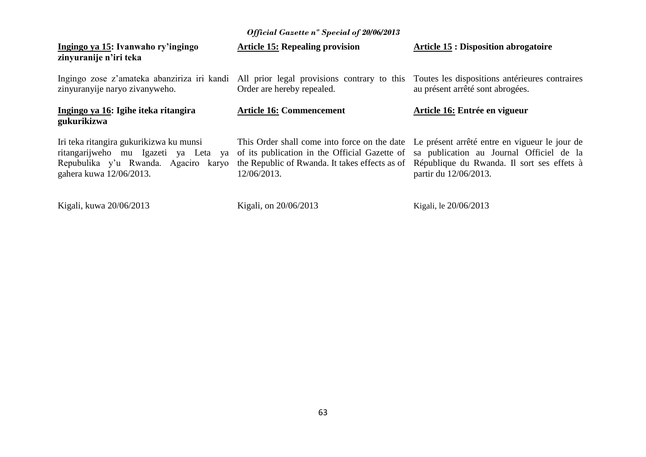| Official Gazette n° Special of 20/06/2013                                                                                                          |                                                                           |                                                                                                                                                                                                                                                                                                            |  |  |
|----------------------------------------------------------------------------------------------------------------------------------------------------|---------------------------------------------------------------------------|------------------------------------------------------------------------------------------------------------------------------------------------------------------------------------------------------------------------------------------------------------------------------------------------------------|--|--|
| Ingingo ya 15: Ivanwaho ry'ingingo<br>zinyuranije n'iri teka                                                                                       | <b>Article 15: Repealing provision</b>                                    | <b>Article 15 : Disposition abrogatoire</b>                                                                                                                                                                                                                                                                |  |  |
| Ingingo zose z'amateka abanziriza iri kandi<br>zinyuranyije naryo zivanyweho.                                                                      | All prior legal provisions contrary to this<br>Order are hereby repealed. | Toutes les dispositions antérieures contraires<br>au présent arrêté sont abrogées.                                                                                                                                                                                                                         |  |  |
| Ingingo ya 16: Igihe iteka ritangira<br>gukurikizwa                                                                                                | <b>Article 16: Commencement</b>                                           | Article 16: Entrée en vigueur                                                                                                                                                                                                                                                                              |  |  |
| Iri teka ritangira gukurikizwa ku munsi<br>ritangarijweho mu Igazeti ya Leta ya<br>Repubulika y'u Rwanda. Agaciro karyo<br>gahera kuwa 12/06/2013. | 12/06/2013.                                                               | This Order shall come into force on the date Le présent arrêté entre en vigueur le jour de<br>of its publication in the Official Gazette of sa publication au Journal Officiel de la<br>the Republic of Rwanda. It takes effects as of République du Rwanda. Il sort ses effets à<br>partir du 12/06/2013. |  |  |
| Kigali, kuwa 20/06/2013                                                                                                                            | Kigali, on 20/06/2013                                                     | Kigali, le 20/06/2013                                                                                                                                                                                                                                                                                      |  |  |